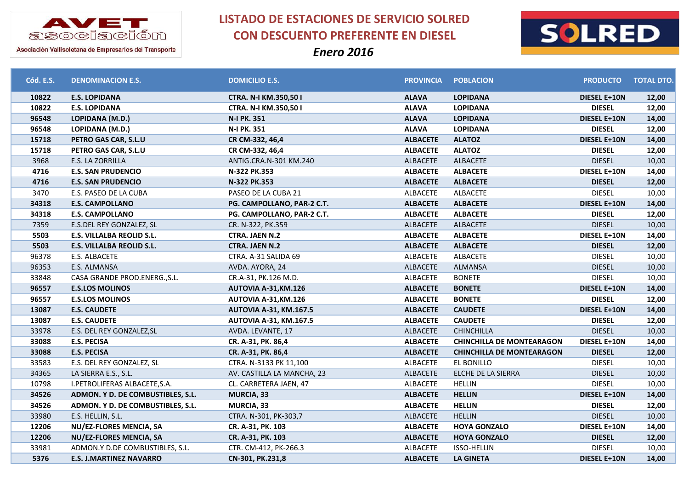



Asociación Vallisoletana de Empresarios del Transporte

| Cód. E.S. | <b>DENOMINACION E.S.</b>          | <b>DOMICILIO E.S.</b>         | <b>PROVINCIA</b> | <b>POBLACION</b>                 | <b>PRODUCTO</b>     | <b>TOTAL DTO.</b> |
|-----------|-----------------------------------|-------------------------------|------------------|----------------------------------|---------------------|-------------------|
| 10822     | <b>E.S. LOPIDANA</b>              | CTRA. N-I KM.350,50 I         | <b>ALAVA</b>     | <b>LOPIDANA</b>                  | DIESEL E+10N        | 12,00             |
| 10822     | <b>E.S. LOPIDANA</b>              | CTRA. N-I KM.350,50 I         | <b>ALAVA</b>     | <b>LOPIDANA</b>                  | <b>DIESEL</b>       | 12,00             |
| 96548     | LOPIDANA (M.D.)                   | N-I PK. 351                   | <b>ALAVA</b>     | <b>LOPIDANA</b>                  | <b>DIESEL E+10N</b> | 14,00             |
| 96548     | LOPIDANA (M.D.)                   | N-I PK. 351                   | <b>ALAVA</b>     | <b>LOPIDANA</b>                  | <b>DIESEL</b>       | 12,00             |
| 15718     | PETRO GAS CAR, S.L.U              | CR CM-332, 46,4               | <b>ALBACETE</b>  | <b>ALATOZ</b>                    | <b>DIESEL E+10N</b> | 14,00             |
| 15718     | PETRO GAS CAR, S.L.U              | CR CM-332, 46,4               | <b>ALBACETE</b>  | <b>ALATOZ</b>                    | <b>DIESEL</b>       | 12,00             |
| 3968      | E.S. LA ZORRILLA                  | ANTIG.CRA.N-301 KM.240        | <b>ALBACETE</b>  | ALBACETE                         | <b>DIESEL</b>       | 10,00             |
| 4716      | <b>E.S. SAN PRUDENCIO</b>         | N-322 PK.353                  | <b>ALBACETE</b>  | <b>ALBACETE</b>                  | <b>DIESEL E+10N</b> | 14,00             |
| 4716      | <b>E.S. SAN PRUDENCIO</b>         | N-322 PK.353                  | <b>ALBACETE</b>  | <b>ALBACETE</b>                  | <b>DIESEL</b>       | 12,00             |
| 3470      | E.S. PASEO DE LA CUBA             | PASEO DE LA CUBA 21           | <b>ALBACETE</b>  | ALBACETE                         | <b>DIESEL</b>       | 10,00             |
| 34318     | <b>E.S. CAMPOLLANO</b>            | PG. CAMPOLLANO, PAR-2 C.T.    | <b>ALBACETE</b>  | <b>ALBACETE</b>                  | <b>DIESEL E+10N</b> | 14,00             |
| 34318     | <b>E.S. CAMPOLLANO</b>            | PG. CAMPOLLANO, PAR-2 C.T.    | <b>ALBACETE</b>  | <b>ALBACETE</b>                  | <b>DIESEL</b>       | 12,00             |
| 7359      | E.S.DEL REY GONZALEZ, SL          | CR. N-322, PK.359             | <b>ALBACETE</b>  | ALBACETE                         | <b>DIESEL</b>       | 10,00             |
| 5503      | E.S. VILLALBA REOLID S.L.         | <b>CTRA. JAEN N.2</b>         | <b>ALBACETE</b>  | <b>ALBACETE</b>                  | DIESEL E+10N        | 14,00             |
| 5503      | E.S. VILLALBA REOLID S.L.         | <b>CTRA. JAEN N.2</b>         | <b>ALBACETE</b>  | <b>ALBACETE</b>                  | <b>DIESEL</b>       | 12,00             |
| 96378     | E.S. ALBACETE                     | CTRA. A-31 SALIDA 69          | <b>ALBACETE</b>  | ALBACETE                         | <b>DIESEL</b>       | 10,00             |
| 96353     | E.S. ALMANSA                      | AVDA. AYORA, 24               | <b>ALBACETE</b>  | <b>ALMANSA</b>                   | <b>DIESEL</b>       | 10,00             |
| 33848     | CASA GRANDE PROD.ENERG., S.L.     | CR.A-31, PK.126 M.D.          | <b>ALBACETE</b>  | <b>BONETE</b>                    | <b>DIESEL</b>       | 10,00             |
| 96557     | <b>E.S.LOS MOLINOS</b>            | <b>AUTOVIA A-31, KM.126</b>   | <b>ALBACETE</b>  | <b>BONETE</b>                    | <b>DIESEL E+10N</b> | 14,00             |
| 96557     | <b>E.S.LOS MOLINOS</b>            | AUTOVIA A-31, KM. 126         | <b>ALBACETE</b>  | <b>BONETE</b>                    | <b>DIESEL</b>       | 12,00             |
| 13087     | <b>E.S. CAUDETE</b>               | <b>AUTOVIA A-31, KM.167.5</b> | <b>ALBACETE</b>  | <b>CAUDETE</b>                   | <b>DIESEL E+10N</b> | 14,00             |
| 13087     | <b>E.S. CAUDETE</b>               | <b>AUTOVIA A-31, KM.167.5</b> | <b>ALBACETE</b>  | <b>CAUDETE</b>                   | <b>DIESEL</b>       | 12,00             |
| 33978     | E.S. DEL REY GONZALEZ, SL         | AVDA. LEVANTE, 17             | <b>ALBACETE</b>  | <b>CHINCHILLA</b>                | <b>DIESEL</b>       | 10,00             |
| 33088     | <b>E.S. PECISA</b>                | CR. A-31, PK. 86,4            | <b>ALBACETE</b>  | <b>CHINCHILLA DE MONTEARAGON</b> | <b>DIESEL E+10N</b> | 14,00             |
| 33088     | <b>E.S. PECISA</b>                | CR. A-31, PK. 86,4            | <b>ALBACETE</b>  | <b>CHINCHILLA DE MONTEARAGON</b> | <b>DIESEL</b>       | 12,00             |
| 33583     | E.S. DEL REY GONZALEZ, SL         | CTRA. N-3133 PK 11,100        | ALBACETE         | EL BONILLO                       | <b>DIESEL</b>       | 10,00             |
| 34365     | LA SIERRA E.S., S.L.              | AV. CASTILLA LA MANCHA, 23    | ALBACETE         | ELCHE DE LA SIERRA               | <b>DIESEL</b>       | 10,00             |
| 10798     | I.PETROLIFERAS ALBACETE, S.A.     | CL. CARRETERA JAEN, 47        | <b>ALBACETE</b>  | HELLIN                           | <b>DIESEL</b>       | 10,00             |
| 34526     | ADMON. Y D. DE COMBUSTIBLES, S.L. | <b>MURCIA, 33</b>             | <b>ALBACETE</b>  | <b>HELLIN</b>                    | <b>DIESEL E+10N</b> | 14,00             |
| 34526     | ADMON. Y D. DE COMBUSTIBLES, S.L. | <b>MURCIA, 33</b>             | <b>ALBACETE</b>  | <b>HELLIN</b>                    | <b>DIESEL</b>       | 12,00             |
| 33980     | E.S. HELLIN, S.L.                 | CTRA. N-301, PK-303,7         | <b>ALBACETE</b>  | <b>HELLIN</b>                    | <b>DIESEL</b>       | 10,00             |
| 12206     | NU/EZ-FLORES MENCIA, SA           | CR. A-31, PK. 103             | <b>ALBACETE</b>  | <b>HOYA GONZALO</b>              | <b>DIESEL E+10N</b> | 14,00             |
| 12206     | NU/EZ-FLORES MENCIA, SA           | CR. A-31, PK. 103             | <b>ALBACETE</b>  | <b>HOYA GONZALO</b>              | <b>DIESEL</b>       | 12,00             |
| 33981     | ADMON.Y D.DE COMBUSTIBLES, S.L.   | CTR. CM-412, PK-266.3         | <b>ALBACETE</b>  | <b>ISSO-HELLIN</b>               | <b>DIESEL</b>       | 10,00             |
| 5376      | <b>E.S. J.MARTINEZ NAVARRO</b>    | CN-301, PK.231,8              | <b>ALBACETE</b>  | <b>LA GINETA</b>                 | <b>DIESEL E+10N</b> | 14,00             |
|           |                                   |                               |                  |                                  |                     |                   |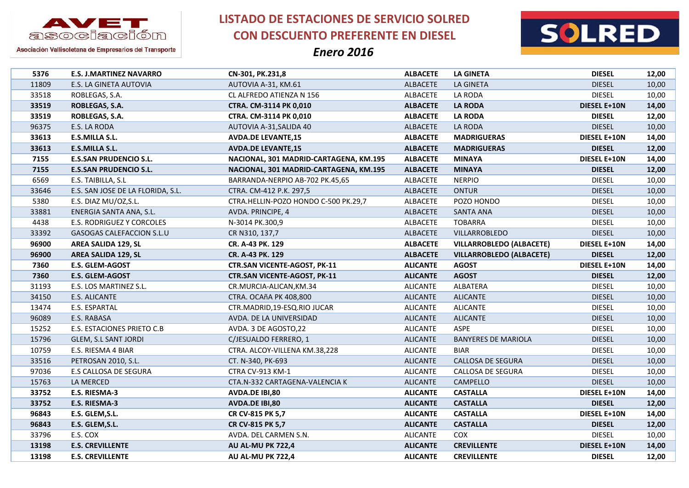

**LISTADO DE ESTACIONES DE SERVICIO SOLRED CON DESCUENTO PREFERENTE EN DIESEL**





|                                                    | CN-301, PK.231,8                       | <b>ALBACETE</b>                    | <b>LA GINETA</b>                         | <b>DIESEL</b>       | 12,00                                                                                       |
|----------------------------------------------------|----------------------------------------|------------------------------------|------------------------------------------|---------------------|---------------------------------------------------------------------------------------------|
| E.S. LA GINETA AUTOVIA                             | AUTOVIA A-31, KM.61                    | <b>ALBACETE</b>                    | <b>LA GINETA</b>                         | <b>DIESEL</b>       | 10,00                                                                                       |
| ROBLEGAS, S.A.                                     | CL ALFREDO ATIENZA N 156               | <b>ALBACETE</b>                    | LA RODA                                  | <b>DIESEL</b>       | 10,00                                                                                       |
| ROBLEGAS, S.A.                                     | <b>CTRA. CM-3114 PK 0,010</b>          | <b>ALBACETE</b>                    | <b>LA RODA</b>                           | <b>DIESEL E+10N</b> | 14,00                                                                                       |
| ROBLEGAS, S.A.                                     | CTRA. CM-3114 PK 0,010                 | <b>ALBACETE</b>                    | <b>LA RODA</b>                           | <b>DIESEL</b>       | 12,00                                                                                       |
| E.S. LA RODA                                       | AUTOVIA A-31, SALIDA 40                | ALBACETE                           | LA RODA                                  | <b>DIESEL</b>       | 10,00                                                                                       |
| E.S.MILLA S.L.                                     | <b>AVDA.DE LEVANTE,15</b>              | <b>ALBACETE</b>                    | <b>MADRIGUERAS</b>                       | DIESEL E+10N        | 14,00                                                                                       |
| <b>E.S.MILLA S.L.</b>                              | <b>AVDA.DE LEVANTE,15</b>              | <b>ALBACETE</b>                    | <b>MADRIGUERAS</b>                       | <b>DIESEL</b>       | 12,00                                                                                       |
| <b>E.S.SAN PRUDENCIO S.L.</b>                      | NACIONAL, 301 MADRID-CARTAGENA, KM.195 | <b>ALBACETE</b>                    | <b>MINAYA</b>                            | DIESEL E+10N        | 14,00                                                                                       |
| <b>E.S.SAN PRUDENCIO S.L.</b>                      | NACIONAL, 301 MADRID-CARTAGENA, KM.195 | <b>ALBACETE</b>                    | <b>MINAYA</b>                            | <b>DIESEL</b>       | 12,00                                                                                       |
| E.S. TAIBILLA, S.L                                 | BARRANDA-NERPIO AB-702 PK.45,65        | ALBACETE                           | <b>NERPIO</b>                            | <b>DIESEL</b>       | 10,00                                                                                       |
| E.S. SAN JOSE DE LA FLORIDA, S.L.                  | CTRA. CM-412 P.K. 297,5                | <b>ALBACETE</b>                    | <b>ONTUR</b>                             | <b>DIESEL</b>       | 10,00                                                                                       |
| E.S. DIAZ MU/OZ,S.L.                               | CTRA.HELLIN-POZO HONDO C-500 PK.29,7   | <b>ALBACETE</b>                    | POZO HONDO                               | <b>DIESEL</b>       | 10,00                                                                                       |
| ENERGIA SANTA ANA, S.L.                            | AVDA. PRINCIPE, 4                      | ALBACETE                           | <b>SANTA ANA</b>                         | <b>DIESEL</b>       | 10,00                                                                                       |
| E.S. RODRIGUEZ Y CORCOLES                          | N-3014 PK.300,9                        | <b>ALBACETE</b>                    | <b>TOBARRA</b>                           | <b>DIESEL</b>       | 10,00                                                                                       |
| GASOGAS CALEFACCION S.L.U                          | CR N310, 137,7                         | ALBACETE                           | VILLARROBLEDO                            | <b>DIESEL</b>       | 10,00                                                                                       |
| AREA SALIDA 129, SL                                | CR. A-43 PK. 129                       | <b>ALBACETE</b>                    | <b>VILLARROBLEDO (ALBACETE)</b>          | <b>DIESEL E+10N</b> | 14,00                                                                                       |
| <b>AREA SALIDA 129, SL</b>                         | CR. A-43 PK. 129                       | <b>ALBACETE</b>                    | <b>VILLARROBLEDO (ALBACETE)</b>          | <b>DIESEL</b>       | 12,00                                                                                       |
| E.S. GLEM-AGOST                                    | <b>CTR.SAN VICENTE-AGOST, PK-11</b>    | <b>ALICANTE</b>                    | <b>AGOST</b>                             | <b>DIESEL E+10N</b> | 14,00                                                                                       |
| E.S. GLEM-AGOST                                    | <b>CTR.SAN VICENTE-AGOST, PK-11</b>    | <b>ALICANTE</b>                    | <b>AGOST</b>                             | <b>DIESEL</b>       | 12,00                                                                                       |
| E.S. LOS MARTINEZ S.L.                             | CR.MURCIA-ALICAN, KM.34                | <b>ALICANTE</b>                    | ALBATERA                                 | <b>DIESEL</b>       | 10,00                                                                                       |
| E.S. ALICANTE                                      | CTRA. OCAñA PK 408,800                 | <b>ALICANTE</b>                    | <b>ALICANTE</b>                          | <b>DIESEL</b>       | 10,00                                                                                       |
| E.S. ESPARTAL                                      | CTR.MADRID,19-ESQ.RIO JUCAR            | <b>ALICANTE</b>                    | <b>ALICANTE</b>                          | <b>DIESEL</b>       | 10,00                                                                                       |
| E.S. RABASA                                        | AVDA. DE LA UNIVERSIDAD                | <b>ALICANTE</b>                    | <b>ALICANTE</b>                          | <b>DIESEL</b>       | 10,00                                                                                       |
| E.S. ESTACIONES PRIETO C.B                         | AVDA. 3 DE AGOSTO, 22                  | <b>ALICANTE</b>                    | <b>ASPE</b>                              | <b>DIESEL</b>       | 10,00                                                                                       |
| <b>GLEM, S.L SANT JORDI</b>                        | C/JESUALDO FERRERO, 1                  | <b>ALICANTE</b>                    | <b>BANYERES DE MARIOLA</b>               | <b>DIESEL</b>       | 10,00                                                                                       |
| E.S. RIESMA 4 BIAR                                 | CTRA. ALCOY-VILLENA KM.38,228          | <b>ALICANTE</b>                    | <b>BIAR</b>                              | <b>DIESEL</b>       | 10,00                                                                                       |
| PETROSAN 2010, S.L.                                | CT. N-340, PK-693                      | <b>ALICANTE</b>                    | <b>CALLOSA DE SEGURA</b>                 | <b>DIESEL</b>       | 10,00                                                                                       |
| E.S CALLOSA DE SEGURA                              | <b>CTRA CV-913 KM-1</b>                | <b>ALICANTE</b>                    | CALLOSA DE SEGURA                        | <b>DIESEL</b>       | 10,00                                                                                       |
|                                                    |                                        |                                    |                                          |                     | 10,00                                                                                       |
|                                                    |                                        |                                    |                                          |                     |                                                                                             |
| E.S. RIESMA-3                                      | AVDA.DE IBI,80                         | <b>ALICANTE</b>                    | <b>CASTALLA</b>                          | <b>DIESEL E+10N</b> | 14,00                                                                                       |
| E.S. RIESMA-3                                      | <b>AVDA.DE IBI,80</b>                  | <b>ALICANTE</b>                    | <b>CASTALLA</b>                          | <b>DIESEL</b>       | 12,00                                                                                       |
| E.S. GLEM, S.L.                                    | CR CV-815 PK 5,7                       | <b>ALICANTE</b>                    | <b>CASTALLA</b>                          | DIESEL E+10N        | 14,00                                                                                       |
| E.S. GLEM, S.L.                                    | CR CV-815 PK 5,7                       | <b>ALICANTE</b>                    | <b>CASTALLA</b>                          | <b>DIESEL</b>       | 12,00                                                                                       |
| E.S. COX                                           | AVDA. DEL CARMEN S.N.                  | <b>ALICANTE</b>                    | COX                                      | <b>DIESEL</b>       | 10,00                                                                                       |
| <b>E.S. CREVILLENTE</b><br><b>E.S. CREVILLENTE</b> | AU AL-MU PK 722,4<br>AU AL-MU PK 722,4 | <b>ALICANTE</b><br><b>ALICANTE</b> | <b>CREVILLENTE</b><br><b>CREVILLENTE</b> | <b>DIESEL E+10N</b> | 14,00<br>12,00                                                                              |
|                                                    | <b>E.S. J.MARTINEZ NAVARRO</b>         |                                    |                                          |                     | LA MERCED<br>CTA.N-332 CARTAGENA-VALENCIA K<br><b>ALICANTE</b><br>CAMPELLO<br><b>DIESEL</b> |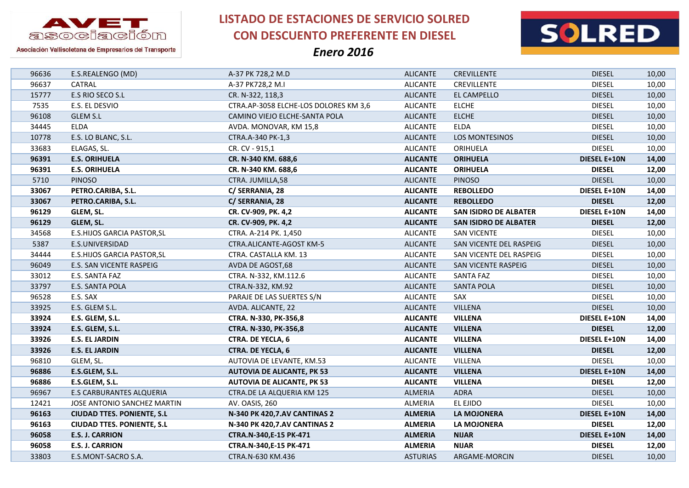



Asociación Vallisoletana de Empresarios del Transporte

| 96636 | E.S.REALENGO (MD)                  | A-37 PK 728,2 M.D                     | <b>ALICANTE</b> | <b>CREVILLENTE</b>           | <b>DIESEL</b>       | 10,00 |
|-------|------------------------------------|---------------------------------------|-----------------|------------------------------|---------------------|-------|
| 96637 | CATRAL                             | A-37 PK728,2 M.I                      | <b>ALICANTE</b> | <b>CREVILLENTE</b>           | <b>DIESEL</b>       | 10,00 |
| 15777 | E.S RIO SECO S.L                   | CR. N-322, 118,3                      | <b>ALICANTE</b> | EL CAMPELLO                  | <b>DIESEL</b>       | 10,00 |
| 7535  | E.S. EL DESVIO                     | CTRA.AP-3058 ELCHE-LOS DOLORES KM 3,6 | <b>ALICANTE</b> | <b>ELCHE</b>                 | <b>DIESEL</b>       | 10,00 |
| 96108 | GLEM S.L                           | CAMINO VIEJO ELCHE-SANTA POLA         | <b>ALICANTE</b> | <b>ELCHE</b>                 | <b>DIESEL</b>       | 10,00 |
| 34445 | <b>ELDA</b>                        | AVDA. MONOVAR, KM 15,8                | <b>ALICANTE</b> | ELDA                         | <b>DIESEL</b>       | 10,00 |
| 10778 | E.S. LO BLANC, S.L.                | CTRA.A-340 PK-1,3                     | <b>ALICANTE</b> | LOS MONTESINOS               | <b>DIESEL</b>       | 10,00 |
| 33683 | ELAGAS, SL.                        | CR. CV - 915,1                        | <b>ALICANTE</b> | ORIHUELA                     | <b>DIESEL</b>       | 10,00 |
| 96391 | <b>E.S. ORIHUELA</b>               | CR. N-340 KM. 688,6                   | <b>ALICANTE</b> | <b>ORIHUELA</b>              | <b>DIESEL E+10N</b> | 14,00 |
| 96391 | <b>E.S. ORIHUELA</b>               | CR. N-340 KM. 688,6                   | <b>ALICANTE</b> | <b>ORIHUELA</b>              | <b>DIESEL</b>       | 12,00 |
| 5710  | <b>PINOSO</b>                      | CTRA. JUMILLA,58                      | <b>ALICANTE</b> | <b>PINOSO</b>                | <b>DIESEL</b>       | 10,00 |
| 33067 | PETRO.CARIBA, S.L.                 | C/ SERRANIA, 28                       | <b>ALICANTE</b> | <b>REBOLLEDO</b>             | <b>DIESEL E+10N</b> | 14,00 |
| 33067 | PETRO.CARIBA, S.L.                 | C/ SERRANIA, 28                       | <b>ALICANTE</b> | <b>REBOLLEDO</b>             | <b>DIESEL</b>       | 12,00 |
| 96129 | GLEM, SL.                          | CR. CV-909, PK. 4,2                   | <b>ALICANTE</b> | <b>SAN ISIDRO DE ALBATER</b> | <b>DIESEL E+10N</b> | 14,00 |
| 96129 | GLEM, SL.                          | CR. CV-909, PK. 4,2                   | <b>ALICANTE</b> | <b>SAN ISIDRO DE ALBATER</b> | <b>DIESEL</b>       | 12,00 |
| 34568 | <b>E.S.HIJOS GARCIA PASTOR, SL</b> | CTRA. A-214 PK. 1,450                 | <b>ALICANTE</b> | <b>SAN VICENTE</b>           | <b>DIESEL</b>       | 10,00 |
| 5387  | E.S.UNIVERSIDAD                    | CTRA.ALICANTE-AGOST KM-5              | <b>ALICANTE</b> | SAN VICENTE DEL RASPEIG      | <b>DIESEL</b>       | 10,00 |
| 34444 | E.S.HIJOS GARCIA PASTOR, SL        | CTRA. CASTALLA KM. 13                 | <b>ALICANTE</b> | SAN VICENTE DEL RASPEIG      | <b>DIESEL</b>       | 10,00 |
| 96049 | E.S. SAN VICENTE RASPEIG           | AVDA DE AGOST,68                      | <b>ALICANTE</b> | SAN VICENTE RASPEIG          | <b>DIESEL</b>       | 10,00 |
| 33012 | E.S. SANTA FAZ                     | CTRA. N-332, KM.112.6                 | <b>ALICANTE</b> | SANTA FAZ                    | <b>DIESEL</b>       | 10,00 |
| 33797 | E.S. SANTA POLA                    | CTRA.N-332, KM.92                     | <b>ALICANTE</b> | <b>SANTA POLA</b>            | <b>DIESEL</b>       | 10,00 |
| 96528 | E.S. SAX                           | PARAJE DE LAS SUERTES S/N             | <b>ALICANTE</b> | SAX                          | <b>DIESEL</b>       | 10,00 |
| 33925 | E.S. GLEM S.L.                     | AVDA. ALICANTE, 22                    | <b>ALICANTE</b> | <b>VILLENA</b>               | <b>DIESEL</b>       | 10,00 |
| 33924 | E.S. GLEM, S.L.                    | CTRA. N-330, PK-356,8                 | <b>ALICANTE</b> | <b>VILLENA</b>               | <b>DIESEL E+10N</b> | 14,00 |
| 33924 | E.S. GLEM, S.L.                    | CTRA. N-330, PK-356,8                 | <b>ALICANTE</b> | <b>VILLENA</b>               | <b>DIESEL</b>       | 12,00 |
| 33926 | <b>E.S. EL JARDIN</b>              | <b>CTRA. DE YECLA, 6</b>              | <b>ALICANTE</b> | <b>VILLENA</b>               | <b>DIESEL E+10N</b> | 14,00 |
| 33926 | <b>E.S. EL JARDIN</b>              | <b>CTRA. DE YECLA, 6</b>              | <b>ALICANTE</b> | <b>VILLENA</b>               | <b>DIESEL</b>       | 12,00 |
| 96810 | GLEM, SL.                          | AUTOVIA DE LEVANTE, KM.53             | <b>ALICANTE</b> | VILLENA                      | <b>DIESEL</b>       | 10,00 |
| 96886 | E.S.GLEM, S.L.                     | <b>AUTOVIA DE ALICANTE, PK 53</b>     | <b>ALICANTE</b> | <b>VILLENA</b>               | <b>DIESEL E+10N</b> | 14,00 |
| 96886 | E.S.GLEM, S.L.                     | <b>AUTOVIA DE ALICANTE, PK 53</b>     | <b>ALICANTE</b> | <b>VILLENA</b>               | <b>DIESEL</b>       | 12,00 |
| 96967 | <b>E.S CARBURANTES ALQUERIA</b>    | CTRA.DE LA ALQUERIA KM 125            | ALMERIA         | <b>ADRA</b>                  | <b>DIESEL</b>       | 10,00 |
| 12421 | JOSE ANTONIO SANCHEZ MARTIN        | AV. OASIS, 260                        | ALMERIA         | EL EJIDO                     | <b>DIESEL</b>       | 10,00 |
| 96163 | <b>CIUDAD TTES. PONIENTE, S.L</b>  | N-340 PK 420,7.AV CANTINAS 2          | <b>ALMERIA</b>  | <b>LA MOJONERA</b>           | <b>DIESEL E+10N</b> | 14,00 |
| 96163 | <b>CIUDAD TTES. PONIENTE, S.L</b>  | N-340 PK 420,7.AV CANTINAS 2          | <b>ALMERIA</b>  | LA MOJONERA                  | <b>DIESEL</b>       | 12,00 |
| 96058 | <b>E.S. J. CARRION</b>             | CTRA.N-340,E-15 PK-471                | <b>ALMERIA</b>  | <b>NIJAR</b>                 | <b>DIESEL E+10N</b> | 14,00 |
| 96058 | <b>E.S. J. CARRION</b>             | CTRA.N-340,E-15 PK-471                | <b>ALMERIA</b>  | <b>NIJAR</b>                 | <b>DIESEL</b>       | 12,00 |
| 33803 | E.S.MONT-SACRO S.A.                | CTRA.N-630 KM.436                     | <b>ASTURIAS</b> | ARGAME-MORCIN                | <b>DIESEL</b>       | 10,00 |
|       |                                    |                                       |                 |                              |                     |       |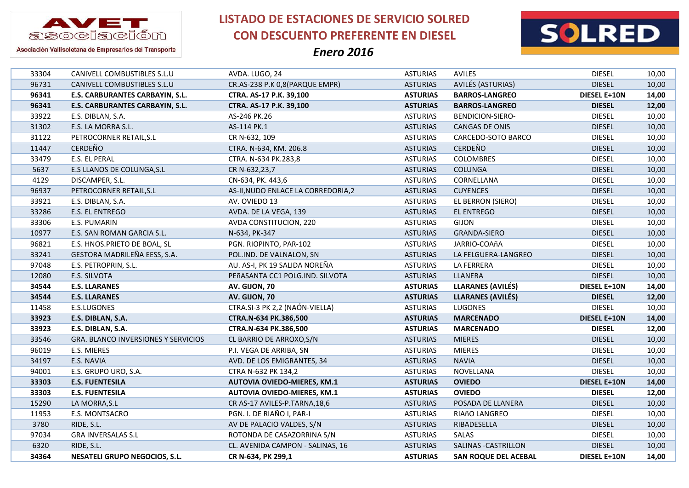



Asociación Vallisoletana de Empresarios del Transporte

| 33304 | CANIVELL COMBUSTIBLES S.L.U                | AVDA. LUGO, 24                      | <b>ASTURIAS</b> | AVILES                      | <b>DIESEL</b>       | 10,00 |
|-------|--------------------------------------------|-------------------------------------|-----------------|-----------------------------|---------------------|-------|
| 96731 | CANIVELL COMBUSTIBLES S.L.U                | CR.AS-238 P.K 0,8(PARQUE EMPR)      | <b>ASTURIAS</b> | AVILÉS (ASTURIAS)           | <b>DIESEL</b>       | 10,00 |
| 96341 | E.S. CARBURANTES CARBAYIN, S.L.            | CTRA. AS-17 P.K. 39,100             | <b>ASTURIAS</b> | <b>BARROS-LANGREO</b>       | <b>DIESEL E+10N</b> | 14,00 |
| 96341 | E.S. CARBURANTES CARBAYIN, S.L.            | CTRA. AS-17 P.K. 39,100             | <b>ASTURIAS</b> | <b>BARROS-LANGREO</b>       | <b>DIESEL</b>       | 12,00 |
| 33922 | E.S. DIBLAN, S.A.                          | AS-246 PK.26                        | <b>ASTURIAS</b> | <b>BENDICION-SIERO-</b>     | <b>DIESEL</b>       | 10,00 |
| 31302 | E.S. LA MORRA S.L.                         | AS-114 PK.1                         | <b>ASTURIAS</b> | CANGAS DE ONIS              | <b>DIESEL</b>       | 10,00 |
| 31122 | PETROCORNER RETAIL, S.L                    | CR N-632, 109                       | <b>ASTURIAS</b> | CARCEDO-SOTO BARCO          | <b>DIESEL</b>       | 10,00 |
| 11447 | <b>CERDEÑO</b>                             | CTRA. N-634, KM. 206.8              | <b>ASTURIAS</b> | <b>CERDEÑO</b>              | <b>DIESEL</b>       | 10,00 |
| 33479 | E.S. EL PERAL                              | CTRA. N-634 PK.283,8                | <b>ASTURIAS</b> | <b>COLOMBRES</b>            | <b>DIESEL</b>       | 10,00 |
| 5637  | E.S LLANOS DE COLUNGA, S.L                 | CR N-632,23,7                       | <b>ASTURIAS</b> | <b>COLUNGA</b>              | <b>DIESEL</b>       | 10,00 |
| 4129  | DISCAMPER, S.L.                            | CN-634, PK. 443,6                   | <b>ASTURIAS</b> | CORNELLANA                  | <b>DIESEL</b>       | 10,00 |
| 96937 | PETROCORNER RETAIL, S.L                    | AS-II, NUDO ENLACE LA CORREDORIA, 2 | <b>ASTURIAS</b> | <b>CUYENCES</b>             | <b>DIESEL</b>       | 10,00 |
| 33921 | E.S. DIBLAN, S.A.                          | AV. OVIEDO 13                       | <b>ASTURIAS</b> | EL BERRON (SIERO)           | <b>DIESEL</b>       | 10,00 |
| 33286 | E.S. EL ENTREGO                            | AVDA. DE LA VEGA, 139               | <b>ASTURIAS</b> | EL ENTREGO                  | <b>DIESEL</b>       | 10,00 |
| 33306 | E.S. PUMARIN                               | AVDA CONSTITUCION, 220              | <b>ASTURIAS</b> | <b>GIJON</b>                | <b>DIESEL</b>       | 10,00 |
| 10977 | E.S. SAN ROMAN GARCIA S.L.                 | N-634, PK-347                       | <b>ASTURIAS</b> | GRANDA-SIERO                | <b>DIESEL</b>       | 10,00 |
| 96821 | E.S. HNOS.PRIETO DE BOAL, SL               | PGN. RIOPINTO, PAR-102              | <b>ASTURIAS</b> | JARRIO-COAñA                | <b>DIESEL</b>       | 10,00 |
| 33241 | GESTORA MADRILEÑA EESS, S.A.               | POL.IND. DE VALNALON, SN            | <b>ASTURIAS</b> | LA FELGUERA-LANGREO         | <b>DIESEL</b>       | 10,00 |
| 97048 | E.S. PETROPRIN, S.L.                       | AU. AS-I, PK 19 SALIDA NOREÑA       | <b>ASTURIAS</b> | LA FERRERA                  | <b>DIESEL</b>       | 10,00 |
| 12080 | E.S. SILVOTA                               | PEñASANTA CC1 POLG.IND. SILVOTA     | <b>ASTURIAS</b> | LLANERA                     | <b>DIESEL</b>       | 10,00 |
| 34544 | <b>E.S. LLARANES</b>                       | AV. GIJON, 70                       | <b>ASTURIAS</b> | <b>LLARANES (AVILÉS)</b>    | <b>DIESEL E+10N</b> | 14,00 |
| 34544 | <b>E.S. LLARANES</b>                       | AV. GIJON, 70                       | <b>ASTURIAS</b> | <b>LLARANES (AVILÉS)</b>    | <b>DIESEL</b>       | 12,00 |
| 11458 | E.S.LUGONES                                | CTRA.SI-3 PK 2,2 (NAÓN-VIELLA)      | <b>ASTURIAS</b> | LUGONES                     | <b>DIESEL</b>       | 10,00 |
| 33923 | E.S. DIBLAN, S.A.                          | CTRA.N-634 PK.386,500               | <b>ASTURIAS</b> | <b>MARCENADO</b>            | <b>DIESEL E+10N</b> | 14,00 |
| 33923 | E.S. DIBLAN, S.A.                          | CTRA.N-634 PK.386,500               | <b>ASTURIAS</b> | <b>MARCENADO</b>            | <b>DIESEL</b>       | 12,00 |
| 33546 | <b>GRA. BLANCO INVERSIONES Y SERVICIOS</b> | CL BARRIO DE ARROXO, S/N            | <b>ASTURIAS</b> | <b>MIERES</b>               | <b>DIESEL</b>       | 10,00 |
| 96019 | E.S. MIERES                                | P.I. VEGA DE ARRIBA, SN             | <b>ASTURIAS</b> | <b>MIERES</b>               | <b>DIESEL</b>       | 10,00 |
| 34197 | E.S. NAVIA                                 | AVD. DE LOS EMIGRANTES, 34          | <b>ASTURIAS</b> | <b>NAVIA</b>                | <b>DIESEL</b>       | 10,00 |
| 94001 | E.S. GRUPO URO, S.A.                       | CTRA N-632 PK 134,2                 | <b>ASTURIAS</b> | NOVELLANA                   | <b>DIESEL</b>       | 10,00 |
| 33303 | <b>E.S. FUENTESILA</b>                     | <b>AUTOVIA OVIEDO-MIERES, KM.1</b>  | <b>ASTURIAS</b> | <b>OVIEDO</b>               | <b>DIESEL E+10N</b> | 14,00 |
| 33303 | <b>E.S. FUENTESILA</b>                     | <b>AUTOVIA OVIEDO-MIERES, KM.1</b>  | <b>ASTURIAS</b> | <b>OVIEDO</b>               | <b>DIESEL</b>       | 12,00 |
| 15290 | LA MORRA, S.L                              | CR AS-17 AVILES-P.TARNA, 18,6       | <b>ASTURIAS</b> | POSADA DE LLANERA           | <b>DIESEL</b>       | 10,00 |
| 11953 |                                            | PGN. I. DE RIAÑO I, PAR-I           | <b>ASTURIAS</b> | RIAñO LANGREO               | <b>DIESEL</b>       | 10,00 |
| 3780  | E.S. MONTSACRO                             |                                     |                 |                             |                     |       |
|       | RIDE, S.L.                                 | AV DE PALACIO VALDES, S/N           | <b>ASTURIAS</b> | RIBADESELLA                 | <b>DIESEL</b>       | 10,00 |
| 97034 | <b>GRA INVERSALAS S.L</b>                  | ROTONDA DE CASAZORRINA S/N          | <b>ASTURIAS</b> | SALAS                       | <b>DIESEL</b>       | 10,00 |
| 6320  | RIDE, S.L.                                 | CL. AVENIDA CAMPON - SALINAS, 16    | <b>ASTURIAS</b> | SALINAS - CASTRILLON        | <b>DIESEL</b>       | 10,00 |
| 34364 | <b>NESATELI GRUPO NEGOCIOS, S.L.</b>       | CR N-634, PK 299,1                  | <b>ASTURIAS</b> | <b>SAN ROQUE DEL ACEBAL</b> | <b>DIESEL E+10N</b> | 14,00 |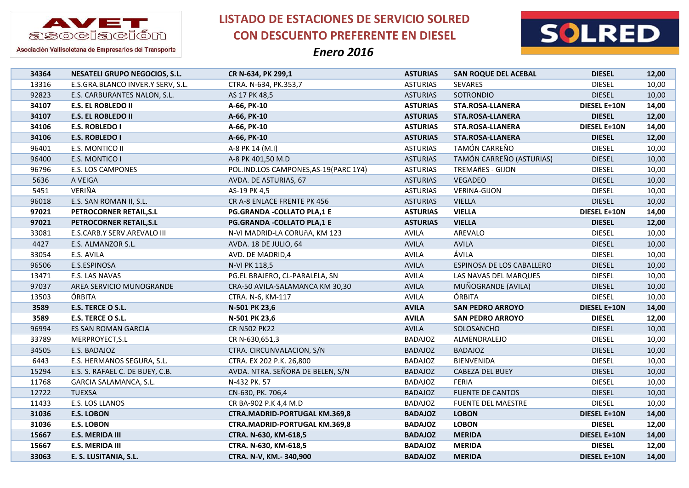

**LISTADO DE ESTACIONES DE SERVICIO SOLRED CON DESCUENTO PREFERENTE EN DIESEL**



| 34364 | <b>NESATELI GRUPO NEGOCIOS, S.L.</b> | CR N-634, PK 299,1                     | <b>ASTURIAS</b> | <b>SAN ROQUE DEL ACEBAL</b> | <b>DIESEL</b>       | 12,00 |
|-------|--------------------------------------|----------------------------------------|-----------------|-----------------------------|---------------------|-------|
| 13316 | E.S.GRA.BLANCO INVER.Y SERV, S.L.    | CTRA. N-634, PK.353,7                  | <b>ASTURIAS</b> | <b>SEVARES</b>              | <b>DIESEL</b>       | 10,00 |
| 92823 | E.S. CARBURANTES NALON, S.L.         | AS 17 PK 48,5                          | <b>ASTURIAS</b> | SOTRONDIO                   | <b>DIESEL</b>       | 10,00 |
| 34107 | <b>E.S. EL ROBLEDO II</b>            | A-66, PK-10                            | <b>ASTURIAS</b> | STA.ROSA-LLANERA            | DIESEL E+10N        | 14,00 |
| 34107 | <b>E.S. EL ROBLEDO II</b>            | A-66, PK-10                            | <b>ASTURIAS</b> | <b>STA.ROSA-LLANERA</b>     | <b>DIESEL</b>       | 12,00 |
| 34106 | <b>E.S. ROBLEDO I</b>                | A-66, PK-10                            | <b>ASTURIAS</b> | STA.ROSA-LLANERA            | <b>DIESEL E+10N</b> | 14,00 |
| 34106 | <b>E.S. ROBLEDO I</b>                | A-66, PK-10                            | <b>ASTURIAS</b> | <b>STA.ROSA-LLANERA</b>     | <b>DIESEL</b>       | 12,00 |
| 96401 | E.S. MONTICO II                      | A-8 PK 14 (M.I)                        | <b>ASTURIAS</b> | TAMÓN CARREÑO               | <b>DIESEL</b>       | 10,00 |
| 96400 | E.S. MONTICO I                       | A-8 PK 401,50 M.D                      | <b>ASTURIAS</b> | TAMÓN CARREÑO (ASTURIAS)    | <b>DIESEL</b>       | 10,00 |
| 96796 | <b>E.S. LOS CAMPONES</b>             | POL.IND.LOS CAMPONES, AS-19 (PARC 1Y4) | <b>ASTURIAS</b> | <b>TREMAñES - GIJON</b>     | <b>DIESEL</b>       | 10,00 |
| 5636  | A VEIGA                              | AVDA. DE ASTURIAS, 67                  | <b>ASTURIAS</b> | <b>VEGADEO</b>              | <b>DIESEL</b>       | 10,00 |
| 5451  | VERIÑA                               | AS-19 PK 4,5                           | <b>ASTURIAS</b> | <b>VERINA-GIJON</b>         | <b>DIESEL</b>       | 10,00 |
| 96018 | E.S. SAN ROMAN II, S.L.              | CR A-8 ENLACE FRENTE PK 456            | <b>ASTURIAS</b> | <b>VIELLA</b>               | <b>DIESEL</b>       | 10,00 |
| 97021 | PETROCORNER RETAIL, S.L              | <b>PG.GRANDA -COLLATO PLA,1 E</b>      | <b>ASTURIAS</b> | <b>VIELLA</b>               | <b>DIESEL E+10N</b> | 14,00 |
| 97021 | PETROCORNER RETAIL, S.L              | <b>PG.GRANDA -COLLATO PLA,1 E</b>      | <b>ASTURIAS</b> | <b>VIELLA</b>               | <b>DIESEL</b>       | 12,00 |
| 33081 | E.S.CARB.Y SERV.AREVALO III          | N-VI MADRID-LA CORUñA, KM 123          | <b>AVILA</b>    | AREVALO                     | <b>DIESEL</b>       | 10,00 |
| 4427  | E.S. ALMANZOR S.L.                   | AVDA. 18 DE JULIO, 64                  | <b>AVILA</b>    | <b>AVILA</b>                | <b>DIESEL</b>       | 10,00 |
| 33054 | E.S. AVILA                           | AVD. DE MADRID,4                       | <b>AVILA</b>    | ÁVILA                       | <b>DIESEL</b>       | 10,00 |
| 96506 | E.S.ESPINOSA                         | N-VI PK 118,5                          | <b>AVILA</b>    | ESPINOSA DE LOS CABALLERO   | <b>DIESEL</b>       | 10,00 |
| 13471 | E.S. LAS NAVAS                       | PG.EL BRAJERO, CL-PARALELA, SN         | AVILA           | LAS NAVAS DEL MARQUES       | <b>DIESEL</b>       | 10,00 |
| 97037 | AREA SERVICIO MUNOGRANDE             | CRA-50 AVILA-SALAMANCA KM 30,30        | <b>AVILA</b>    | MUÑOGRANDE (AVILA)          | <b>DIESEL</b>       | 10,00 |
| 13503 | ÓRBITA                               | CTRA. N-6, KM-117                      | AVILA           | ÓRBITA                      | <b>DIESEL</b>       | 10,00 |
| 3589  | E.S. TERCE O S.L.                    | N-501 PK 23,6                          | <b>AVILA</b>    | <b>SAN PEDRO ARROYO</b>     | <b>DIESEL E+10N</b> | 14,00 |
| 3589  | E.S. TERCE O S.L.                    | N-501 PK 23,6                          | <b>AVILA</b>    | <b>SAN PEDRO ARROYO</b>     | <b>DIESEL</b>       | 12,00 |
| 96994 | ES SAN ROMAN GARCIA                  | <b>CR N502 PK22</b>                    | <b>AVILA</b>    | SOLOSANCHO                  | <b>DIESEL</b>       | 10,00 |
| 33789 | MERPROYECT, S.L                      | CR N-630,651,3                         | <b>BADAJOZ</b>  | ALMENDRALEJO                | <b>DIESEL</b>       | 10,00 |
| 34505 | E.S. BADAJOZ                         | CTRA. CIRCUNVALACION, S/N              | <b>BADAJOZ</b>  | <b>BADAJOZ</b>              | <b>DIESEL</b>       | 10,00 |
| 6443  | E.S. HERMANOS SEGURA, S.L.           | CTRA. EX 202 P.K. 26,800               | <b>BADAJOZ</b>  | <b>BIENVENIDA</b>           | <b>DIESEL</b>       | 10,00 |
| 15294 | E.S. S. RAFAEL C. DE BUEY, C.B.      | AVDA. NTRA. SEÑORA DE BELEN, S/N       | <b>BADAJOZ</b>  | CABEZA DEL BUEY             | <b>DIESEL</b>       | 10,00 |
| 11768 | GARCIA SALAMANCA, S.L.               | N-432 PK. 57                           | <b>BADAJOZ</b>  | FERIA                       | <b>DIESEL</b>       | 10,00 |
| 12722 | <b>TUEXSA</b>                        | CN-630, PK. 706,4                      | <b>BADAJOZ</b>  | <b>FUENTE DE CANTOS</b>     | <b>DIESEL</b>       | 10,00 |
| 11433 | E.S. LOS LLANOS                      | CR BA-902 P.K 4,4 M.D                  | <b>BADAJOZ</b>  | <b>FUENTE DEL MAESTRE</b>   | <b>DIESEL</b>       | 10,00 |
| 31036 | <b>E.S. LOBON</b>                    | <b>CTRA.MADRID-PORTUGAL KM.369,8</b>   | <b>BADAJOZ</b>  | <b>LOBON</b>                | <b>DIESEL E+10N</b> | 14,00 |
| 31036 | <b>E.S. LOBON</b>                    | CTRA.MADRID-PORTUGAL KM.369,8          | <b>BADAJOZ</b>  | <b>LOBON</b>                | <b>DIESEL</b>       | 12,00 |
| 15667 | <b>E.S. MERIDA III</b>               | CTRA. N-630, KM-618,5                  | <b>BADAJOZ</b>  | <b>MERIDA</b>               | <b>DIESEL E+10N</b> | 14,00 |
| 15667 | <b>E.S. MERIDA III</b>               | CTRA. N-630, KM-618,5                  | <b>BADAJOZ</b>  | <b>MERIDA</b>               | <b>DIESEL</b>       | 12,00 |
| 33063 | E. S. LUSITANIA, S.L.                | CTRA. N-V, KM.- 340,900                | <b>BADAJOZ</b>  | <b>MERIDA</b>               | <b>DIESEL E+10N</b> | 14,00 |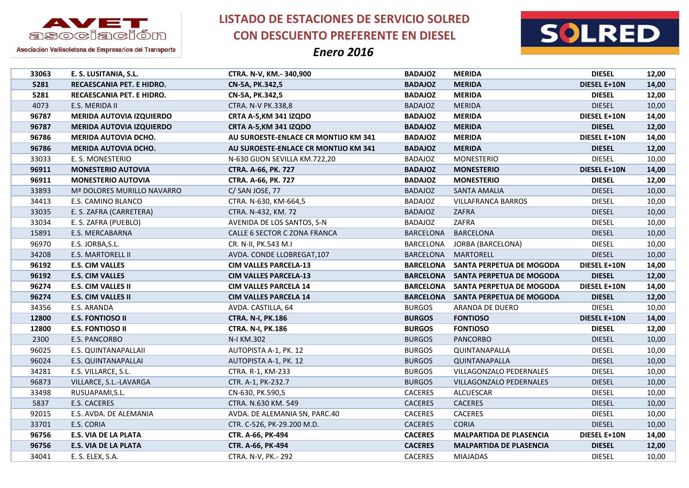

**LISTADO DE ESTACIONES DE SERVICIO SOLRED CON DESCUENTO PREFERENTE EN DIESEL**



| 33063 | E. S. LUSITANIA, S.L.           | CTRA. N-V, KM.- 340,900              | <b>BADAJOZ</b>   | <b>MERIDA</b>                      | <b>DIESEL</b>       | 12,00 |
|-------|---------------------------------|--------------------------------------|------------------|------------------------------------|---------------------|-------|
| 5281  | RECAESCANIA PET. E HIDRO.       | CN-5A, PK.342,5                      | <b>BADAJOZ</b>   | <b>MERIDA</b>                      | <b>DIESEL E+10N</b> | 14,00 |
| 5281  | RECAESCANIA PET. E HIDRO.       | CN-5A, PK.342,5                      | <b>BADAJOZ</b>   | <b>MERIDA</b>                      | <b>DIESEL</b>       | 12,00 |
| 4073  | E.S. MERIDA II                  | CTRA. N-V PK.338,8                   | <b>BADAJOZ</b>   | <b>MERIDA</b>                      | <b>DIESEL</b>       | 10,00 |
| 96787 | <b>MERIDA AUTOVIA IZQUIERDO</b> | CRTA A-5, KM 341 IZQDO               | <b>BADAJOZ</b>   | <b>MERIDA</b>                      | <b>DIESEL E+10N</b> | 14,00 |
| 96787 | <b>MERIDA AUTOVIA IZQUIERDO</b> | CRTA A-5, KM 341 IZQDO               | <b>BADAJOZ</b>   | <b>MERIDA</b>                      | <b>DIESEL</b>       | 12,00 |
| 96786 | MERIDA AUTOVIA DCHO.            | AU SUROESTE-ENLACE CR MONTIJO KM 341 | <b>BADAJOZ</b>   | <b>MERIDA</b>                      | <b>DIESEL E+10N</b> | 14,00 |
| 96786 | <b>MERIDA AUTOVIA DCHO.</b>     | AU SUROESTE-ENLACE CR MONTIJO KM 341 | <b>BADAJOZ</b>   | <b>MERIDA</b>                      | <b>DIESEL</b>       | 12,00 |
| 33033 | E. S. MONESTERIO                | N-630 GIJON SEVILLA KM.722,20        | <b>BADAJOZ</b>   | MONESTERIO                         | <b>DIESEL</b>       | 10,00 |
| 96911 | <b>MONESTERIO AUTOVIA</b>       | CTRA. A-66, PK. 727                  | <b>BADAJOZ</b>   | <b>MONESTERIO</b>                  | <b>DIESEL E+10N</b> | 14,00 |
| 96911 | <b>MONESTERIO AUTOVIA</b>       | CTRA. A-66, PK. 727                  | <b>BADAJOZ</b>   | <b>MONESTERIO</b>                  | <b>DIESEL</b>       | 12,00 |
| 33893 | Mª DOLORES MURILLO NAVARRO      | C/SAN JOSE, 77                       | <b>BADAJOZ</b>   | SANTA AMALIA                       | <b>DIESEL</b>       | 10,00 |
| 34413 | E.S. CAMINO BLANCO              | CTRA. N-630, KM-664,5                | <b>BADAJOZ</b>   | <b>VILLAFRANCA BARROS</b>          | <b>DIESEL</b>       | 10,00 |
| 33035 | E. S. ZAFRA (CARRETERA)         | CTRA. N-432, KM. 72                  | <b>BADAJOZ</b>   | ZAFRA                              | <b>DIESEL</b>       | 10,00 |
| 33034 | E. S. ZAFRA (PUEBLO)            | AVENIDA DE LOS SANTOS, S-N           | <b>BADAJOZ</b>   | ZAFRA                              | <b>DIESEL</b>       | 10,00 |
| 15891 | E.S. MERCABARNA                 | CALLE 6 SECTOR C ZONA FRANCA         | <b>BARCELONA</b> | <b>BARCELONA</b>                   | <b>DIESEL</b>       | 10,00 |
| 96970 | E.S. JORBA, S.L.                | CR. N-II, PK.543 M.I                 | <b>BARCELONA</b> | JORBA (BARCELONA)                  | <b>DIESEL</b>       | 10,00 |
| 34208 | E.S. MARTORELL II               | AVDA. CONDE LLOBREGAT, 107           | BARCELONA        | MARTORELL                          | <b>DIESEL</b>       | 10,00 |
| 96192 | <b>E.S. CIM VALLES</b>          | <b>CIM VALLES PARCELA-13</b>         | <b>BARCELONA</b> | SANTA PERPETUA DE MOGODA           | DIESEL E+10N        | 14,00 |
| 96192 | <b>E.S. CIM VALLES</b>          | <b>CIM VALLES PARCELA-13</b>         |                  | BARCELONA SANTA PERPETUA DE MOGODA | <b>DIESEL</b>       | 12,00 |
| 96274 | <b>E.S. CIM VALLES II</b>       | <b>CIM VALLES PARCELA 14</b>         | <b>BARCELONA</b> | SANTA PERPETUA DE MOGODA           | DIESEL E+10N        | 14,00 |
| 96274 | <b>E.S. CIM VALLES II</b>       | <b>CIM VALLES PARCELA 14</b>         | <b>BARCELONA</b> | SANTA PERPETUA DE MOGODA           | <b>DIESEL</b>       | 12,00 |
| 34356 | E.S. ARANDA                     | AVDA. CASTILLA, 64                   | <b>BURGOS</b>    | ARANDA DE DUERO                    | <b>DIESEL</b>       | 10,00 |
| 12800 | <b>E.S. FONTIOSO II</b>         | <b>CTRA. N-I, PK.186</b>             | <b>BURGOS</b>    | <b>FONTIOSO</b>                    | <b>DIESEL E+10N</b> | 14,00 |
| 12800 | <b>E.S. FONTIOSO II</b>         | <b>CTRA. N-I, PK.186</b>             | <b>BURGOS</b>    | <b>FONTIOSO</b>                    | <b>DIESEL</b>       | 12,00 |
| 2300  | E.S. PANCORBO                   | N-I KM.302                           | <b>BURGOS</b>    | <b>PANCORBO</b>                    | <b>DIESEL</b>       | 10,00 |
| 96025 | E.S. QUINTANAPALLAII            | AUTOPISTA A-1, PK. 12                | <b>BURGOS</b>    | QUINTANAPALLA                      | <b>DIESEL</b>       | 10,00 |
| 96024 | E.S. QUINTANAPALLAI             | AUTOPISTA A-1, PK. 12                | <b>BURGOS</b>    | QUINTANAPALLA                      | <b>DIESEL</b>       | 10,00 |
| 34281 | E.S. VILLARCE, S.L.             | CTRA. R-1, KM-233                    | <b>BURGOS</b>    | VILLAGONZALO PEDERNALES            | <b>DIESEL</b>       | 10,00 |
| 96873 | VILLARCE, S.L.-LAVARGA          | CTR. A-1, PK-232.7                   | <b>BURGOS</b>    | VILLAGONZALO PEDERNALES            | <b>DIESEL</b>       | 10,00 |
| 33498 | RUSUAPAMI, S.L.                 | CN-630, PK.590,5                     | <b>CACERES</b>   | ALCUESCAR                          | <b>DIESEL</b>       | 10,00 |
| 5837  | E.S. CACERES                    | CTRA. N.630 KM. 549                  | <b>CACERES</b>   | <b>CACERES</b>                     | <b>DIESEL</b>       | 10,00 |
| 92015 | E.S. AVDA. DE ALEMANIA          | AVDA. DE ALEMANIA SN, PARC.40        | <b>CACERES</b>   | <b>CACERES</b>                     | <b>DIESEL</b>       | 10,00 |
| 33701 | E.S. CORIA                      | CTR. C-526, PK-29.200 M.D.           | <b>CACERES</b>   | <b>CORIA</b>                       | <b>DIESEL</b>       | 10,00 |
| 96756 | <b>E.S. VIA DE LA PLATA</b>     | CTR. A-66, PK-494                    | <b>CACERES</b>   | <b>MALPARTIDA DE PLASENCIA</b>     | DIESEL E+10N        | 14,00 |
| 96756 | E.S. VIA DE LA PLATA            | CTR. A-66, PK-494                    | <b>CACERES</b>   | <b>MALPARTIDA DE PLASENCIA</b>     | <b>DIESEL</b>       | 12,00 |
| 34041 | E. S. ELEX, S.A.                | CTRA. N-V, PK.- 292                  | <b>CACERES</b>   | <b>MIAJADAS</b>                    | <b>DIESEL</b>       | 10,00 |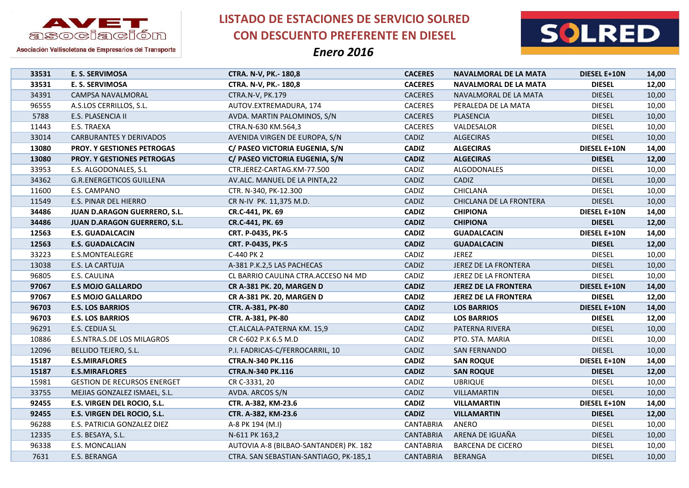

**LISTADO DE ESTACIONES DE SERVICIO SOLRED CON DESCUENTO PREFERENTE EN DIESEL**



| 33531 | E. S. SERVIMOSA                     | CTRA. N-V, PK.- 180,8                  | <b>CACERES</b>   | NAVALMORAL DE LA MATA        | DIESEL E+10N        | 14,00 |
|-------|-------------------------------------|----------------------------------------|------------------|------------------------------|---------------------|-------|
| 33531 | E. S. SERVIMOSA                     | CTRA. N-V, PK.- 180,8                  | <b>CACERES</b>   | <b>NAVALMORAL DE LA MATA</b> | <b>DIESEL</b>       | 12,00 |
| 34391 | CAMPSA NAVALMORAL                   | CTRA.N-V, PK.179                       | <b>CACERES</b>   | NAVALMORAL DE LA MATA        | <b>DIESEL</b>       | 10,00 |
| 96555 | A.S.LOS CERRILLOS, S.L.             | AUTOV.EXTREMADURA, 174                 | CACERES          | PERALEDA DE LA MATA          | <b>DIESEL</b>       | 10,00 |
| 5788  | E.S. PLASENCIA II                   | AVDA. MARTIN PALOMINOS, S/N            | <b>CACERES</b>   | PLASENCIA                    | <b>DIESEL</b>       | 10,00 |
| 11443 | E.S. TRAEXA                         | CTRA.N-630 KM.564,3                    | CACERES          | VALDESALOR                   | <b>DIESEL</b>       | 10,00 |
| 33014 | <b>CARBURANTES Y DERIVADOS</b>      | AVENIDA VIRGEN DE EUROPA, S/N          | CADIZ            | <b>ALGECIRAS</b>             | <b>DIESEL</b>       | 10,00 |
| 13080 | <b>PROY. Y GESTIONES PETROGAS</b>   | C/ PASEO VICTORIA EUGENIA, S/N         | <b>CADIZ</b>     | <b>ALGECIRAS</b>             | <b>DIESEL E+10N</b> | 14,00 |
| 13080 | <b>PROY. Y GESTIONES PETROGAS</b>   | C/ PASEO VICTORIA EUGENIA, S/N         | <b>CADIZ</b>     | <b>ALGECIRAS</b>             | <b>DIESEL</b>       | 12,00 |
| 33953 | E.S. ALGODONALES, S.L               | CTR.JEREZ-CARTAG.KM-77.500             | CADIZ            | ALGODONALES                  | <b>DIESEL</b>       | 10,00 |
| 34362 | <b>G.R.ENERGETICOS GUILLENA</b>     | AV.ALC. MANUEL DE LA PINTA,22          | CADIZ            | CADIZ                        | <b>DIESEL</b>       | 10,00 |
| 11600 | E.S. CAMPANO                        | CTR. N-340, PK-12.300                  | CADIZ            | <b>CHICLANA</b>              | <b>DIESEL</b>       | 10,00 |
| 11549 | E.S. PINAR DEL HIERRO               | CR N-IV PK. 11,375 M.D.                | CADIZ            | CHICLANA DE LA FRONTERA      | <b>DIESEL</b>       | 10,00 |
| 34486 | JUAN D.ARAGON GUERRERO, S.L.        | CR.C-441, PK. 69                       | <b>CADIZ</b>     | <b>CHIPIONA</b>              | <b>DIESEL E+10N</b> | 14,00 |
| 34486 | <b>JUAN D.ARAGON GUERRERO, S.L.</b> | CR.C-441, PK. 69                       | <b>CADIZ</b>     | <b>CHIPIONA</b>              | <b>DIESEL</b>       | 12,00 |
| 12563 | <b>E.S. GUADALCACIN</b>             | CRT. P-0435, PK-5                      | <b>CADIZ</b>     | <b>GUADALCACIN</b>           | DIESEL E+10N        | 14,00 |
| 12563 | <b>E.S. GUADALCACIN</b>             | CRT. P-0435, PK-5                      | <b>CADIZ</b>     | <b>GUADALCACIN</b>           | <b>DIESEL</b>       | 12,00 |
| 33223 | E.S.MONTEALEGRE                     | C-440 PK 2                             | CADIZ            | <b>JEREZ</b>                 | <b>DIESEL</b>       | 10,00 |
| 13038 | E.S. LA CARTUJA                     | A-381 P.K.2,5 LAS PACHECAS             | CADIZ            | JEREZ DE LA FRONTERA         | <b>DIESEL</b>       | 10,00 |
| 96805 | E.S. CAULINA                        | CL BARRIO CAULINA CTRA.ACCESO N4 MD    | CADIZ            | JEREZ DE LA FRONTERA         | <b>DIESEL</b>       | 10,00 |
| 97067 | <b>E.S MOJO GALLARDO</b>            | CR A-381 PK. 20, MARGEN D              | <b>CADIZ</b>     | <b>JEREZ DE LA FRONTERA</b>  | DIESEL E+10N        | 14,00 |
| 97067 | <b>E.S MOJO GALLARDO</b>            | CR A-381 PK. 20, MARGEN D              | <b>CADIZ</b>     | <b>JEREZ DE LA FRONTERA</b>  | <b>DIESEL</b>       | 12,00 |
| 96703 | <b>E.S. LOS BARRIOS</b>             | CTR. A-381, PK-80                      | <b>CADIZ</b>     | <b>LOS BARRIOS</b>           | <b>DIESEL E+10N</b> | 14,00 |
| 96703 | <b>E.S. LOS BARRIOS</b>             | CTR. A-381, PK-80                      | <b>CADIZ</b>     | <b>LOS BARRIOS</b>           | <b>DIESEL</b>       | 12,00 |
| 96291 | E.S. CEDIJA SL                      | CT.ALCALA-PATERNA KM. 15,9             | CADIZ            | PATERNA RIVERA               | <b>DIESEL</b>       | 10,00 |
| 10886 | E.S.NTRA.S.DE LOS MILAGROS          | CR C-602 P.K 6.5 M.D                   | CADIZ            | PTO. STA. MARIA              | <b>DIESEL</b>       | 10,00 |
| 12096 | BELLIDO TEJERO, S.L.                | P.I. FADRICAS-C/FERROCARRIL, 10        | CADIZ            | SAN FERNANDO                 | <b>DIESEL</b>       | 10,00 |
| 15187 | <b>E.S.MIRAFLORES</b>               | <b>CTRA.N-340 PK.116</b>               | <b>CADIZ</b>     | <b>SAN ROQUE</b>             | DIESEL E+10N        | 14,00 |
| 15187 | <b>E.S.MIRAFLORES</b>               | <b>CTRA.N-340 PK.116</b>               | <b>CADIZ</b>     | <b>SAN ROQUE</b>             | <b>DIESEL</b>       | 12,00 |
| 15981 | <b>GESTION DE RECURSOS ENERGET</b>  | CR C-3331, 20                          | CADIZ            | <b>UBRIQUE</b>               | <b>DIESEL</b>       | 10,00 |
| 33755 | MEJIAS GONZALEZ ISMAEL, S.L.        | AVDA. ARCOS S/N                        | CADIZ            | VILLAMARTIN                  | <b>DIESEL</b>       | 10,00 |
| 92455 | E.S. VIRGEN DEL ROCIO, S.L.         | CTR. A-382, KM-23.6                    | <b>CADIZ</b>     | <b>VILLAMARTIN</b>           | <b>DIESEL E+10N</b> | 14,00 |
| 92455 | E.S. VIRGEN DEL ROCIO, S.L.         | CTR. A-382, KM-23.6                    | <b>CADIZ</b>     | <b>VILLAMARTIN</b>           | <b>DIESEL</b>       | 12,00 |
| 96288 | E.S. PATRICIA GONZALEZ DIEZ         | A-8 PK 194 (M.I)                       | CANTABRIA        | ANERO                        | <b>DIESEL</b>       | 10,00 |
| 12335 | E.S. BESAYA, S.L.                   | N-611 PK 163,2                         | <b>CANTABRIA</b> | ARENA DE IGUAÑA              | <b>DIESEL</b>       | 10,00 |
| 96338 | E.S. MONCALIAN                      | AUTOVIA A-8 (BILBAO-SANTANDER) PK. 182 | <b>CANTABRIA</b> | <b>BARCENA DE CICERO</b>     | <b>DIESEL</b>       | 10,00 |
| 7631  | E.S. BERANGA                        | CTRA. SAN SEBASTIAN-SANTIAGO, PK-185,1 | <b>CANTABRIA</b> | <b>BERANGA</b>               | <b>DIESEL</b>       | 10,00 |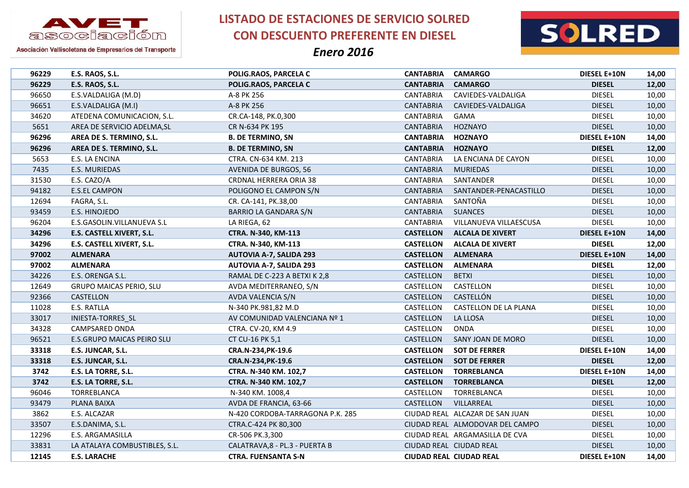

**LISTADO DE ESTACIONES DE SERVICIO SOLRED CON DESCUENTO PREFERENTE EN DIESEL**



| 96229 | E.S. RAOS, S.L.                | POLIG.RAOS, PARCELA C            | <b>CANTABRIA</b> | <b>CAMARGO</b>                  | <b>DIESEL E+10N</b> | 14,00 |
|-------|--------------------------------|----------------------------------|------------------|---------------------------------|---------------------|-------|
| 96229 | E.S. RAOS, S.L.                | POLIG.RAOS, PARCELA C            | <b>CANTABRIA</b> | <b>CAMARGO</b>                  | <b>DIESEL</b>       | 12,00 |
| 96650 | E.S.VALDALIGA (M.D)            | A-8 PK 256                       | <b>CANTABRIA</b> | CAVIEDES-VALDALIGA              | <b>DIESEL</b>       | 10,00 |
| 96651 | E.S.VALDALIGA (M.I)            | A-8 PK 256                       | <b>CANTABRIA</b> | CAVIEDES-VALDALIGA              | <b>DIESEL</b>       | 10,00 |
| 34620 | ATEDENA COMUNICACION, S.L.     | CR.CA-148, PK.0,300              | <b>CANTABRIA</b> | GAMA                            | <b>DIESEL</b>       | 10,00 |
| 5651  | AREA DE SERVICIO ADELMA, SL    | CR N-634 PK 195                  | <b>CANTABRIA</b> | HOZNAYO                         | <b>DIESEL</b>       | 10,00 |
| 96296 | AREA DE S. TERMINO, S.L.       | <b>B. DE TERMINO, SN</b>         | <b>CANTABRIA</b> | <b>HOZNAYO</b>                  | DIESEL E+10N        | 14,00 |
| 96296 | AREA DE S. TERMINO, S.L.       | <b>B. DE TERMINO, SN</b>         | <b>CANTABRIA</b> | <b>HOZNAYO</b>                  | <b>DIESEL</b>       | 12,00 |
| 5653  | E.S. LA ENCINA                 | CTRA. CN-634 KM. 213             | <b>CANTABRIA</b> | LA ENCIANA DE CAYON             | <b>DIESEL</b>       | 10,00 |
| 7435  | E.S. MURIEDAS                  | <b>AVENIDA DE BURGOS, 56</b>     | <b>CANTABRIA</b> | <b>MURIEDAS</b>                 | <b>DIESEL</b>       | 10,00 |
| 31530 | E.S. CAZO/A                    | CRDNAL HERRERA ORIA 38           | <b>CANTABRIA</b> | SANTANDER                       | <b>DIESEL</b>       | 10,00 |
| 94182 | E.S.EL CAMPON                  | POLIGONO EL CAMPON S/N           | <b>CANTABRIA</b> | SANTANDER-PENACASTILLO          | <b>DIESEL</b>       | 10,00 |
| 12694 | FAGRA, S.L.                    | CR. CA-141, PK.38,00             | <b>CANTABRIA</b> | SANTOÑA                         | <b>DIESEL</b>       | 10,00 |
| 93459 | E.S. HINOJEDO                  | BARRIO LA GANDARA S/N            | <b>CANTABRIA</b> | <b>SUANCES</b>                  | <b>DIESEL</b>       | 10,00 |
| 96204 | E.S.GASOLIN.VILLANUEVA S.L     | LA RIEGA, 62                     | <b>CANTABRIA</b> | VILLANUEVA VILLAESCUSA          | <b>DIESEL</b>       | 10,00 |
| 34296 | E.S. CASTELL XIVERT, S.L.      | CTRA. N-340, KM-113              | <b>CASTELLON</b> | <b>ALCALA DE XIVERT</b>         | <b>DIESEL E+10N</b> | 14,00 |
| 34296 | E.S. CASTELL XIVERT, S.L.      | CTRA. N-340, KM-113              | <b>CASTELLON</b> | <b>ALCALA DE XIVERT</b>         | <b>DIESEL</b>       | 12,00 |
| 97002 | <b>ALMENARA</b>                | <b>AUTOVIA A-7, SALIDA 293</b>   | <b>CASTELLON</b> | <b>ALMENARA</b>                 | DIESEL E+10N        | 14,00 |
| 97002 | <b>ALMENARA</b>                | <b>AUTOVIA A-7, SALIDA 293</b>   | <b>CASTELLON</b> | <b>ALMENARA</b>                 | <b>DIESEL</b>       | 12,00 |
| 34226 | E.S. ORENGA S.L.               | RAMAL DE C-223 A BETXI K 2,8     | CASTELLON        | <b>BETXI</b>                    | <b>DIESEL</b>       | 10,00 |
| 12649 | <b>GRUPO MAICAS PERIO, SLU</b> | AVDA MEDITERRANEO, S/N           | CASTELLON        | CASTELLON                       | <b>DIESEL</b>       | 10,00 |
| 92366 | CASTELLON                      | AVDA VALENCIA S/N                | CASTELLON        | CASTELLÓN                       | <b>DIESEL</b>       | 10,00 |
| 11028 | E.S. RATLLA                    | N-340 PK.981,82 M.D              | CASTELLON        | CASTELLON DE LA PLANA           | <b>DIESEL</b>       | 10,00 |
| 33017 | INIESTA-TORRES SL              | AV COMUNIDAD VALENCIANA Nº 1     | CASTELLON        | LA LLOSA                        | <b>DIESEL</b>       | 10,00 |
| 34328 | CAMPSARED ONDA                 | CTRA. CV-20, KM 4.9              | CASTELLON        | <b>ONDA</b>                     | <b>DIESEL</b>       | 10,00 |
| 96521 | E.S.GRUPO MAICAS PEIRO SLU     | CT CU-16 PK 5,1                  | CASTELLON        | SANY JOAN DE MORO               | <b>DIESEL</b>       | 10,00 |
| 33318 | E.S. JUNCAR, S.L.              | CRA.N-234, PK-19.6               | <b>CASTELLON</b> | <b>SOT DE FERRER</b>            | DIESEL E+10N        | 14,00 |
| 33318 | E.S. JUNCAR, S.L.              | CRA.N-234, PK-19.6               | <b>CASTELLON</b> | <b>SOT DE FERRER</b>            | <b>DIESEL</b>       | 12,00 |
| 3742  | E.S. LA TORRE, S.L.            | CTRA. N-340 KM. 102,7            | <b>CASTELLON</b> | <b>TORREBLANCA</b>              | DIESEL E+10N        | 14,00 |
| 3742  | E.S. LA TORRE, S.L.            | CTRA. N-340 KM. 102,7            | <b>CASTELLON</b> | <b>TORREBLANCA</b>              | <b>DIESEL</b>       | 12,00 |
| 96046 | TORREBLANCA                    | N-340 KM. 1008,4                 | CASTELLON        | TORREBLANCA                     | <b>DIESEL</b>       | 10,00 |
| 93479 | PLANA BAIXA                    | AVDA DE FRANCIA, 63-66           | CASTELLON        | VILLARREAL                      | <b>DIESEL</b>       | 10,00 |
| 3862  | E.S. ALCAZAR                   | N-420 CORDOBA-TARRAGONA P.K. 285 |                  | CIUDAD REAL ALCAZAR DE SAN JUAN | <b>DIESEL</b>       | 10,00 |
| 33507 | E.S.DANIMA, S.L.               | CTRA.C-424 PK 80,300             |                  | CIUDAD REAL ALMODOVAR DEL CAMPO | <b>DIESEL</b>       | 10,00 |
| 12296 | E.S. ARGAMASILLA               | CR-506 PK.3,300                  |                  | CIUDAD REAL ARGAMASILLA DE CVA  | <b>DIESEL</b>       | 10,00 |
| 33831 | LA ATALAYA COMBUSTIBLES, S.L.  | CALATRAVA, 8 - PL.3 - PUERTA B   |                  | CIUDAD REAL CIUDAD REAL         | <b>DIESEL</b>       | 10,00 |
| 12145 | <b>E.S. LARACHE</b>            | <b>CTRA. FUENSANTA S-N</b>       |                  | <b>CIUDAD REAL CIUDAD REAL</b>  | <b>DIESEL E+10N</b> | 14,00 |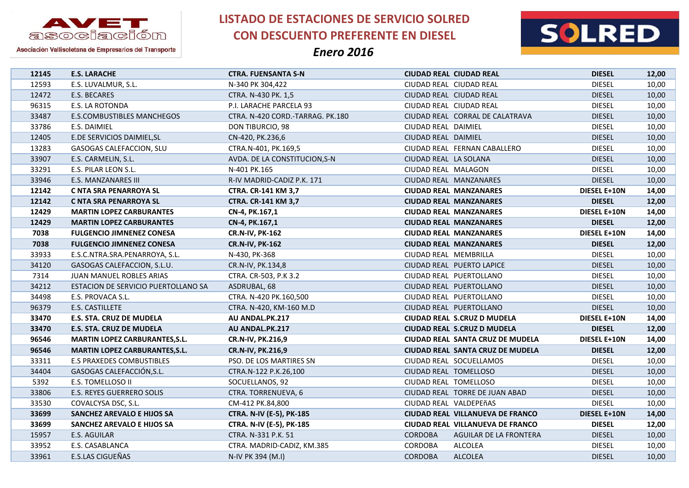

**LISTADO DE ESTACIONES DE SERVICIO SOLRED CON DESCUENTO PREFERENTE EN DIESEL**



| 12145 | <b>E.S. LARACHE</b>                   | <b>CTRA. FUENSANTA S-N</b>       | <b>CIUDAD REAL CIUDAD REAL</b>          | <b>DIESEL</b>                           | 12,00 |
|-------|---------------------------------------|----------------------------------|-----------------------------------------|-----------------------------------------|-------|
| 12593 | E.S. LUVALMUR, S.L.                   | N-340 PK 304,422                 | CIUDAD REAL CIUDAD REAL                 | <b>DIESEL</b>                           | 10,00 |
| 12472 | E.S. BECARES                          | CTRA. N-430 PK. 1,5              | CIUDAD REAL CIUDAD REAL                 | <b>DIESEL</b>                           | 10,00 |
| 96315 | E.S. LA ROTONDA                       | P.I. LARACHE PARCELA 93          | CIUDAD REAL CIUDAD REAL                 | <b>DIESEL</b>                           | 10,00 |
| 33487 | <b>E.S.COMBUSTIBLES MANCHEGOS</b>     | CTRA. N-420 CORD.-TARRAG. PK.180 | CIUDAD REAL CORRAL DE CALATRAVA         | <b>DIESEL</b>                           | 10,00 |
| 33786 | E.S. DAIMIEL                          | DON TIBURCIO, 98                 | CIUDAD REAL DAIMIEL                     | <b>DIESEL</b>                           | 10,00 |
| 12405 | E.DE SERVICIOS DAIMIEL, SL            | CN-420, PK.236,6                 | CIUDAD REAL DAIMIEL                     | <b>DIESEL</b>                           | 10,00 |
| 13283 | GASOGAS CALEFACCION, SLU              | CTRA.N-401, PK.169,5             | CIUDAD REAL FERNAN CABALLERO            | <b>DIESEL</b>                           | 10,00 |
| 33907 | E.S. CARMELIN, S.L.                   | AVDA. DE LA CONSTITUCION, S-N    | CIUDAD REAL LA SOLANA                   | <b>DIESEL</b>                           | 10,00 |
| 33291 | E.S. PILAR LEON S.L.                  | N-401 PK.165                     | CIUDAD REAL MALAGON                     | <b>DIESEL</b>                           | 10,00 |
| 33946 | E.S. MANZANARES III                   | R-IV MADRID-CADIZ P.K. 171       | CIUDAD REAL MANZANARES                  | <b>DIESEL</b>                           | 10,00 |
| 12142 | C NTA SRA PENARROYA SL                | CTRA. CR-141 KM 3,7              | <b>CIUDAD REAL MANZANARES</b>           | DIESEL E+10N                            | 14,00 |
| 12142 | C NTA SRA PENARROYA SL                | CTRA. CR-141 KM 3,7              | <b>CIUDAD REAL MANZANARES</b>           | <b>DIESEL</b>                           | 12,00 |
| 12429 | <b>MARTIN LOPEZ CARBURANTES</b>       | CN-4, PK.167,1                   | <b>CIUDAD REAL MANZANARES</b>           | DIESEL E+10N                            | 14,00 |
| 12429 | <b>MARTIN LOPEZ CARBURANTES</b>       | CN-4, PK.167,1                   | <b>CIUDAD REAL MANZANARES</b>           | <b>DIESEL</b>                           | 12,00 |
| 7038  | <b>FULGENCIO JIMNENEZ CONESA</b>      | <b>CR.N-IV, PK-162</b>           | <b>CIUDAD REAL MANZANARES</b>           | <b>DIESEL E+10N</b>                     | 14,00 |
| 7038  | <b>FULGENCIO JIMNENEZ CONESA</b>      | <b>CR.N-IV, PK-162</b>           | <b>CIUDAD REAL MANZANARES</b>           | <b>DIESEL</b>                           | 12,00 |
| 33933 | E.S.C.NTRA.SRA.PENARROYA, S.L.        | N-430, PK-368                    | CIUDAD REAL MEMBRILLA                   | <b>DIESEL</b>                           | 10,00 |
| 34120 | GASOGAS CALEFACCION, S.L.U.           | CR.N-IV, PK.134,8                | CIUDAD REAL PUERTO LAPICE               | <b>DIESEL</b>                           | 10,00 |
| 7314  | JUAN MANUEL ROBLES ARIAS              | CTRA. CR-503, P.K 3.2            | CIUDAD REAL PUERTOLLANO                 | <b>DIESEL</b>                           | 10,00 |
| 34212 | ESTACION DE SERVICIO PUERTOLLANO SA   | ASDRUBAL, 68                     | CIUDAD REAL PUERTOLLANO                 | <b>DIESEL</b>                           | 10,00 |
| 34498 | E.S. PROVACA S.L.                     | CTRA. N-420 PK.160,500           | CIUDAD REAL PUERTOLLANO                 | <b>DIESEL</b>                           | 10,00 |
| 96379 | E.S. CASTILLETE                       | CTRA. N-420, KM-160 M.D          | CIUDAD REAL PUERTOLLANO                 | <b>DIESEL</b>                           | 10,00 |
| 33470 | E.S. STA. CRUZ DE MUDELA              | AU ANDAL.PK.217                  | CIUDAD REAL S.CRUZ D MUDELA             | <b>DIESEL E+10N</b>                     | 14,00 |
| 33470 | <b>E.S. STA. CRUZ DE MUDELA</b>       | AU ANDAL.PK.217                  | <b>CIUDAD REAL S.CRUZ D MUDELA</b>      | <b>DIESEL</b>                           | 12,00 |
| 96546 | <b>MARTIN LOPEZ CARBURANTES, S.L.</b> | CR.N-IV, PK.216,9                | CIUDAD REAL SANTA CRUZ DE MUDELA        | <b>DIESEL E+10N</b>                     | 14,00 |
| 96546 | <b>MARTIN LOPEZ CARBURANTES, S.L.</b> | <b>CR.N-IV, PK.216,9</b>         | <b>CIUDAD REAL SANTA CRUZ DE MUDELA</b> | <b>DIESEL</b>                           | 12,00 |
| 33311 | <b>E.S PRAXEDES COMBUSTIBLES</b>      | PSO. DE LOS MARTIRES SN          | CIUDAD REAL SOCUELLAMOS                 | <b>DIESEL</b>                           | 10,00 |
| 34404 | GASOGAS CALEFACCIÓN, S.L.             | CTRA.N-122 P.K.26,100            | CIUDAD REAL TOMELLOSO                   | <b>DIESEL</b>                           | 10,00 |
| 5392  | E.S. TOMELLOSO II                     | SOCUELLANOS, 92                  | CIUDAD REAL TOMELLOSO                   | <b>DIESEL</b>                           | 10,00 |
| 33806 | E.S. REYES GUERRERO SOLIS             | CTRA. TORRENUEVA, 6              | CIUDAD REAL TORRE DE JUAN ABAD          | <b>DIESEL</b>                           | 10,00 |
| 33530 | COVALCYSA DSC, S.L.                   | CM-412 PK.84,800                 | CIUDAD REAL VALDEPEñAS                  | <b>DIESEL</b>                           | 10,00 |
| 33699 | SANCHEZ AREVALO E HIJOS SA            | CTRA. N-IV (E-5), PK-185         | <b>CIUDAD REAL VILLANUEVA DE FRANCO</b> | <b>DIESEL E+10N</b>                     | 14,00 |
| 33699 | SANCHEZ AREVALO E HIJOS SA            | CTRA. N-IV (E-5), PK-185         | CIUDAD REAL VILLANUEVA DE FRANCO        | <b>DIESEL</b>                           | 12,00 |
| 15957 | E.S. AGUILAR                          | CTRA. N-331 P.K. 51              | <b>CORDOBA</b>                          | AGUILAR DE LA FRONTERA<br><b>DIESEL</b> | 10,00 |
| 33952 | E.S. CASABLANCA                       | CTRA. MADRID-CADIZ, KM.385       | CORDOBA<br><b>ALCOLEA</b>               | <b>DIESEL</b>                           | 10,00 |
| 33961 | E.S.LAS CIGUEÑAS                      | N-IV PK 394 (M.I)                | <b>CORDOBA</b><br><b>ALCOLEA</b>        | <b>DIESEL</b>                           | 10,00 |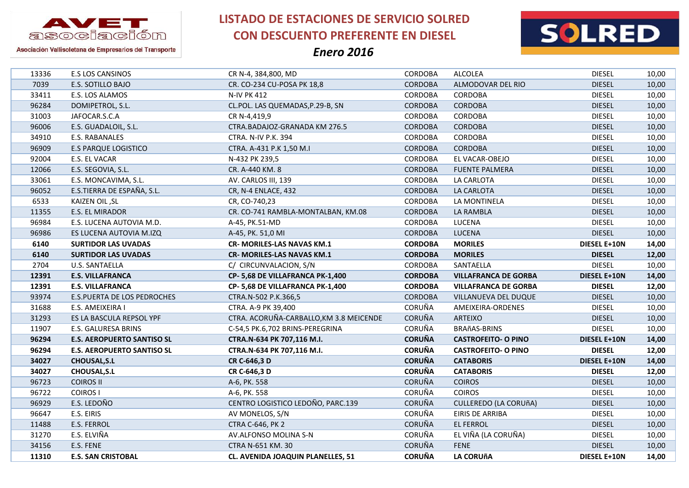

**LISTADO DE ESTACIONES DE SERVICIO SOLRED CON DESCUENTO PREFERENTE EN DIESEL**



| 13336 | E.S LOS CANSINOS                   | CR N-4, 384,800, MD                     | CORDOBA                        | <b>ALCOLEA</b>              | <b>DIESEL</b>       | 10,00 |
|-------|------------------------------------|-----------------------------------------|--------------------------------|-----------------------------|---------------------|-------|
| 7039  | <b>E.S. SOTILLO BAJO</b>           | CR. CO-234 CU-POSA PK 18,8              | <b>CORDOBA</b>                 | ALMODOVAR DEL RIO           | <b>DIESEL</b>       | 10,00 |
| 33411 | E.S. LOS ALAMOS                    | <b>N-IV PK 412</b>                      | <b>CORDOBA</b>                 | CORDOBA                     | <b>DIESEL</b>       | 10,00 |
| 96284 | DOMIPETROL, S.L.                   | CL.POL. LAS QUEMADAS, P.29-B, SN        | <b>CORDOBA</b>                 | <b>CORDOBA</b>              | <b>DIESEL</b>       | 10,00 |
| 31003 | JAFOCAR.S.C.A                      | CR N-4,419,9                            | CORDOBA                        | <b>CORDOBA</b>              | <b>DIESEL</b>       | 10,00 |
| 96006 | E.S. GUADALOIL, S.L.               | CTRA.BADAJOZ-GRANADA KM 276.5           | <b>CORDOBA</b>                 | <b>CORDOBA</b>              | <b>DIESEL</b>       | 10,00 |
| 34910 | E.S. RABANALES                     | CTRA. N-IV P.K. 394                     | <b>CORDOBA</b>                 | <b>CORDOBA</b>              | <b>DIESEL</b>       | 10,00 |
| 96909 | <b>E.S PARQUE LOGISTICO</b>        | CTRA. A-431 P.K 1,50 M.I                | <b>CORDOBA</b>                 | <b>CORDOBA</b>              | <b>DIESEL</b>       | 10,00 |
| 92004 | E.S. EL VACAR                      | N-432 PK 239,5                          | CORDOBA                        | EL VACAR-OBEJO              | <b>DIESEL</b>       | 10,00 |
| 12066 | E.S. SEGOVIA, S.L.                 | CR. A-440 KM. 8                         | <b>CORDOBA</b>                 | <b>FUENTE PALMERA</b>       | <b>DIESEL</b>       | 10,00 |
| 33061 | E.S. MONCAVIMA, S.L.               | AV. CARLOS III, 139                     | CORDOBA                        | LA CARLOTA                  | <b>DIESEL</b>       | 10,00 |
| 96052 | E.S.TIERRA DE ESPAÑA, S.L.         | CR, N-4 ENLACE, 432                     | <b>CORDOBA</b>                 | LA CARLOTA                  | <b>DIESEL</b>       | 10,00 |
| 6533  | KAIZEN OIL, SL                     | CR, CO-740,23                           | CORDOBA                        | LA MONTINELA                | <b>DIESEL</b>       | 10,00 |
| 11355 | E.S. EL MIRADOR                    | CR. CO-741 RAMBLA-MONTALBAN, KM.08      | <b>CORDOBA</b>                 | LA RAMBLA                   | <b>DIESEL</b>       | 10,00 |
| 96984 | E.S. LUCENA AUTOVIA M.D.           | A-45, PK.51-MD                          | <b>CORDOBA</b>                 | LUCENA                      | <b>DIESEL</b>       | 10,00 |
| 96986 | ES LUCENA AUTOVIA M.IZQ            | A-45, PK. 51,0 MI                       | <b>CORDOBA</b>                 | <b>LUCENA</b>               | <b>DIESEL</b>       | 10,00 |
| 6140  | <b>SURTIDOR LAS UVADAS</b>         | <b>CR- MORILES-LAS NAVAS KM.1</b>       | <b>CORDOBA</b>                 | <b>MORILES</b>              | DIESEL E+10N        | 14,00 |
| 6140  | <b>SURTIDOR LAS UVADAS</b>         | <b>CR- MORILES-LAS NAVAS KM.1</b>       | <b>CORDOBA</b>                 | <b>MORILES</b>              | <b>DIESEL</b>       | 12,00 |
| 2704  | U.S. SANTAELLA                     | C/ CIRCUNVALACION, S/N                  | <b>CORDOBA</b>                 | SANTAELLA                   | <b>DIESEL</b>       | 10,00 |
|       |                                    | CP-5,68 DE VILLAFRANCA PK-1,400         |                                | <b>VILLAFRANCA DE GORBA</b> | <b>DIESEL E+10N</b> | 14,00 |
| 12391 | <b>E.S. VILLAFRANCA</b>            |                                         | <b>CORDOBA</b>                 |                             |                     |       |
| 12391 | <b>E.S. VILLAFRANCA</b>            | CP-5,68 DE VILLAFRANCA PK-1,400         | <b>CORDOBA</b>                 | <b>VILLAFRANCA DE GORBA</b> | <b>DIESEL</b>       | 12,00 |
| 93974 | <b>E.S.PUERTA DE LOS PEDROCHES</b> | CTRA.N-502 P.K.366,5                    | <b>CORDOBA</b>                 | VILLANUEVA DEL DUQUE        | <b>DIESEL</b>       | 10,00 |
| 31688 | E.S. AMEIXEIRA I                   | CTRA. A-9 PK 39,400                     | <b>CORUÑA</b>                  | AMEIXEIRA-ORDENES           | <b>DIESEL</b>       | 10,00 |
| 31293 | ES LA BASCULA REPSOL YPF           | CTRA. ACORUÑA-CARBALLO, KM 3.8 MEICENDE | <b>CORUÑA</b>                  | <b>ARTEIXO</b>              | <b>DIESEL</b>       | 10,00 |
| 11907 | E.S. GALURESA BRINS                | C-54,5 PK.6,702 BRINS-PEREGRINA         | <b>CORUÑA</b>                  | BRAñAS-BRINS                | <b>DIESEL</b>       | 10,00 |
| 96294 | <b>E.S. AEROPUERTO SANTISO SL</b>  | CTRA.N-634 PK 707,116 M.I.              | <b>CORUÑA</b>                  | <b>CASTROFEITO- O PINO</b>  | <b>DIESEL E+10N</b> | 14,00 |
| 96294 | <b>E.S. AEROPUERTO SANTISO SL</b>  | CTRA.N-634 PK 707,116 M.I.              | <b>CORUÑA</b>                  | <b>CASTROFEITO- O PINO</b>  | <b>DIESEL</b>       | 12,00 |
| 34027 | <b>CHOUSAL, S.L</b>                | CR C-646,3 D                            | <b>CORUÑA</b>                  | <b>CATABORIS</b>            | <b>DIESEL E+10N</b> | 14,00 |
| 34027 | <b>CHOUSAL, S.L</b>                | CR C-646,3 D                            | <b>CORUÑA</b>                  | <b>CATABORIS</b>            | <b>DIESEL</b>       | 12,00 |
| 96723 | <b>COIROS II</b>                   | A-6, PK. 558                            | CORUÑA                         | <b>COIROS</b>               | <b>DIESEL</b>       | 10,00 |
| 96722 | <b>COIROS I</b>                    | A-6, PK. 558                            | <b>CORUÑA</b>                  | <b>COIROS</b>               | <b>DIESEL</b>       | 10,00 |
| 96929 | E.S. LEDOÑO                        | CENTRO LOGISTICO LEDOÑO, PARC.139       | <b>CORUÑA</b>                  | CULLEREDO (LA CORUÑA)       | <b>DIESEL</b>       | 10,00 |
| 96647 | E.S. EIRIS                         | AV MONELOS, S/N                         | <b>CORUÑA</b>                  | EIRIS DE ARRIBA             | <b>DIESEL</b>       | 10,00 |
| 11488 | <b>E.S. FERROL</b>                 | <b>CTRA C-646, PK 2</b>                 | <b>CORUÑA</b>                  | <b>EL FERROL</b>            | <b>DIESEL</b>       | 10,00 |
| 31270 | E.S. ELVIÑA                        | AV.ALFONSO MOLINA S-N                   | <b>CORUÑA</b>                  | EL VIÑA (LA CORUÑA)         | <b>DIESEL</b>       | 10,00 |
| 34156 | E.S. FENE                          | CTRA N-651 KM. 30                       | <b>CORUÑA</b><br><b>CORUÑA</b> | <b>FENE</b>                 | <b>DIESEL</b>       | 10,00 |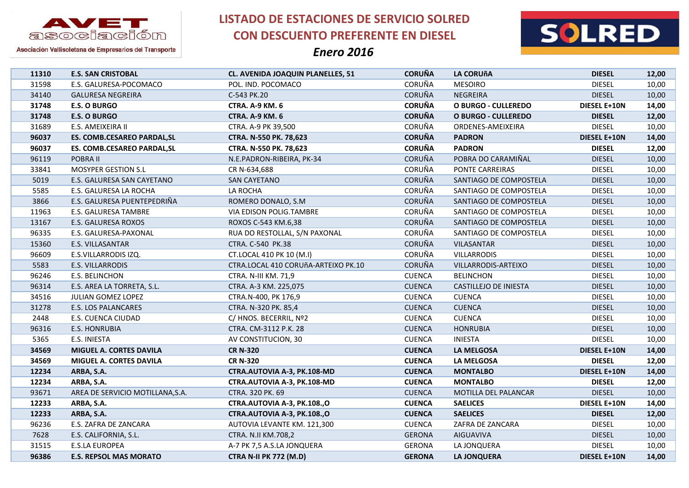

**LISTADO DE ESTACIONES DE SERVICIO SOLRED CON DESCUENTO PREFERENTE EN DIESEL**



| 11310 | <b>E.S. SAN CRISTOBAL</b>          | CL. AVENIDA JOAQUIN PLANELLES, 51   | <b>CORUÑA</b> | <b>LA CORUñA</b>           | <b>DIESEL</b>       | 12,00 |
|-------|------------------------------------|-------------------------------------|---------------|----------------------------|---------------------|-------|
| 31598 | E.S. GALURESA-POCOMACO             | POL. IND. POCOMACO                  | CORUÑA        | <b>MESOIRO</b>             | <b>DIESEL</b>       | 10,00 |
| 34140 | <b>GALURESA NEGREIRA</b>           | C-543 PK.20                         | <b>CORUÑA</b> | <b>NEGREIRA</b>            | <b>DIESEL</b>       | 10,00 |
| 31748 | <b>E.S. O BURGO</b>                | <b>CTRA. A-9 KM. 6</b>              | <b>CORUÑA</b> | <b>O BURGO - CULLEREDO</b> | <b>DIESEL E+10N</b> | 14,00 |
| 31748 | <b>E.S. O BURGO</b>                | <b>CTRA. A-9 KM. 6</b>              | <b>CORUÑA</b> | <b>O BURGO - CULLEREDO</b> | <b>DIESEL</b>       | 12,00 |
| 31689 | E.S. AMEIXEIRA II                  | CTRA. A-9 PK 39,500                 | CORUÑA        | ORDENES-AMEIXEIRA          | <b>DIESEL</b>       | 10,00 |
| 96037 | <b>ES. COMB.CESAREO PARDAL, SL</b> | CTRA. N-550 PK. 78,623              | <b>CORUÑA</b> | <b>PADRON</b>              | <b>DIESEL E+10N</b> | 14,00 |
| 96037 | ES. COMB.CESAREO PARDAL, SL        | CTRA. N-550 PK. 78,623              | <b>CORUÑA</b> | <b>PADRON</b>              | <b>DIESEL</b>       | 12,00 |
| 96119 | POBRA II                           | N.E.PADRON-RIBEIRA, PK-34           | CORUÑA        | POBRA DO CARAMIÑAL         | <b>DIESEL</b>       | 10,00 |
| 33841 | MOSYPER GESTION S.L                | CR N-634,688                        | CORUÑA        | PONTE CARREIRAS            | <b>DIESEL</b>       | 10,00 |
| 5019  | E.S. GALURESA SAN CAYETANO         | SAN CAYETANO                        | <b>CORUÑA</b> | SANTIAGO DE COMPOSTELA     | <b>DIESEL</b>       | 10,00 |
| 5585  | E.S. GALURESA LA ROCHA             | LA ROCHA                            | CORUÑA        | SANTIAGO DE COMPOSTELA     | <b>DIESEL</b>       | 10,00 |
| 3866  | E.S. GALURESA PUENTEPEDRIÑA        | ROMERO DONALO, S.M.                 | <b>CORUÑA</b> | SANTIAGO DE COMPOSTELA     | <b>DIESEL</b>       | 10,00 |
| 11963 | E.S. GALURESA TAMBRE               | VIA EDISON POLIG.TAMBRE             | CORUÑA        | SANTIAGO DE COMPOSTELA     | <b>DIESEL</b>       | 10,00 |
| 13167 | E.S. GALURESA ROXOS                | ROXOS C-543 KM.6,38                 | <b>CORUÑA</b> | SANTIAGO DE COMPOSTELA     | <b>DIESEL</b>       | 10,00 |
| 96335 | E.S. GALURESA-PAXONAL              | RUA DO RESTOLLAL, S/N PAXONAL       | CORUÑA        | SANTIAGO DE COMPOSTELA     | <b>DIESEL</b>       | 10,00 |
| 15360 | E.S. VILLASANTAR                   | CTRA. C-540 PK.38                   | <b>CORUÑA</b> | VILASANTAR                 | <b>DIESEL</b>       | 10,00 |
| 96609 | E.S.VILLARRODIS IZQ.               | CT.LOCAL 410 PK 10 (M.I)            | CORUÑA        | <b>VILLARRODIS</b>         | <b>DIESEL</b>       | 10,00 |
| 5583  | E.S. VILLARRODIS                   | CTRA.LOCAL 410 CORUñA-ARTEIXO PK.10 | <b>CORUÑA</b> | VILLARRODIS-ARTEIXO        | <b>DIESEL</b>       | 10,00 |
| 96246 | E.S. BELINCHON                     | CTRA. N-III KM. 71,9                | <b>CUENCA</b> | <b>BELINCHON</b>           | <b>DIESEL</b>       | 10,00 |
| 96314 | E.S. AREA LA TORRETA, S.L.         | CTRA. A-3 KM. 225,075               | <b>CUENCA</b> | CASTILLEJO DE INIESTA      | <b>DIESEL</b>       | 10,00 |
| 34516 | JULIAN GOMEZ LOPEZ                 | CTRA.N-400, PK 176,9                | <b>CUENCA</b> | <b>CUENCA</b>              | <b>DIESEL</b>       | 10,00 |
| 31278 | E.S. LOS PALANCARES                | CTRA. N-320 PK. 85,4                | <b>CUENCA</b> | <b>CUENCA</b>              | <b>DIESEL</b>       | 10,00 |
| 2448  | E.S. CUENCA CIUDAD                 | C/ HNOS. BECERRIL, Nº2              | <b>CUENCA</b> | <b>CUENCA</b>              | <b>DIESEL</b>       | 10,00 |
| 96316 | <b>E.S. HONRUBIA</b>               | CTRA. CM-3112 P.K. 28               | <b>CUENCA</b> | <b>HONRUBIA</b>            | <b>DIESEL</b>       | 10,00 |
| 5365  | E.S. INIESTA                       | AV CONSTITUCION, 30                 | <b>CUENCA</b> | <b>INIESTA</b>             | <b>DIESEL</b>       | 10,00 |
| 34569 | MIGUEL A. CORTES DAVILA            | <b>CR N-320</b>                     | <b>CUENCA</b> | <b>LA MELGOSA</b>          | <b>DIESEL E+10N</b> | 14,00 |
| 34569 | MIGUEL A. CORTES DAVILA            | <b>CR N-320</b>                     | <b>CUENCA</b> | LA MELGOSA                 | <b>DIESEL</b>       | 12,00 |
| 12234 | ARBA, S.A.                         | CTRA.AUTOVIA A-3, PK.108-MD         | <b>CUENCA</b> | <b>MONTALBO</b>            | <b>DIESEL E+10N</b> | 14,00 |
| 12234 | ARBA, S.A.                         | CTRA.AUTOVIA A-3, PK.108-MD         | <b>CUENCA</b> | <b>MONTALBO</b>            | <b>DIESEL</b>       | 12,00 |
| 93671 | AREA DE SERVICIO MOTILLANA, S.A.   | CTRA. 320 PK. 69                    | <b>CUENCA</b> | MOTILLA DEL PALANCAR       | <b>DIESEL</b>       | 10,00 |
| 12233 | ARBA, S.A.                         | CTRA.AUTOVIA A-3, PK.108.,O         | <b>CUENCA</b> | <b>SAELICES</b>            | <b>DIESEL E+10N</b> | 14,00 |
| 12233 | ARBA, S.A.                         | CTRA.AUTOVIA A-3, PK.108.,O         | <b>CUENCA</b> | <b>SAELICES</b>            | <b>DIESEL</b>       | 12,00 |
| 96236 | E.S. ZAFRA DE ZANCARA              | AUTOVIA LEVANTE KM. 121,300         | <b>CUENCA</b> | ZAFRA DE ZANCARA           | <b>DIESEL</b>       | 10,00 |
| 7628  | E.S. CALIFORNIA, S.L.              | CTRA. N.II KM.708,2                 | <b>GERONA</b> | AIGUAVIVA                  | <b>DIESEL</b>       | 10,00 |
| 31515 | <b>E.S.LA EUROPEA</b>              | A-7 PK 7,5 A.S.LA JONQUERA          | <b>GERONA</b> | LA JONQUERA                | <b>DIESEL</b>       | 10,00 |
| 96386 | <b>E.S. REPSOL MAS MORATO</b>      | <b>CTRA N-II PK 772 (M.D)</b>       | <b>GERONA</b> | LA JONQUERA                | DIESEL E+10N        | 14,00 |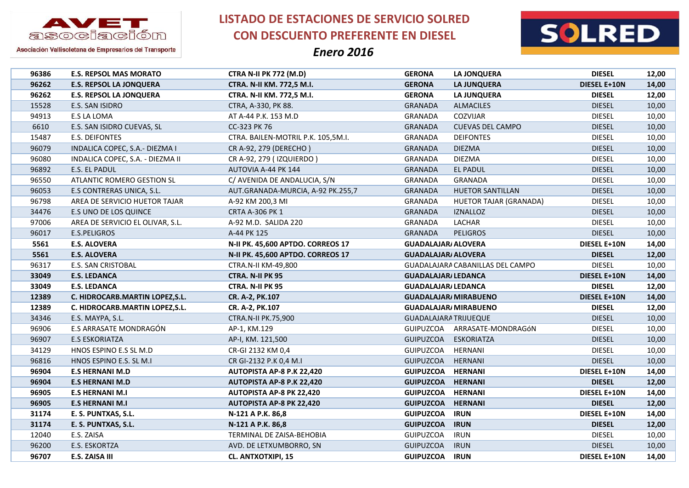

**LISTADO DE ESTACIONES DE SERVICIO SOLRED CON DESCUENTO PREFERENTE EN DIESEL**



| 96386 | <b>E.S. REPSOL MAS MORATO</b>    | <b>CTRA N-II PK 772 (M.D)</b>      | <b>GERONA</b>              | LA JONQUERA                      | <b>DIESEL</b>       | 12,00 |
|-------|----------------------------------|------------------------------------|----------------------------|----------------------------------|---------------------|-------|
| 96262 | <b>E.S. REPSOL LA JONQUERA</b>   | CTRA. N-II KM. 772,5 M.I.          | <b>GERONA</b>              | LA JUNQUERA                      | <b>DIESEL E+10N</b> | 14,00 |
| 96262 | <b>E.S. REPSOL LA JONQUERA</b>   | CTRA. N-II KM. 772,5 M.I.          | <b>GERONA</b>              | <b>LA JUNQUERA</b>               | <b>DIESEL</b>       | 12,00 |
| 15528 | E.S. SAN ISIDRO                  | CTRA, A-330, PK 88.                | <b>GRANADA</b>             | <b>ALMACILES</b>                 | <b>DIESEL</b>       | 10,00 |
| 94913 | E.S LA LOMA                      | AT A-44 P.K. 153 M.D               | <b>GRANADA</b>             | COZVIJAR                         | <b>DIESEL</b>       | 10,00 |
| 6610  | E.S. SAN ISIDRO CUEVAS, SL       | CC-323 PK 76                       | <b>GRANADA</b>             | <b>CUEVAS DEL CAMPO</b>          | <b>DIESEL</b>       | 10,00 |
| 15487 | <b>E.S. DEIFONTES</b>            | CTRA. BAILEN-MOTRIL P.K. 105,5M.I. | <b>GRANADA</b>             | <b>DEIFONTES</b>                 | <b>DIESEL</b>       | 10,00 |
| 96079 | INDALICA COPEC, S.A.- DIEZMA I   | CR A-92, 279 (DERECHO)             | <b>GRANADA</b>             | <b>DIEZMA</b>                    | <b>DIESEL</b>       | 10,00 |
| 96080 | INDALICA COPEC, S.A. - DIEZMA II | CR A-92, 279 (IZQUIERDO)           | GRANADA                    | <b>DIEZMA</b>                    | <b>DIESEL</b>       | 10,00 |
| 96892 | E.S. EL PADUL                    | AUTOVIA A-44 PK 144                | <b>GRANADA</b>             | <b>EL PADUL</b>                  | <b>DIESEL</b>       | 10,00 |
| 96550 | ATLANTIC ROMERO GESTION SL       | C/ AVENIDA DE ANDALUCIA, S/N       | <b>GRANADA</b>             | <b>GRANADA</b>                   | <b>DIESEL</b>       | 10,00 |
| 96053 | E.S CONTRERAS UNICA, S.L.        | AUT.GRANADA-MURCIA, A-92 PK.255,7  | <b>GRANADA</b>             | <b>HUETOR SANTILLAN</b>          | <b>DIESEL</b>       | 10,00 |
| 96798 | AREA DE SERVICIO HUETOR TAJAR    | A-92 KM 200,3 MI                   | <b>GRANADA</b>             | HUETOR TAJAR (GRANADA)           | <b>DIESEL</b>       | 10,00 |
| 34476 | E.S UNO DE LOS QUINCE            | <b>CRTA A-306 PK 1</b>             | <b>GRANADA</b>             | <b>IZNALLOZ</b>                  | <b>DIESEL</b>       | 10,00 |
| 97006 | AREA DE SERVICIO EL OLIVAR, S.L. | A-92 M.D. SALIDA 220               | <b>GRANADA</b>             | LACHAR                           | <b>DIESEL</b>       | 10,00 |
| 96017 | E.S.PELIGROS                     | A-44 PK 125                        | <b>GRANADA</b>             | <b>PELIGROS</b>                  | <b>DIESEL</b>       | 10,00 |
| 5561  | <b>E.S. ALOVERA</b>              | N-II PK. 45,600 APTDO. CORREOS 17  | <b>GUADALAJAR/ ALOVERA</b> |                                  | DIESEL E+10N        | 14,00 |
| 5561  | <b>E.S. ALOVERA</b>              | N-II PK. 45,600 APTDO. CORREOS 17  | <b>GUADALAJAR/ ALOVERA</b> |                                  | <b>DIESEL</b>       | 12,00 |
| 96317 | E.S. SAN CRISTOBAL               | CTRA.N-II KM-49,800                |                            | GUADALAJARA CABANILLAS DEL CAMPO | <b>DIESEL</b>       | 10,00 |
| 33049 | <b>E.S. LEDANCA</b>              | <b>CTRA. N-II PK 95</b>            | <b>GUADALAJAR/ LEDANCA</b> |                                  | DIESEL E+10N        | 14,00 |
| 33049 | <b>E.S. LEDANCA</b>              | CTRA. N-II PK 95                   | <b>GUADALAJAR/ LEDANCA</b> |                                  | <b>DIESEL</b>       | 12,00 |
| 12389 | C. HIDROCARB.MARTIN LOPEZ, S.L.  | CR. A-2, PK.107                    |                            | <b>GUADALAJAR/ MIRABUENO</b>     | <b>DIESEL E+10N</b> | 14,00 |
| 12389 | C. HIDROCARB.MARTIN LOPEZ, S.L.  | CR. A-2, PK.107                    |                            | <b>GUADALAJAR/ MIRABUENO</b>     | <b>DIESEL</b>       | 12,00 |
| 34346 | E.S. MAYPA, S.L.                 | <b>CTRA.N-II PK.75,900</b>         |                            | <b>GUADALAJARA TRIJUEQUE</b>     | <b>DIESEL</b>       | 10,00 |
| 96906 | E.S ARRASATE MONDRAGÓN           | AP-1, KM.129                       |                            | GUIPUZCOA ARRASATE-MONDRAGÓN     | <b>DIESEL</b>       | 10,00 |
| 96907 | <b>E.S ESKORIATZA</b>            | AP-I, KM. 121,500                  | <b>GUIPUZCOA</b>           | ESKORIATZA                       | <b>DIESEL</b>       | 10,00 |
| 34129 | HNOS ESPINO E.S SL M.D           | CR-GI 2132 KM 0,4                  | GUIPUZCOA                  | <b>HERNANI</b>                   | <b>DIESEL</b>       | 10,00 |
| 96816 | HNOS ESPINO E.S. SL M.I          | CR GI-2132 P.K 0,4 M.I             | GUIPUZCOA                  | HERNANI                          | <b>DIESEL</b>       | 10,00 |
| 96904 | <b>E.S HERNANI M.D</b>           | <b>AUTOPISTA AP-8 P.K 22,420</b>   | <b>GUIPUZCOA</b>           | <b>HERNANI</b>                   | DIESEL E+10N        | 14,00 |
| 96904 | <b>E.S HERNANI M.D</b>           | AUTOPISTA AP-8 P.K 22,420          | <b>GUIPUZCOA</b>           | <b>HERNANI</b>                   | <b>DIESEL</b>       | 12,00 |
| 96905 | <b>E.S HERNANI M.I</b>           | <b>AUTOPISTA AP-8 PK 22,420</b>    | <b>GUIPUZCOA</b>           | <b>HERNANI</b>                   | DIESEL E+10N        | 14,00 |
| 96905 | <b>E.S HERNANI M.I</b>           | <b>AUTOPISTA AP-8 PK 22,420</b>    | <b>GUIPUZCOA</b>           | <b>HERNANI</b>                   | <b>DIESEL</b>       | 12,00 |
| 31174 | E. S. PUNTXAS, S.L.              | N-121 A P.K. 86,8                  | <b>GUIPUZCOA</b>           | <b>IRUN</b>                      | <b>DIESEL E+10N</b> | 14,00 |
| 31174 | E. S. PUNTXAS, S.L.              | N-121 A P.K. 86,8                  | <b>GUIPUZCOA</b>           | <b>IRUN</b>                      | <b>DIESEL</b>       | 12,00 |
| 12040 | E.S. ZAISA                       | TERMINAL DE ZAISA-BEHOBIA          | <b>GUIPUZCOA</b>           | <b>IRUN</b>                      | <b>DIESEL</b>       | 10,00 |
| 96200 | E.S. ESKORTZA                    | AVD. DE LETXUMBORRO, SN            | <b>GUIPUZCOA</b>           | <b>IRUN</b>                      | <b>DIESEL</b>       | 10,00 |
| 96707 | E.S. ZAISA III                   | <b>CL. ANTXOTXIPI, 15</b>          | <b>GUIPUZCOA</b>           | <b>IRUN</b>                      | DIESEL E+10N        | 14,00 |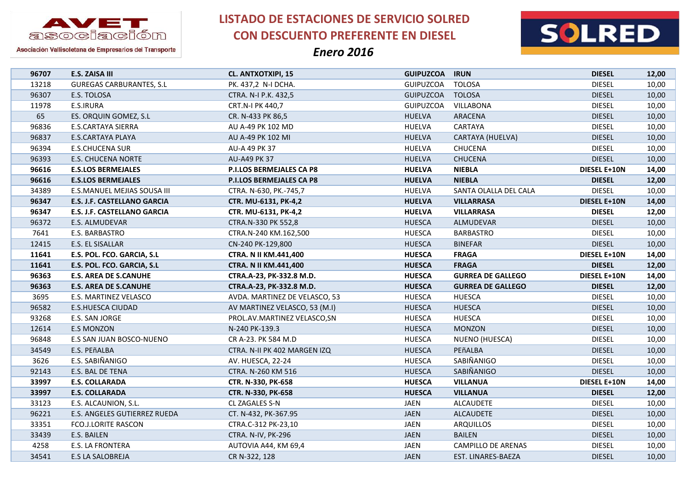



Asociación Vallisoletana de Empresarios del Transporte

| 96707 | E.S. ZAISA III                  | <b>CL. ANTXOTXIPI, 15</b>       | <b>GUIPUZCOA</b> | <b>IRUN</b>              | <b>DIESEL</b>       | 12,00 |
|-------|---------------------------------|---------------------------------|------------------|--------------------------|---------------------|-------|
| 13218 | <b>GUREGAS CARBURANTES, S.L</b> | PK. 437,2 N-I DCHA.             | <b>GUIPUZCOA</b> | <b>TOLOSA</b>            | <b>DIESEL</b>       | 10,00 |
| 96307 | E.S. TOLOSA                     | CTRA. N-I P.K. 432,5            | <b>GUIPUZCOA</b> | <b>TOLOSA</b>            | <b>DIESEL</b>       | 10,00 |
| 11978 | E.S.IRURA                       | CRT.N-I PK 440,7                | <b>GUIPUZCOA</b> | VILLABONA                | <b>DIESEL</b>       | 10,00 |
| 65    | ES. ORQUIN GOMEZ, S.L           | CR. N-433 PK 86,5               | <b>HUELVA</b>    | ARACENA                  | <b>DIESEL</b>       | 10,00 |
| 96836 | <b>E.S.CARTAYA SIERRA</b>       | AU A-49 PK 102 MD               | <b>HUELVA</b>    | CARTAYA                  | <b>DIESEL</b>       | 10,00 |
| 96837 | <b>E.S.CARTAYA PLAYA</b>        | AU A-49 PK 102 MI               | <b>HUELVA</b>    | CARTAYA (HUELVA)         | <b>DIESEL</b>       | 10,00 |
| 96394 | <b>E.S.CHUCENA SUR</b>          | AU-A 49 PK 37                   | <b>HUELVA</b>    | <b>CHUCENA</b>           | <b>DIESEL</b>       | 10,00 |
| 96393 | <b>E.S. CHUCENA NORTE</b>       | <b>AU-A49 PK 37</b>             | <b>HUELVA</b>    | <b>CHUCENA</b>           | <b>DIESEL</b>       | 10,00 |
| 96616 | <b>E.S.LOS BERMEJALES</b>       | <b>P.I.LOS BERMEJALES CA P8</b> | <b>HUELVA</b>    | <b>NIEBLA</b>            | <b>DIESEL E+10N</b> | 14,00 |
| 96616 | <b>E.S.LOS BERMEJALES</b>       | P.I.LOS BERMEJALES CA P8        | <b>HUELVA</b>    | <b>NIEBLA</b>            | <b>DIESEL</b>       | 12,00 |
| 34389 | E.S.MANUEL MEJIAS SOUSA III     | CTRA. N-630, PK.-745,7          | <b>HUELVA</b>    | SANTA OLALLA DEL CALA    | <b>DIESEL</b>       | 10,00 |
| 96347 | E.S. J.F. CASTELLANO GARCIA     | CTR. MU-6131, PK-4,2            | <b>HUELVA</b>    | <b>VILLARRASA</b>        | <b>DIESEL E+10N</b> | 14,00 |
| 96347 | E.S. J.F. CASTELLANO GARCIA     | CTR. MU-6131, PK-4,2            | <b>HUELVA</b>    | <b>VILLARRASA</b>        | <b>DIESEL</b>       | 12,00 |
| 96372 | E.S. ALMUDEVAR                  | CTRA.N-330 PK 552,8             | <b>HUESCA</b>    | ALMUDEVAR                | <b>DIESEL</b>       | 10,00 |
| 7641  | E.S. BARBASTRO                  | CTRA.N-240 KM.162,500           | <b>HUESCA</b>    | <b>BARBASTRO</b>         | <b>DIESEL</b>       | 10,00 |
| 12415 | E.S. EL SISALLAR                | CN-240 PK-129,800               | <b>HUESCA</b>    | <b>BINEFAR</b>           | <b>DIESEL</b>       | 10,00 |
| 11641 | E.S. POL. FCO. GARCIA, S.L      | <b>CTRA. N II KM.441,400</b>    | <b>HUESCA</b>    | <b>FRAGA</b>             | <b>DIESEL E+10N</b> | 14,00 |
| 11641 | E.S. POL. FCO. GARCIA, S.L      | CTRA. N II KM.441,400           | <b>HUESCA</b>    | <b>FRAGA</b>             | <b>DIESEL</b>       | 12,00 |
| 96363 | <b>E.S. AREA DE S.CANUHE</b>    | CTRA.A-23, PK-332.8 M.D.        | <b>HUESCA</b>    | <b>GURREA DE GALLEGO</b> | <b>DIESEL E+10N</b> | 14,00 |
| 96363 | <b>E.S. AREA DE S.CANUHE</b>    | CTRA.A-23, PK-332.8 M.D.        | <b>HUESCA</b>    | <b>GURREA DE GALLEGO</b> | <b>DIESEL</b>       | 12,00 |
| 3695  | E.S. MARTINEZ VELASCO           | AVDA. MARTINEZ DE VELASCO, 53   | <b>HUESCA</b>    | <b>HUESCA</b>            | <b>DIESEL</b>       | 10,00 |
| 96582 | <b>E.S.HUESCA CIUDAD</b>        | AV MARTINEZ VELASCO, 53 (M.I)   | <b>HUESCA</b>    | <b>HUESCA</b>            | <b>DIESEL</b>       | 10,00 |
| 93268 | E.S. SAN JORGE                  | PROL.AV.MARTINEZ VELASCO, SN    | <b>HUESCA</b>    | <b>HUESCA</b>            | <b>DIESEL</b>       | 10,00 |
| 12614 | <b>E.S MONZON</b>               | N-240 PK-139.3                  | <b>HUESCA</b>    | <b>MONZON</b>            | <b>DIESEL</b>       | 10,00 |
| 96848 | E.S SAN JUAN BOSCO-NUENO        | CR A-23. PK 584 M.D             | <b>HUESCA</b>    | NUENO (HUESCA)           | <b>DIESEL</b>       | 10,00 |
| 34549 | E.S. PEñALBA                    | CTRA. N-II PK 402 MARGEN IZQ    | <b>HUESCA</b>    | PEñALBA                  | <b>DIESEL</b>       | 10,00 |
| 3626  | E.S. SABIÑANIGO                 | AV. HUESCA, 22-24               | <b>HUESCA</b>    | SABIÑANIGO               | <b>DIESEL</b>       | 10,00 |
| 92143 | E.S. BAL DE TENA                | CTRA. N-260 KM 516              | <b>HUESCA</b>    | SABIÑANIGO               | <b>DIESEL</b>       | 10,00 |
| 33997 | <b>E.S. COLLARADA</b>           | CTR. N-330, PK-658              | <b>HUESCA</b>    | <b>VILLANUA</b>          | <b>DIESEL E+10N</b> | 14,00 |
| 33997 | <b>E.S. COLLARADA</b>           | CTR. N-330, PK-658              | <b>HUESCA</b>    | <b>VILLANUA</b>          | <b>DIESEL</b>       | 12,00 |
| 33123 | E.S. ALCAUNION, S.L.            | CL ZAGALES S-N                  | <b>JAEN</b>      | <b>ALCAUDETE</b>         | <b>DIESEL</b>       | 10,00 |
| 96221 | E.S. ANGELES GUTIERREZ RUEDA    | CT. N-432, PK-367.95            | <b>JAEN</b>      | <b>ALCAUDETE</b>         | <b>DIESEL</b>       | 10,00 |
| 33351 | <b>FCO.J.LORITE RASCON</b>      | CTRA.C-312 PK-23,10             | JAEN             | <b>ARQUILLOS</b>         | <b>DIESEL</b>       | 10,00 |
| 33439 | E.S. BAILEN                     | CTRA. N-IV, PK-296              | <b>JAEN</b>      | <b>BAILEN</b>            | <b>DIESEL</b>       | 10,00 |
| 4258  | E.S. LA FRONTERA                | AUTOVIA A44, KM 69,4            | JAEN             | CAMPILLO DE ARENAS       | <b>DIESEL</b>       | 10,00 |
| 34541 | E.S LA SALOBREJA                | CR N-322, 128                   | <b>JAEN</b>      | EST. LINARES-BAEZA       | <b>DIESEL</b>       | 10,00 |
|       |                                 |                                 |                  |                          |                     |       |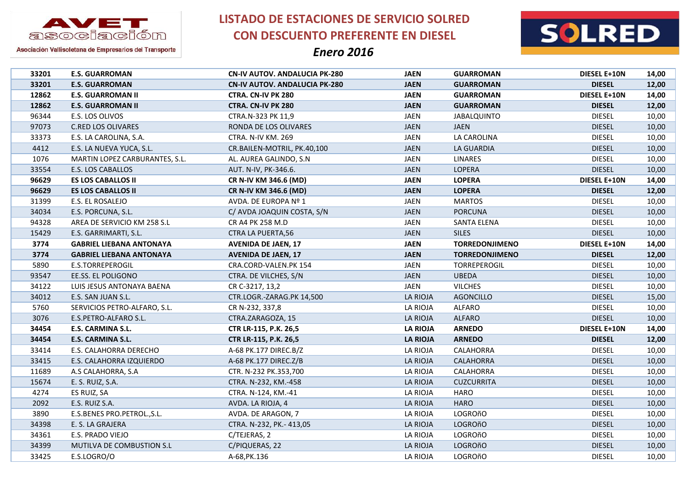



Asociación Vallisoletana de Empresarios del Transporte

| 33201 | <b>E.S. GUARROMAN</b>           | <b>CN-IV AUTOV. ANDALUCIA PK-280</b> | <b>JAEN</b>     | <b>GUARROMAN</b>      | <b>DIESEL E+10N</b> | 14,00 |
|-------|---------------------------------|--------------------------------------|-----------------|-----------------------|---------------------|-------|
| 33201 | <b>E.S. GUARROMAN</b>           | <b>CN-IV AUTOV. ANDALUCIA PK-280</b> | <b>JAEN</b>     | <b>GUARROMAN</b>      | <b>DIESEL</b>       | 12,00 |
| 12862 | <b>E.S. GUARROMAN II</b>        | CTRA. CN-IV PK 280                   | <b>JAEN</b>     | <b>GUARROMAN</b>      | DIESEL E+10N        | 14,00 |
| 12862 | <b>E.S. GUARROMAN II</b>        | CTRA. CN-IV PK 280                   | <b>JAEN</b>     | <b>GUARROMAN</b>      | <b>DIESEL</b>       | 12,00 |
| 96344 | E.S. LOS OLIVOS                 | CTRA.N-323 PK 11,9                   | JAEN            | JABALQUINTO           | <b>DIESEL</b>       | 10,00 |
| 97073 | <b>C.RED LOS OLIVARES</b>       | RONDA DE LOS OLIVARES                | <b>JAEN</b>     | <b>JAEN</b>           | <b>DIESEL</b>       | 10,00 |
| 33373 | E.S. LA CAROLINA, S.A.          | <b>CTRA. N-IV KM. 269</b>            | JAEN            | LA CAROLINA           | <b>DIESEL</b>       | 10,00 |
| 4412  | E.S. LA NUEVA YUCA, S.L.        | CR.BAILEN-MOTRIL, PK.40,100          | <b>JAEN</b>     | LA GUARDIA            | <b>DIESEL</b>       | 10,00 |
| 1076  | MARTIN LOPEZ CARBURANTES, S.L.  | AL. AUREA GALINDO, S.N.              | JAEN            | <b>LINARES</b>        | <b>DIESEL</b>       | 10,00 |
| 33554 | E.S. LOS CABALLOS               | AUT. N-IV, PK-346.6.                 | <b>JAEN</b>     | <b>LOPERA</b>         | <b>DIESEL</b>       | 10,00 |
| 96629 | <b>ES LOS CABALLOS II</b>       | CR N-IV KM 346.6 (MD)                | <b>JAEN</b>     | <b>LOPERA</b>         | <b>DIESEL E+10N</b> | 14,00 |
| 96629 | <b>ES LOS CABALLOS II</b>       | CR N-IV KM 346.6 (MD)                | <b>JAEN</b>     | <b>LOPERA</b>         | <b>DIESEL</b>       | 12,00 |
| 31399 | E.S. EL ROSALEJO                | AVDA. DE EUROPA Nº 1                 | JAEN            | <b>MARTOS</b>         | <b>DIESEL</b>       | 10,00 |
| 34034 | E.S. PORCUNA, S.L.              | C/ AVDA JOAQUIN COSTA, S/N           | <b>JAEN</b>     | <b>PORCUNA</b>        | <b>DIESEL</b>       | 10,00 |
| 94328 | AREA DE SERVICIO KM 258 S.L     | CR A4 PK 258 M.D                     | <b>JAEN</b>     | <b>SANTA ELENA</b>    | <b>DIESEL</b>       | 10,00 |
| 15429 | E.S. GARRIMARTI, S.L.           | <b>CTRA LA PUERTA,56</b>             | <b>JAEN</b>     | <b>SILES</b>          | <b>DIESEL</b>       | 10,00 |
| 3774  | <b>GABRIEL LIEBANA ANTONAYA</b> | <b>AVENIDA DE JAEN, 17</b>           | <b>JAEN</b>     | <b>TORREDONJIMENO</b> | <b>DIESEL E+10N</b> | 14,00 |
| 3774  | <b>GABRIEL LIEBANA ANTONAYA</b> | <b>AVENIDA DE JAEN, 17</b>           | <b>JAEN</b>     | <b>TORREDONJIMENO</b> | <b>DIESEL</b>       | 12,00 |
| 5890  | E.S.TORREPEROGIL                | CRA.CORD-VALEN.PK 154                | <b>JAEN</b>     | TORREPEROGIL          | <b>DIESEL</b>       | 10,00 |
| 93547 | EE.SS. EL POLIGONO              | CTRA. DE VILCHES, S/N                | <b>JAEN</b>     | <b>UBEDA</b>          | <b>DIESEL</b>       | 10,00 |
| 34122 | LUIS JESUS ANTONAYA BAENA       | CR C-3217, 13,2                      | JAEN            | <b>VILCHES</b>        | <b>DIESEL</b>       | 10,00 |
| 34012 | E.S. SAN JUAN S.L.              | CTR.LOGR.-ZARAG.PK 14,500            | LA RIOJA        | <b>AGONCILLO</b>      | <b>DIESEL</b>       | 15,00 |
| 5760  | SERVICIOS PETRO-ALFARO, S.L.    | CR N-232, 337,8                      | LA RIOJA        | <b>ALFARO</b>         | <b>DIESEL</b>       | 10,00 |
| 3076  | E.S.PETRO-ALFARO S.L.           | CTRA.ZARAGOZA, 15                    | LA RIOJA        | <b>ALFARO</b>         | <b>DIESEL</b>       | 10,00 |
| 34454 | E.S. CARMINA S.L.               | CTR LR-115, P.K. 26,5                | <b>LA RIOJA</b> | <b>ARNEDO</b>         | <b>DIESEL E+10N</b> | 14,00 |
| 34454 | E.S. CARMINA S.L.               | CTR LR-115, P.K. 26,5                | <b>LA RIOJA</b> | <b>ARNEDO</b>         | <b>DIESEL</b>       | 12,00 |
| 33414 | E.S. CALAHORRA DERECHO          | A-68 PK.177 DIREC.B/Z                | LA RIOJA        | CALAHORRA             | <b>DIESEL</b>       | 10,00 |
| 33415 | E.S. CALAHORRA IZQUIERDO        | A-68 PK.177 DIREC.Z/B                | LA RIOJA        | CALAHORRA             | <b>DIESEL</b>       | 10,00 |
| 11689 | A.S CALAHORRA, S.A.             | CTR. N-232 PK.353,700                | LA RIOJA        | CALAHORRA             | <b>DIESEL</b>       | 10,00 |
| 15674 | E. S. RUIZ, S.A.                | CTRA. N-232, KM.-458                 | LA RIOJA        | <b>CUZCURRITA</b>     | <b>DIESEL</b>       | 10,00 |
| 4274  | ES RUIZ, SA                     | CTRA. N-124, KM.-41                  | LA RIOJA        | HARO                  | <b>DIESEL</b>       | 10,00 |
| 2092  | E.S. RUIZ S.A.                  | AVDA. LA RIOJA, 4                    | LA RIOJA        | <b>HARO</b>           | <b>DIESEL</b>       | 10,00 |
| 3890  | E.S.BENES PRO.PETROL., S.L.     | AVDA. DE ARAGON, 7                   | LA RIOJA        | LOGROñO               | <b>DIESEL</b>       | 10,00 |
| 34398 | E. S. LA GRAJERA                | CTRA. N-232, PK.- 413,05             | LA RIOJA        | LOGROñO               | <b>DIESEL</b>       | 10,00 |
| 34361 | E.S. PRADO VIEJO                | C/TEJERAS, 2                         | LA RIOJA        | LOGROñO               | <b>DIESEL</b>       | 10,00 |
| 34399 | MUTILVA DE COMBUSTION S.L       | C/PIQUERAS, 22                       | LA RIOJA        | <b>LOGROñO</b>        | <b>DIESEL</b>       | 10,00 |
| 33425 | E.S.LOGRO/O                     | A-68, PK. 136                        | LA RIOJA        | LOGROñO               | <b>DIESEL</b>       | 10,00 |
|       |                                 |                                      |                 |                       |                     |       |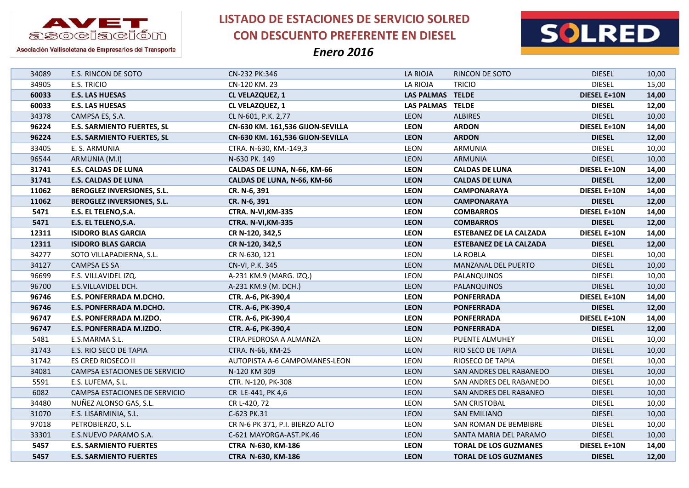



Asociación Vallisoletana de Empresarios del Transporte

| 34089 | E.S. RINCON DE SOTO               | CN-232 PK:346                    | LA RIOJA                | RINCON DE SOTO                 | <b>DIESEL</b>       | 10,00 |
|-------|-----------------------------------|----------------------------------|-------------------------|--------------------------------|---------------------|-------|
| 34905 | E.S. TRICIO                       | CN-120 KM. 23                    | LA RIOJA                | <b>TRICIO</b>                  | <b>DIESEL</b>       | 15,00 |
| 60033 | <b>E.S. LAS HUESAS</b>            | CL VELAZQUEZ, 1                  | <b>LAS PALMAS TELDE</b> |                                | <b>DIESEL E+10N</b> | 14,00 |
| 60033 | <b>E.S. LAS HUESAS</b>            | CL VELAZQUEZ, 1                  | LAS PALMAS TELDE        |                                | <b>DIESEL</b>       | 12,00 |
| 34378 | CAMPSA ES, S.A.                   | CL N-601, P.K. 2,77              | <b>LEON</b>             | <b>ALBIRES</b>                 | <b>DIESEL</b>       | 10,00 |
| 96224 | <b>E.S. SARMIENTO FUERTES, SL</b> | CN-630 KM. 161,536 GIJON-SEVILLA | <b>LEON</b>             | <b>ARDON</b>                   | DIESEL E+10N        | 14,00 |
| 96224 | <b>E.S. SARMIENTO FUERTES, SL</b> | CN-630 KM. 161,536 GIJON-SEVILLA | <b>LEON</b>             | <b>ARDON</b>                   | <b>DIESEL</b>       | 12,00 |
| 33405 | E. S. ARMUNIA                     | CTRA. N-630, KM.-149,3           | LEON                    | ARMUNIA                        | <b>DIESEL</b>       | 10,00 |
| 96544 | ARMUNIA (M.I)                     | N-630 PK. 149                    | LEON                    | ARMUNIA                        | <b>DIESEL</b>       | 10,00 |
| 31741 | <b>E.S. CALDAS DE LUNA</b>        | CALDAS DE LUNA, N-66, KM-66      | <b>LEON</b>             | <b>CALDAS DE LUNA</b>          | DIESEL E+10N        | 14,00 |
| 31741 | <b>E.S. CALDAS DE LUNA</b>        | CALDAS DE LUNA, N-66, KM-66      | <b>LEON</b>             | <b>CALDAS DE LUNA</b>          | <b>DIESEL</b>       | 12,00 |
| 11062 | BEROGLEZ INVERSIONES, S.L.        | CR. N-6, 391                     | <b>LEON</b>             | <b>CAMPONARAYA</b>             | <b>DIESEL E+10N</b> | 14,00 |
| 11062 | <b>BEROGLEZ INVERSIONES, S.L.</b> | CR. N-6, 391                     | <b>LEON</b>             | <b>CAMPONARAYA</b>             | <b>DIESEL</b>       | 12,00 |
| 5471  | E.S. EL TELENO, S.A.              | <b>CTRA. N-VI, KM-335</b>        | <b>LEON</b>             | <b>COMBARROS</b>               | <b>DIESEL E+10N</b> | 14,00 |
| 5471  | E.S. EL TELENO, S.A.              | <b>CTRA. N-VI, KM-335</b>        | <b>LEON</b>             | <b>COMBARROS</b>               | <b>DIESEL</b>       | 12,00 |
| 12311 | <b>ISIDORO BLAS GARCIA</b>        | CR N-120, 342,5                  | <b>LEON</b>             | <b>ESTEBANEZ DE LA CALZADA</b> | <b>DIESEL E+10N</b> | 14,00 |
| 12311 | <b>ISIDORO BLAS GARCIA</b>        | CR N-120, 342,5                  | <b>LEON</b>             | <b>ESTEBANEZ DE LA CALZADA</b> | <b>DIESEL</b>       | 12,00 |
| 34277 | SOTO VILLAPADIERNA, S.L.          | CR N-630, 121                    | LEON                    | LA ROBLA                       | <b>DIESEL</b>       | 10,00 |
| 34127 | CAMPSA ES SA                      | CN-VI, P.K. 345                  | LEON                    | MANZANAL DEL PUERTO            | <b>DIESEL</b>       | 10,00 |
| 96699 | E.S. VILLAVIDEL IZQ.              | A-231 KM.9 (MARG. IZQ.)          | LEON                    | PALANQUINOS                    | <b>DIESEL</b>       | 10,00 |
| 96700 | E.S.VILLAVIDEL DCH.               | A-231 KM.9 (M. DCH.)             | <b>LEON</b>             | PALANQUINOS                    | <b>DIESEL</b>       | 10,00 |
| 96746 | <b>E.S. PONFERRADA M.DCHO.</b>    | CTR. A-6, PK-390,4               | <b>LEON</b>             | <b>PONFERRADA</b>              | <b>DIESEL E+10N</b> | 14,00 |
| 96746 | <b>E.S. PONFERRADA M.DCHO.</b>    | CTR. A-6, PK-390,4               | <b>LEON</b>             | <b>PONFERRADA</b>              | <b>DIESEL</b>       | 12,00 |
| 96747 | E.S. PONFERRADA M.IZDO.           | CTR. A-6, PK-390,4               | <b>LEON</b>             | <b>PONFERRADA</b>              | DIESEL E+10N        | 14,00 |
| 96747 | E.S. PONFERRADA M.IZDO.           | CTR. A-6, PK-390,4               | <b>LEON</b>             | <b>PONFERRADA</b>              | <b>DIESEL</b>       | 12,00 |
| 5481  | E.S.MARMA S.L.                    | CTRA.PEDROSA A ALMANZA           | LEON                    | PUENTE ALMUHEY                 | <b>DIESEL</b>       | 10,00 |
| 31743 | E.S. RIO SECO DE TAPIA            | CTRA. N-66, KM-25                | LEON                    | RIO SECO DE TAPIA              | <b>DIESEL</b>       | 10,00 |
| 31742 | ES CRED RIOSECO II                | AUTOPISTA A-6 CAMPOMANES-LEON    | LEON                    | RIOSECO DE TAPIA               | <b>DIESEL</b>       | 10,00 |
| 34081 | CAMPSA ESTACIONES DE SERVICIO     | N-120 KM 309                     | <b>LEON</b>             | SAN ANDRES DEL RABANEDO        | <b>DIESEL</b>       | 10,00 |
| 5591  | E.S. LUFEMA, S.L.                 | CTR. N-120, PK-308               | LEON                    | SAN ANDRES DEL RABANEDO        | <b>DIESEL</b>       | 10,00 |
| 6082  | CAMPSA ESTACIONES DE SERVICIO     | CR LE-441, PK 4,6                | <b>LEON</b>             | SAN ANDRES DEL RABANEO         | <b>DIESEL</b>       | 10,00 |
| 34480 | NUÑEZ ALONSO GAS, S.L.            | CR L-420, 72                     | LEON                    | SAN CRISTOBAL                  | <b>DIESEL</b>       | 10,00 |
| 31070 | E.S. LISARMINIA, S.L.             | C-623 PK.31                      | <b>LEON</b>             | SAN EMILIANO                   | <b>DIESEL</b>       | 10,00 |
| 97018 | PETROBIERZO, S.L.                 | CR N-6 PK 371, P.I. BIERZO ALTO  | LEON                    | SAN ROMAN DE BEMBIBRE          | <b>DIESEL</b>       | 10,00 |
| 33301 | E.S.NUEVO PARAMO S.A.             | C-621 MAYORGA-AST.PK.46          | <b>LEON</b>             | SANTA MARIA DEL PARAMO         | <b>DIESEL</b>       | 10,00 |
| 5457  | <b>E.S. SARMIENTO FUERTES</b>     | CTRA N-630, KM-186               | <b>LEON</b>             | <b>TORAL DE LOS GUZMANES</b>   | <b>DIESEL E+10N</b> | 14,00 |
| 5457  | <b>E.S. SARMIENTO FUERTES</b>     | CTRA N-630, KM-186               | <b>LEON</b>             | <b>TORAL DE LOS GUZMANES</b>   | <b>DIESEL</b>       | 12,00 |
|       |                                   |                                  |                         |                                |                     |       |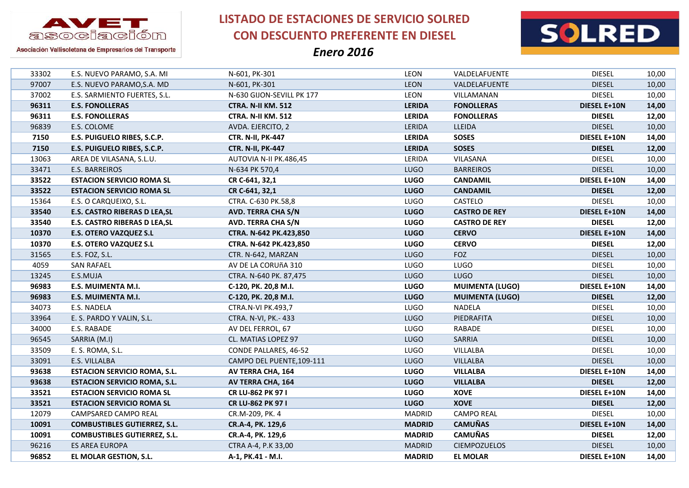



Asociación Vallisoletana de Empresarios del Transporte

| 33302 | E.S. NUEVO PARAMO, S.A. MI           | N-601, PK-301             | LEON          | VALDELAFUENTE          | <b>DIESEL</b>       | 10,00 |
|-------|--------------------------------------|---------------------------|---------------|------------------------|---------------------|-------|
| 97007 | E.S. NUEVO PARAMO, S.A. MD           | N-601, PK-301             | <b>LEON</b>   | VALDELAFUENTE          | <b>DIESEL</b>       | 10,00 |
| 37002 | E.S. SARMIENTO FUERTES, S.L.         | N-630 GIJON-SEVILL PK 177 | LEON          | VILLAMANAN             | <b>DIESEL</b>       | 10,00 |
| 96311 | <b>E.S. FONOLLERAS</b>               | <b>CTRA. N-II KM. 512</b> | <b>LERIDA</b> | <b>FONOLLERAS</b>      | <b>DIESEL E+10N</b> | 14,00 |
| 96311 | <b>E.S. FONOLLERAS</b>               | <b>CTRA. N-II KM. 512</b> | <b>LERIDA</b> | <b>FONOLLERAS</b>      | <b>DIESEL</b>       | 12,00 |
| 96839 | E.S. COLOME                          | AVDA. EJERCITO, 2         | LERIDA        | LLEIDA                 | <b>DIESEL</b>       | 10,00 |
| 7150  | E.S. PUIGUELO RIBES, S.C.P.          | <b>CTR. N-II, PK-447</b>  | <b>LERIDA</b> | <b>SOSES</b>           | <b>DIESEL E+10N</b> | 14,00 |
| 7150  | E.S. PUIGUELO RIBES, S.C.P.          | <b>CTR. N-II, PK-447</b>  | <b>LERIDA</b> | <b>SOSES</b>           | <b>DIESEL</b>       | 12,00 |
| 13063 | AREA DE VILASANA, S.L.U.             | AUTOVIA N-II PK.486,45    | LERIDA        | VILASANA               | <b>DIESEL</b>       | 10,00 |
| 33471 | E.S. BARREIROS                       | N-634 PK 570,4            | <b>LUGO</b>   | <b>BARREIROS</b>       | <b>DIESEL</b>       | 10,00 |
| 33522 | <b>ESTACION SERVICIO ROMA SL</b>     | CR C-641, 32,1            | <b>LUGO</b>   | <b>CANDAMIL</b>        | <b>DIESEL E+10N</b> | 14,00 |
| 33522 | <b>ESTACION SERVICIO ROMA SL</b>     | CR C-641, 32,1            | <b>LUGO</b>   | <b>CANDAMIL</b>        | <b>DIESEL</b>       | 12,00 |
| 15364 | E.S. O CARQUEIXO, S.L.               | CTRA. C-630 PK.58,8       | LUGO          | CASTELO                | <b>DIESEL</b>       | 10,00 |
| 33540 | <b>E.S. CASTRO RIBERAS D LEA, SL</b> | <b>AVD. TERRA CHA S/N</b> | <b>LUGO</b>   | <b>CASTRO DE REY</b>   | <b>DIESEL E+10N</b> | 14,00 |
| 33540 | <b>E.S. CASTRO RIBERAS D LEA, SL</b> | <b>AVD. TERRA CHA S/N</b> | <b>LUGO</b>   | <b>CASTRO DE REY</b>   | <b>DIESEL</b>       | 12,00 |
| 10370 | <b>E.S. OTERO VAZQUEZ S.L</b>        | CTRA. N-642 PK.423,850    | <b>LUGO</b>   | <b>CERVO</b>           | <b>DIESEL E+10N</b> | 14,00 |
| 10370 | <b>E.S. OTERO VAZQUEZ S.L</b>        | CTRA. N-642 PK.423,850    | <b>LUGO</b>   | <b>CERVO</b>           | <b>DIESEL</b>       | 12,00 |
| 31565 | E.S. FOZ, S.L.                       | CTR. N-642, MARZAN        | <b>LUGO</b>   | <b>FOZ</b>             | <b>DIESEL</b>       | 10,00 |
| 4059  | <b>SAN RAFAEL</b>                    | AV DE LA CORUÑA 310       | LUGO          | <b>LUGO</b>            | <b>DIESEL</b>       | 10,00 |
|       |                                      |                           |               |                        |                     |       |
| 13245 | E.S.MUJA                             | CTRA. N-640 PK. 87,475    | <b>LUGO</b>   | <b>LUGO</b>            | <b>DIESEL</b>       | 10,00 |
| 96983 | <b>E.S. MUIMENTA M.I.</b>            | C-120, PK. 20,8 M.I.      | <b>LUGO</b>   | <b>MUIMENTA (LUGO)</b> | <b>DIESEL E+10N</b> | 14,00 |
| 96983 | <b>E.S. MUIMENTA M.I.</b>            | C-120, PK. 20,8 M.I.      | <b>LUGO</b>   | <b>MUIMENTA (LUGO)</b> | <b>DIESEL</b>       | 12,00 |
| 34073 | E.S. NADELA                          | CTRA.N-VI PK.493,7        | LUGO          | <b>NADELA</b>          | <b>DIESEL</b>       | 10,00 |
| 33964 | E. S. PARDO Y VALIN, S.L.            | CTRA. N-VI, PK.- 433      | <b>LUGO</b>   | PIEDRAFITA             | <b>DIESEL</b>       | 10,00 |
| 34000 | E.S. RABADE                          | AV DEL FERROL, 67         | LUGO          | RABADE                 | <b>DIESEL</b>       | 10,00 |
| 96545 | SARRIA (M.I)                         | CL. MATIAS LOPEZ 97       | <b>LUGO</b>   | SARRIA                 | <b>DIESEL</b>       | 10,00 |
| 33509 | E. S. ROMA, S.L.                     | CONDE PALLARES, 46-52     | LUGO          | VILLALBA               | <b>DIESEL</b>       | 10,00 |
| 33091 | E.S. VILLALBA                        | CAMPO DEL PUENTE, 109-111 | <b>LUGO</b>   | VILLALBA               | <b>DIESEL</b>       | 10,00 |
| 93638 | <b>ESTACION SERVICIO ROMA, S.L.</b>  | AV TERRA CHA, 164         | <b>LUGO</b>   | <b>VILLALBA</b>        | <b>DIESEL E+10N</b> | 14,00 |
| 93638 | <b>ESTACION SERVICIO ROMA, S.L.</b>  | AV TERRA CHA, 164         | <b>LUGO</b>   | <b>VILLALBA</b>        | <b>DIESEL</b>       | 12,00 |
| 33521 | <b>ESTACION SERVICIO ROMA SL</b>     | CR LU-862 PK 97 I         | <b>LUGO</b>   | <b>XOVE</b>            | <b>DIESEL E+10N</b> | 14,00 |
| 33521 | <b>ESTACION SERVICIO ROMA SL</b>     | CR LU-862 PK 97 I         | <b>LUGO</b>   | <b>XOVE</b>            | <b>DIESEL</b>       | 12,00 |
| 12079 | CAMPSARED CAMPO REAL                 | CR.M-209, PK. 4           | <b>MADRID</b> | <b>CAMPO REAL</b>      | <b>DIESEL</b>       | 10,00 |
| 10091 | <b>COMBUSTIBLES GUTIERREZ, S.L.</b>  | CR.A-4, PK. 129,6         | <b>MADRID</b> | <b>CAMUÑAS</b>         | <b>DIESEL E+10N</b> | 14,00 |
| 10091 | <b>COMBUSTIBLES GUTIERREZ, S.L.</b>  | CR.A-4, PK. 129,6         | <b>MADRID</b> | <b>CAMUÑAS</b>         | <b>DIESEL</b>       | 12,00 |
| 96216 | <b>ES AREA EUROPA</b>                | CTRA A-4, P.K 33,00       | <b>MADRID</b> | <b>CIEMPOZUELOS</b>    | <b>DIESEL</b>       | 10,00 |
| 96852 | EL MOLAR GESTION, S.L.               | A-1, PK.41 - M.I.         | <b>MADRID</b> | <b>EL MOLAR</b>        | <b>DIESEL E+10N</b> | 14,00 |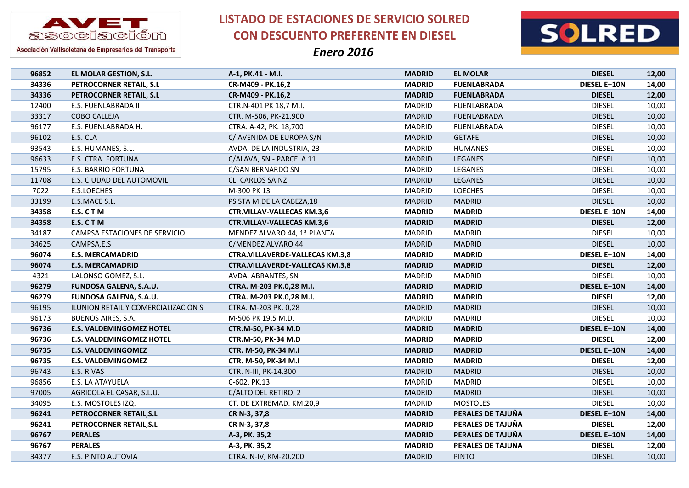



Asociación Vallisoletana de Empresarios del Transporte

| 96852 | EL MOLAR GESTION, S.L.              | A-1, PK.41 - M.I.                      | <b>MADRID</b> | <b>EL MOLAR</b>    | <b>DIESEL</b>       | 12,00 |
|-------|-------------------------------------|----------------------------------------|---------------|--------------------|---------------------|-------|
| 34336 | PETROCORNER RETAIL, S.L             | CR-M409 - PK.16,2                      | <b>MADRID</b> | <b>FUENLABRADA</b> | DIESEL E+10N        | 14,00 |
| 34336 | PETROCORNER RETAIL, S.L             | CR-M409 - PK.16,2                      | <b>MADRID</b> | <b>FUENLABRADA</b> | <b>DIESEL</b>       | 12,00 |
| 12400 | E.S. FUENLABRADA II                 | CTR.N-401 PK 18,7 M.I.                 | <b>MADRID</b> | <b>FUENLABRADA</b> | <b>DIESEL</b>       | 10,00 |
| 33317 | COBO CALLEJA                        | CTR. M-506, PK-21.900                  | <b>MADRID</b> | <b>FUENLABRADA</b> | <b>DIESEL</b>       | 10,00 |
| 96177 | E.S. FUENLABRADA H.                 | CTRA. A-42, PK. 18,700                 | <b>MADRID</b> | <b>FUENLABRADA</b> | <b>DIESEL</b>       | 10,00 |
| 96102 | E.S. CLA                            | C/ AVENIDA DE EUROPA S/N               | <b>MADRID</b> | <b>GETAFE</b>      | <b>DIESEL</b>       | 10,00 |
| 93543 | E.S. HUMANES, S.L.                  | AVDA. DE LA INDUSTRIA, 23              | MADRID        | <b>HUMANES</b>     | <b>DIESEL</b>       | 10,00 |
| 96633 | E.S. CTRA. FORTUNA                  | C/ALAVA, SN - PARCELA 11               | <b>MADRID</b> | LEGANES            | <b>DIESEL</b>       | 10,00 |
| 15795 | <b>E.S. BARRIO FORTUNA</b>          | C/SAN BERNARDO SN                      | <b>MADRID</b> | LEGANES            | <b>DIESEL</b>       | 10,00 |
| 11708 | E.S. CIUDAD DEL AUTOMOVIL           | CL. CARLOS SAINZ                       | <b>MADRID</b> | <b>LEGANES</b>     | <b>DIESEL</b>       | 10,00 |
| 7022  | E.S.LOECHES                         | M-300 PK 13                            | <b>MADRID</b> | <b>LOECHES</b>     | <b>DIESEL</b>       | 10,00 |
| 33199 | E.S.MACE S.L.                       | PS STA M.DE LA CABEZA,18               | <b>MADRID</b> | <b>MADRID</b>      | <b>DIESEL</b>       | 10,00 |
| 34358 | E.S. CTM                            | <b>CTR.VILLAV-VALLECAS KM.3,6</b>      | <b>MADRID</b> | <b>MADRID</b>      | <b>DIESEL E+10N</b> | 14,00 |
| 34358 | E.S. CTM                            | <b>CTR.VILLAV-VALLECAS KM.3,6</b>      | <b>MADRID</b> | <b>MADRID</b>      | <b>DIESEL</b>       | 12,00 |
| 34187 | CAMPSA ESTACIONES DE SERVICIO       | MENDEZ ALVARO 44, 1ª PLANTA            | <b>MADRID</b> | <b>MADRID</b>      | <b>DIESEL</b>       | 10,00 |
| 34625 | CAMPSA,E.S                          | C/MENDEZ ALVARO 44                     | <b>MADRID</b> | <b>MADRID</b>      | <b>DIESEL</b>       | 10,00 |
| 96074 | <b>E.S. MERCAMADRID</b>             | <b>CTRA.VILLAVERDE-VALLECAS KM.3,8</b> | <b>MADRID</b> | <b>MADRID</b>      | <b>DIESEL E+10N</b> | 14,00 |
| 96074 | <b>E.S. MERCAMADRID</b>             | <b>CTRA.VILLAVERDE-VALLECAS KM.3,8</b> | <b>MADRID</b> | <b>MADRID</b>      | <b>DIESEL</b>       | 12,00 |
| 4321  | I.ALONSO GOMEZ, S.L.                | AVDA. ABRANTES, SN                     | <b>MADRID</b> | <b>MADRID</b>      | <b>DIESEL</b>       | 10,00 |
| 96279 | FUNDOSA GALENA, S.A.U.              | CTRA. M-203 PK.0,28 M.I.               | <b>MADRID</b> | <b>MADRID</b>      | <b>DIESEL E+10N</b> | 14,00 |
| 96279 | <b>FUNDOSA GALENA, S.A.U.</b>       | CTRA. M-203 PK.0,28 M.I.               | <b>MADRID</b> | <b>MADRID</b>      | <b>DIESEL</b>       | 12,00 |
| 96195 | ILUNION RETAIL Y COMERCIALIZACION S | CTRA. M-203 PK. 0,28                   | <b>MADRID</b> | <b>MADRID</b>      | <b>DIESEL</b>       | 10,00 |
| 96173 | <b>BUENOS AIRES, S.A.</b>           | M-506 PK 19.5 M.D.                     | <b>MADRID</b> | <b>MADRID</b>      | <b>DIESEL</b>       | 10,00 |
| 96736 | <b>E.S. VALDEMINGOMEZ HOTEL</b>     | CTR.M-50, PK-34 M.D                    | <b>MADRID</b> | <b>MADRID</b>      | <b>DIESEL E+10N</b> | 14,00 |
| 96736 | <b>E.S. VALDEMINGOMEZ HOTEL</b>     | CTR.M-50, PK-34 M.D                    | <b>MADRID</b> | <b>MADRID</b>      | <b>DIESEL</b>       | 12,00 |
| 96735 | <b>E.S. VALDEMINGOMEZ</b>           | CTR. M-50, PK-34 M.I                   | <b>MADRID</b> | <b>MADRID</b>      | <b>DIESEL E+10N</b> | 14,00 |
| 96735 | <b>E.S. VALDEMINGOMEZ</b>           | CTR. M-50, PK-34 M.I                   | <b>MADRID</b> | <b>MADRID</b>      | <b>DIESEL</b>       | 12,00 |
| 96743 | E.S. RIVAS                          | CTR. N-III, PK-14.300                  | <b>MADRID</b> | <b>MADRID</b>      | <b>DIESEL</b>       | 10,00 |
| 96856 | E.S. LA ATAYUELA                    | C-602, PK.13                           | <b>MADRID</b> | <b>MADRID</b>      | <b>DIESEL</b>       | 10,00 |
| 97005 | AGRICOLA EL CASAR, S.L.U.           | C/ALTO DEL RETIRO, 2                   | <b>MADRID</b> | <b>MADRID</b>      | <b>DIESEL</b>       | 10,00 |
| 34095 | E.S. MOSTOLES IZQ.                  | CT. DE EXTREMAD. KM.20,9               | <b>MADRID</b> | <b>MOSTOLES</b>    | <b>DIESEL</b>       | 10,00 |
| 96241 | PETROCORNER RETAIL, S.L             | CR N-3, 37,8                           | <b>MADRID</b> | PERALES DE TAJUÑA  | DIESEL E+10N        | 14,00 |
| 96241 | PETROCORNER RETAIL, S.L.            | CR N-3, 37,8                           | <b>MADRID</b> | PERALES DE TAJUÑA  | <b>DIESEL</b>       | 12,00 |
| 96767 | <b>PERALES</b>                      | A-3, PK. 35,2                          | <b>MADRID</b> | PERALES DE TAJUÑA  | DIESEL E+10N        | 14,00 |
| 96767 | <b>PERALES</b>                      | A-3, PK. 35,2                          | <b>MADRID</b> | PERALES DE TAJUÑA  | <b>DIESEL</b>       | 12,00 |
| 34377 | <b>E.S. PINTO AUTOVIA</b>           | CTRA. N-IV, KM-20.200                  | <b>MADRID</b> | <b>PINTO</b>       | <b>DIESEL</b>       | 10,00 |
|       |                                     |                                        |               |                    |                     |       |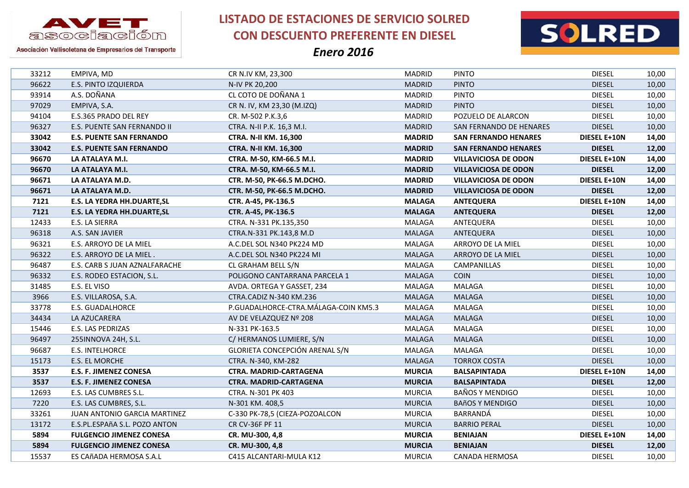



Asociación Vallisoletana de Empresarios del Transporte

| 33212 | EMPIVA, MD                         | CR N.IV KM, 23,300                   | MADRID        | <b>PINTO</b>                | <b>DIESEL</b>       | 10,00 |
|-------|------------------------------------|--------------------------------------|---------------|-----------------------------|---------------------|-------|
| 96622 | E.S. PINTO IZQUIERDA               | N-IV PK 20,200                       | <b>MADRID</b> | <b>PINTO</b>                | <b>DIESEL</b>       | 10,00 |
| 93914 | A.S. DOÑANA                        | CL COTO DE DOÑANA 1                  | <b>MADRID</b> | <b>PINTO</b>                | <b>DIESEL</b>       | 10,00 |
| 97029 | EMPIVA, S.A.                       | CR N. IV, KM 23,30 (M.IZQ)           | <b>MADRID</b> | <b>PINTO</b>                | <b>DIESEL</b>       | 10,00 |
| 94104 | E.S.365 PRADO DEL REY              | CR. M-502 P.K.3,6                    | <b>MADRID</b> | POZUELO DE ALARCON          | <b>DIESEL</b>       | 10,00 |
| 96327 | E.S. PUENTE SAN FERNANDO II        | CTRA. N-II P.K. 16,3 M.I.            | <b>MADRID</b> | SAN FERNANDO DE HENARES     | <b>DIESEL</b>       | 10,00 |
| 33042 | <b>E.S. PUENTE SAN FERNANDO</b>    | <b>CTRA. N-II KM. 16,300</b>         | <b>MADRID</b> | <b>SAN FERNANDO HENARES</b> | DIESEL E+10N        | 14,00 |
| 33042 | <b>E.S. PUENTE SAN FERNANDO</b>    | <b>CTRA. N-II KM. 16,300</b>         | <b>MADRID</b> | <b>SAN FERNANDO HENARES</b> | <b>DIESEL</b>       | 12,00 |
| 96670 | LA ATALAYA M.I.                    | CTRA. M-50, KM-66.5 M.I.             | <b>MADRID</b> | <b>VILLAVICIOSA DE ODON</b> | <b>DIESEL E+10N</b> | 14,00 |
| 96670 | LA ATALAYA M.I.                    | CTRA. M-50, KM-66.5 M.I.             | <b>MADRID</b> | <b>VILLAVICIOSA DE ODON</b> | <b>DIESEL</b>       | 12,00 |
| 96671 | LA ATALAYA M.D.                    | CTR. M-50, PK-66.5 M.DCHO.           | <b>MADRID</b> | <b>VILLAVICIOSA DE ODON</b> | <b>DIESEL E+10N</b> | 14,00 |
| 96671 | LA ATALAYA M.D.                    | CTR. M-50, PK-66.5 M.DCHO.           | <b>MADRID</b> | <b>VILLAVICIOSA DE ODON</b> | <b>DIESEL</b>       | 12,00 |
| 7121  | <b>E.S. LA YEDRA HH.DUARTE, SL</b> | CTR. A-45, PK-136.5                  | <b>MALAGA</b> | <b>ANTEQUERA</b>            | <b>DIESEL E+10N</b> | 14,00 |
| 7121  | <b>E.S. LA YEDRA HH.DUARTE, SL</b> | CTR. A-45, PK-136.5                  | <b>MALAGA</b> | <b>ANTEQUERA</b>            | <b>DIESEL</b>       | 12,00 |
| 12433 | E.S. LA SIERRA                     | CTRA. N-331 PK.135,350               | MALAGA        | ANTEQUERA                   | <b>DIESEL</b>       | 10,00 |
| 96318 | A.S. SAN JAVIER                    | CTRA.N-331 PK.143,8 M.D              | MALAGA        | ANTEQUERA                   | <b>DIESEL</b>       | 10,00 |
| 96321 | E.S. ARROYO DE LA MIEL             | A.C.DEL SOL N340 PK224 MD            | MALAGA        | ARROYO DE LA MIEL           | <b>DIESEL</b>       | 10,00 |
| 96322 | E.S. ARROYO DE LA MIEL.            | A.C.DEL SOL N340 PK224 MI            | MALAGA        | ARROYO DE LA MIEL           | <b>DIESEL</b>       | 10,00 |
| 96487 | E.S. CARB S JUAN AZNALFARACHE      | CL GRAHAM BELL S/N                   | MALAGA        | CAMPANILLAS                 | <b>DIESEL</b>       | 10,00 |
| 96332 | E.S. RODEO ESTACION, S.L.          | POLIGONO CANTARRANA PARCELA 1        | MALAGA        | <b>COIN</b>                 | <b>DIESEL</b>       | 10,00 |
| 31485 | E.S. EL VISO                       | AVDA. ORTEGA Y GASSET, 234           | MALAGA        | MALAGA                      | <b>DIESEL</b>       | 10,00 |
| 3966  | E.S. VILLAROSA, S.A.               | CTRA.CADIZ N-340 KM.236              | MALAGA        | <b>MALAGA</b>               | <b>DIESEL</b>       | 10,00 |
| 33778 | E.S. GUADALHORCE                   | P.GUADALHORCE-CTRA.MÁLAGA-COIN KM5.3 | MALAGA        | MALAGA                      | <b>DIESEL</b>       | 10,00 |
| 34434 | LA AZUCARERA                       | AV DE VELAZQUEZ Nº 208               | <b>MALAGA</b> | <b>MALAGA</b>               | <b>DIESEL</b>       | 10,00 |
| 15446 | E.S. LAS PEDRIZAS                  | N-331 PK-163.5                       | MALAGA        | MALAGA                      | <b>DIESEL</b>       | 10,00 |
| 96497 | 255INNOVA 24H, S.L.                | C/ HERMANOS LUMIERE, S/N             | <b>MALAGA</b> | <b>MALAGA</b>               | <b>DIESEL</b>       | 10,00 |
| 96687 | <b>E.S. INTELHORCE</b>             | GLORIETA CONCEPCIÓN ARENAL S/N       | MALAGA        | MALAGA                      | <b>DIESEL</b>       | 10,00 |
| 15173 | E.S. EL MORCHE                     | CTRA. N-340, KM-282                  | <b>MALAGA</b> | <b>TORROX COSTA</b>         | <b>DIESEL</b>       | 10,00 |
| 3537  | <b>E.S. F. JIMENEZ CONESA</b>      | <b>CTRA. MADRID-CARTAGENA</b>        | <b>MURCIA</b> | <b>BALSAPINTADA</b>         | DIESEL E+10N        | 14,00 |
| 3537  | <b>E.S. F. JIMENEZ CONESA</b>      | CTRA. MADRID-CARTAGENA               | <b>MURCIA</b> | <b>BALSAPINTADA</b>         | <b>DIESEL</b>       | 12,00 |
| 12693 | E.S. LAS CUMBRES S.L.              | CTRA. N-301 PK 403                   | <b>MURCIA</b> | <b>BAÑOS Y MENDIGO</b>      | <b>DIESEL</b>       | 10,00 |
| 7220  | E.S. LAS CUMBRES, S.L.             | N-301 KM. 408,5                      | <b>MURCIA</b> | <b>BAñOS Y MENDIGO</b>      | <b>DIESEL</b>       | 10,00 |
| 33261 | JUAN ANTONIO GARCIA MARTINEZ       | C-330 PK-78,5 (CIEZA-POZOALCON       | <b>MURCIA</b> | BARRANDÁ                    | <b>DIESEL</b>       | 10,00 |
| 13172 | E.S.PL.ESPAñA S.L. POZO ANTON      | CR CV-36F PF 11                      | <b>MURCIA</b> | <b>BARRIO PERAL</b>         | <b>DIESEL</b>       | 10,00 |
| 5894  | <b>FULGENCIO JIMENEZ CONESA</b>    | CR. MU-300, 4,8                      | <b>MURCIA</b> | <b>BENIAJAN</b>             | <b>DIESEL E+10N</b> | 14,00 |
| 5894  | <b>FULGENCIO JIMENEZ CONESA</b>    | CR. MU-300, 4,8                      | <b>MURCIA</b> | <b>BENIAJAN</b>             | <b>DIESEL</b>       | 12,00 |
| 15537 | ES CAñADA HERMOSA S.A.L            | C415 ALCANTARI-MULA K12              | <b>MURCIA</b> | CANADA HERMOSA              | <b>DIESEL</b>       | 10,00 |
|       |                                    |                                      |               |                             |                     |       |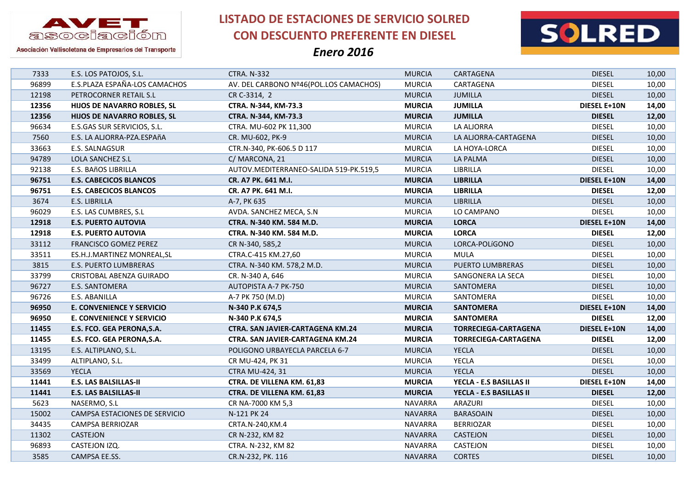

**LISTADO DE ESTACIONES DE SERVICIO SOLRED CON DESCUENTO PREFERENTE EN DIESEL**



| 7333  | E.S. LOS PATOJOS, S.L.           | <b>CTRA. N-332</b>                     | <b>MURCIA</b>  | CARTAGENA                   | <b>DIESEL</b>       | 10,00 |
|-------|----------------------------------|----------------------------------------|----------------|-----------------------------|---------------------|-------|
| 96899 | E.S.PLAZA ESPAÑA-LOS CAMACHOS    | AV. DEL CARBONO Nº46(POL.LOS CAMACHOS) | <b>MURCIA</b>  | CARTAGENA                   | <b>DIESEL</b>       | 10,00 |
| 12198 | PETROCORNER RETAIL S.L           | CR C-3314, 2                           | <b>MURCIA</b>  | <b>JUMILLA</b>              | <b>DIESEL</b>       | 10,00 |
| 12356 | HIJOS DE NAVARRO ROBLES, SL      | CTRA. N-344, KM-73.3                   | <b>MURCIA</b>  | <b>JUMILLA</b>              | <b>DIESEL E+10N</b> | 14,00 |
| 12356 | HIJOS DE NAVARRO ROBLES, SL      | CTRA. N-344, KM-73.3                   | <b>MURCIA</b>  | <b>JUMILLA</b>              | <b>DIESEL</b>       | 12,00 |
| 96634 | E.S.GAS SUR SERVICIOS, S.L.      | CTRA. MU-602 PK 11,300                 | <b>MURCIA</b>  | LA ALJORRA                  | <b>DIESEL</b>       | 10,00 |
| 7560  | E.S. LA ALJORRA-PZA.ESPAñA       | CR. MU-602, PK-9                       | <b>MURCIA</b>  | LA ALJORRA-CARTAGENA        | <b>DIESEL</b>       | 10,00 |
| 33663 | E.S. SALNAGSUR                   | CTR.N-340, PK-606.5 D 117              | <b>MURCIA</b>  | LA HOYA-LORCA               | <b>DIESEL</b>       | 10,00 |
| 94789 | LOLA SANCHEZ S.L                 | C/MARCONA, 21                          | <b>MURCIA</b>  | LA PALMA                    | <b>DIESEL</b>       | 10,00 |
| 92138 | E.S. BAñOS LIBRILLA              | AUTOV.MEDITERRANEO-SALIDA 519-PK.519,5 | <b>MURCIA</b>  | LIBRILLA                    | <b>DIESEL</b>       | 10,00 |
| 96751 | <b>E.S. CABECICOS BLANCOS</b>    | CR. A7 PK. 641 M.I.                    | <b>MURCIA</b>  | <b>LIBRILLA</b>             | <b>DIESEL E+10N</b> | 14,00 |
| 96751 | <b>E.S. CABECICOS BLANCOS</b>    | CR. A7 PK. 641 M.I.                    | <b>MURCIA</b>  | <b>LIBRILLA</b>             | <b>DIESEL</b>       | 12,00 |
| 3674  | E.S. LIBRILLA                    | A-7, PK 635                            | <b>MURCIA</b>  | LIBRILLA                    | <b>DIESEL</b>       | 10,00 |
| 96029 | E.S. LAS CUMBRES, S.L            | AVDA. SANCHEZ MECA, S.N.               | <b>MURCIA</b>  | LO CAMPANO                  | <b>DIESEL</b>       | 10,00 |
| 12918 | <b>E.S. PUERTO AUTOVIA</b>       | CTRA. N-340 KM. 584 M.D.               | <b>MURCIA</b>  | <b>LORCA</b>                | <b>DIESEL E+10N</b> | 14,00 |
| 12918 | <b>E.S. PUERTO AUTOVIA</b>       | CTRA. N-340 KM. 584 M.D.               | <b>MURCIA</b>  | <b>LORCA</b>                | <b>DIESEL</b>       | 12,00 |
| 33112 | FRANCISCO GOMEZ PEREZ            | CR N-340, 585,2                        | <b>MURCIA</b>  | LORCA-POLÍGONO              | <b>DIESEL</b>       | 10,00 |
| 33511 | ES.H.J.MARTINEZ MONREAL, SL      | CTRA.C-415 KM.27,60                    | <b>MURCIA</b>  | <b>MULA</b>                 | <b>DIESEL</b>       | 10,00 |
| 3815  | <b>E.S. PUERTO LUMBRERAS</b>     | CTRA. N-340 KM. 578,2 M.D.             | <b>MURCIA</b>  | PUERTO LUMBRERAS            | <b>DIESEL</b>       | 10,00 |
| 33799 | CRISTOBAL ABENZA GUIRADO         | CR. N-340 A, 646                       | <b>MURCIA</b>  | SANGONERA LA SECA           | <b>DIESEL</b>       | 10,00 |
| 96727 | E.S. SANTOMERA                   | AUTOPISTA A-7 PK-750                   | <b>MURCIA</b>  | SANTOMERA                   | <b>DIESEL</b>       | 10,00 |
| 96726 | E.S. ABANILLA                    | A-7 PK 750 (M.D)                       | <b>MURCIA</b>  | SANTOMERA                   | <b>DIESEL</b>       | 10,00 |
| 96950 | <b>E. CONVENIENCE Y SERVICIO</b> | N-340 P.K 674,5                        | <b>MURCIA</b>  | <b>SANTOMERA</b>            | <b>DIESEL E+10N</b> | 14,00 |
| 96950 | <b>E. CONVENIENCE Y SERVICIO</b> | N-340 P.K 674,5                        | <b>MURCIA</b>  | <b>SANTOMERA</b>            | <b>DIESEL</b>       | 12,00 |
| 11455 | E.S. FCO. GEA PERONA, S.A.       | CTRA. SAN JAVIER-CARTAGENA KM.24       | <b>MURCIA</b>  | <b>TORRECIEGA-CARTAGENA</b> | <b>DIESEL E+10N</b> | 14,00 |
| 11455 | E.S. FCO. GEA PERONA, S.A.       | CTRA. SAN JAVIER-CARTAGENA KM.24       | <b>MURCIA</b>  | <b>TORRECIEGA-CARTAGENA</b> | <b>DIESEL</b>       | 12,00 |
| 13195 | E.S. ALTIPLANO, S.L.             | POLIGONO URBAYECLA PARCELA 6-7         | <b>MURCIA</b>  | <b>YECLA</b>                | <b>DIESEL</b>       | 10,00 |
| 33499 | ALTIPLANO, S.L.                  | CR MU-424, PK 31                       | <b>MURCIA</b>  | YECLA                       | <b>DIESEL</b>       | 10,00 |
| 33569 | <b>YECLA</b>                     | CTRA MU-424, 31                        | <b>MURCIA</b>  | <b>YECLA</b>                | <b>DIESEL</b>       | 10,00 |
| 11441 | <b>E.S. LAS BALSILLAS-II</b>     | CTRA. DE VILLENA KM. 61,83             | <b>MURCIA</b>  | YECLA - E.S BASILLAS II     | <b>DIESEL E+10N</b> | 14,00 |
| 11441 | <b>E.S. LAS BALSILLAS-II</b>     | CTRA. DE VILLENA KM. 61,83             | <b>MURCIA</b>  | YECLA - E.S BASILLAS II     | <b>DIESEL</b>       | 12,00 |
| 5623  | NASERMO, S.L                     | CR NA-7000 KM 5,3                      | <b>NAVARRA</b> | ARAZURI                     | <b>DIESEL</b>       | 10,00 |
| 15002 | CAMPSA ESTACIONES DE SERVICIO    | N-121 PK 24                            | <b>NAVARRA</b> | <b>BARASOAIN</b>            | <b>DIESEL</b>       | 10,00 |
| 34435 | CAMPSA BERRIOZAR                 | CRTA.N-240, KM.4                       | <b>NAVARRA</b> | <b>BERRIOZAR</b>            | <b>DIESEL</b>       | 10,00 |
| 11302 | CASTEJON                         | CR N-232, KM 82                        | <b>NAVARRA</b> | <b>CASTEJON</b>             | <b>DIESEL</b>       | 10,00 |
| 96893 | CASTEJON IZQ.                    | CTRA. N-232, KM 82                     | <b>NAVARRA</b> | <b>CASTEJON</b>             | <b>DIESEL</b>       | 10,00 |
| 3585  | CAMPSA EE.SS.                    | CR.N-232, PK. 116                      | <b>NAVARRA</b> | <b>CORTES</b>               | <b>DIESEL</b>       | 10,00 |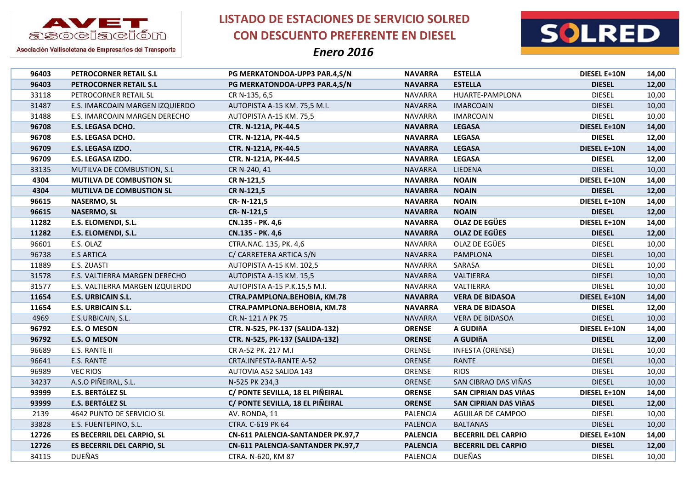



Asociación Vallisoletana de Empresarios del Transporte

| 96403 | PETROCORNER RETAIL S.L            | PG MERKATONDOA-UPP3 PAR.4,S/N     | <b>NAVARRA</b>  | <b>ESTELLA</b>             | <b>DIESEL E+10N</b> | 14,00 |
|-------|-----------------------------------|-----------------------------------|-----------------|----------------------------|---------------------|-------|
| 96403 | PETROCORNER RETAIL S.L            | PG MERKATONDOA-UPP3 PAR.4,S/N     | <b>NAVARRA</b>  | <b>ESTELLA</b>             | <b>DIESEL</b>       | 12,00 |
| 33118 | PETROCORNER RETAIL SL             | CR N-135, 6,5                     | <b>NAVARRA</b>  | HUARTE-PAMPLONA            | <b>DIESEL</b>       | 10,00 |
| 31487 | E.S. IMARCOAIN MARGEN IZQUIERDO   | AUTOPISTA A-15 KM. 75,5 M.I.      | <b>NAVARRA</b>  | <b>IMARCOAIN</b>           | <b>DIESEL</b>       | 10,00 |
| 31488 | E.S. IMARCOAIN MARGEN DERECHO     | AUTOPISTA A-15 KM. 75,5           | <b>NAVARRA</b>  | <b>IMARCOAIN</b>           | <b>DIESEL</b>       | 10,00 |
| 96708 | E.S. LEGASA DCHO.                 | CTR. N-121A, PK-44.5              | <b>NAVARRA</b>  | <b>LEGASA</b>              | <b>DIESEL E+10N</b> | 14,00 |
| 96708 | E.S. LEGASA DCHO.                 | CTR. N-121A, PK-44.5              | <b>NAVARRA</b>  | <b>LEGASA</b>              | <b>DIESEL</b>       | 12,00 |
| 96709 | E.S. LEGASA IZDO.                 | CTR. N-121A, PK-44.5              | <b>NAVARRA</b>  | <b>LEGASA</b>              | <b>DIESEL E+10N</b> | 14,00 |
| 96709 | E.S. LEGASA IZDO.                 | CTR. N-121A, PK-44.5              | <b>NAVARRA</b>  | <b>LEGASA</b>              | <b>DIESEL</b>       | 12,00 |
| 33135 | MUTILVA DE COMBUSTION, S.L        | CR N-240, 41                      | <b>NAVARRA</b>  | LIEDENA                    | <b>DIESEL</b>       | 10,00 |
| 4304  | MUTILVA DE COMBUSTION SL          | CR N-121,5                        | <b>NAVARRA</b>  | <b>NOAIN</b>               | <b>DIESEL E+10N</b> | 14,00 |
| 4304  | <b>MUTILVA DE COMBUSTION SL</b>   | CR N-121,5                        | <b>NAVARRA</b>  | <b>NOAIN</b>               | <b>DIESEL</b>       | 12,00 |
| 96615 | <b>NASERMO, SL</b>                | CR-N-121,5                        | <b>NAVARRA</b>  | <b>NOAIN</b>               | <b>DIESEL E+10N</b> | 14,00 |
| 96615 | <b>NASERMO, SL</b>                | CR-N-121,5                        | <b>NAVARRA</b>  | <b>NOAIN</b>               | <b>DIESEL</b>       | 12,00 |
| 11282 | E.S. ELOMENDI, S.L.               | CN.135 - PK. 4,6                  | <b>NAVARRA</b>  | <b>OLAZ DE EGÜES</b>       | DIESEL E+10N        | 14,00 |
| 11282 | E.S. ELOMENDI, S.L.               | CN.135 - PK. 4,6                  | <b>NAVARRA</b>  | <b>OLAZ DE EGÜES</b>       | <b>DIESEL</b>       | 12,00 |
| 96601 | E.S. OLAZ                         | CTRA.NAC. 135, PK. 4,6            | <b>NAVARRA</b>  | OLAZ DE EGÜES              | <b>DIESEL</b>       | 10,00 |
| 96738 | <b>E.S ARTICA</b>                 | C/ CARRETERA ARTICA S/N           | <b>NAVARRA</b>  | PAMPLONA                   | <b>DIESEL</b>       | 10,00 |
| 11889 | E.S. ZUASTI                       | AUTOPISTA A-15 KM. 102,5          | <b>NAVARRA</b>  | SARASA                     | <b>DIESEL</b>       | 10,00 |
| 31578 | E.S. VALTIERRA MARGEN DERECHO     | AUTOPISTA A-15 KM. 15,5           | <b>NAVARRA</b>  | VALTIERRA                  | <b>DIESEL</b>       | 10,00 |
| 31577 | E.S. VALTIERRA MARGEN IZQUIERDO   | AUTOPISTA A-15 P.K.15,5 M.I.      | <b>NAVARRA</b>  | VALTIERRA                  | <b>DIESEL</b>       | 10,00 |
| 11654 | <b>E.S. URBICAIN S.L.</b>         | CTRA.PAMPLONA.BEHOBIA, KM.78      | <b>NAVARRA</b>  | <b>VERA DE BIDASOA</b>     | <b>DIESEL E+10N</b> | 14,00 |
| 11654 | E.S. URBICAIN S.L.                | CTRA.PAMPLONA.BEHOBIA, KM.78      | <b>NAVARRA</b>  | <b>VERA DE BIDASOA</b>     | <b>DIESEL</b>       | 12,00 |
| 4969  | E.S.URBICAIN, S.L.                | CR.N-121 A PK 75                  | <b>NAVARRA</b>  | <b>VERA DE BIDASOA</b>     | <b>DIESEL</b>       | 10,00 |
| 96792 | <b>E.S. O MESON</b>               | CTR. N-525, PK-137 (SALIDA-132)   | <b>ORENSE</b>   | A GUDIñA                   | <b>DIESEL E+10N</b> | 14,00 |
| 96792 | <b>E.S. O MESON</b>               | CTR. N-525, PK-137 (SALIDA-132)   | <b>ORENSE</b>   | A GUDIñA                   | <b>DIESEL</b>       | 12,00 |
| 96689 | E.S. RANTE II                     | CR A-52 PK. 217 M.I               | ORENSE          | <b>INFESTA (ORENSE)</b>    | <b>DIESEL</b>       | 10,00 |
| 96641 | E.S. RANTE                        | CRTA.INFESTA-RANTE A-52           | ORENSE          | <b>RANTE</b>               | <b>DIESEL</b>       | 10,00 |
| 96989 | <b>VEC RIOS</b>                   | AUTOVIA A52 SALIDA 143            | ORENSE          | <b>RIOS</b>                | <b>DIESEL</b>       | 10,00 |
| 34237 | A.S.O PIÑEIRAL, S.L.              | N-525 PK 234,3                    | ORENSE          | SAN CIBRAO DAS VIÑAS       | <b>DIESEL</b>       | 10,00 |
| 93999 | <b>E.S. BERTÓLEZ SL</b>           | C/ PONTE SEVILLA, 18 EL PIÑEIRAL  | <b>ORENSE</b>   | SAN CIPRIAN DAS VIÑAS      | <b>DIESEL E+10N</b> | 14,00 |
| 93999 | E.S. BERTÓLEZ SL                  | C/ PONTE SEVILLA, 18 EL PIÑEIRAL  | <b>ORENSE</b>   | SAN CIPRIAN DAS VIÑAS      | <b>DIESEL</b>       | 12,00 |
| 2139  | 4642 PUNTO DE SERVICIO SL         | AV. RONDA, 11                     | <b>PALENCIA</b> | AGUILAR DE CAMPOO          | <b>DIESEL</b>       | 10,00 |
| 33828 | E.S. FUENTEPINO, S.L.             | CTRA. C-619 PK 64                 | <b>PALENCIA</b> | <b>BALTANAS</b>            | <b>DIESEL</b>       | 10,00 |
| 12726 | <b>ES BECERRIL DEL CARPIO, SL</b> | CN-611 PALENCIA-SANTANDER PK.97,7 | <b>PALENCIA</b> | <b>BECERRIL DEL CARPIO</b> | DIESEL E+10N        | 14,00 |
| 12726 | <b>ES BECERRIL DEL CARPIO, SL</b> | CN-611 PALENCIA-SANTANDER PK.97,7 | <b>PALENCIA</b> | <b>BECERRIL DEL CARPIO</b> | <b>DIESEL</b>       | 12,00 |
| 34115 | <b>DUEÑAS</b>                     | CTRA. N-620, KM 87                | <b>PALENCIA</b> | <b>DUEÑAS</b>              | <b>DIESEL</b>       | 10,00 |
|       |                                   |                                   |                 |                            |                     |       |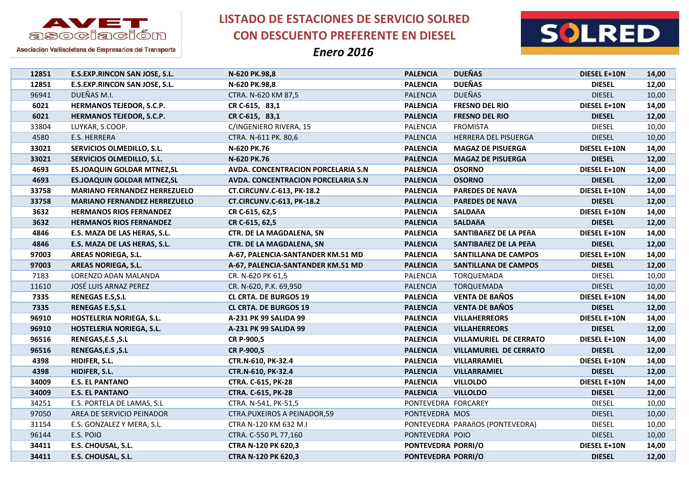

**LISTADO DE ESTACIONES DE SERVICIO SOLRED CON DESCUENTO PREFERENTE EN DIESEL**



| 12851 | E.S.EXP.RINCON SAN JOSE, S.L.        | N-620 PK.98,8                       | <b>PALENCIA</b>     | <b>DUEÑAS</b>                   | DIESEL E+10N        | 14,00 |
|-------|--------------------------------------|-------------------------------------|---------------------|---------------------------------|---------------------|-------|
| 12851 | <b>E.S.EXP.RINCON SAN JOSE, S.L.</b> | N-620 PK.98,8                       | <b>PALENCIA</b>     | <b>DUEÑAS</b>                   | <b>DIESEL</b>       | 12,00 |
| 96941 | DUEÑAS M.I.                          | CTRA. N-620 KM 87,5                 | <b>PALENCIA</b>     | <b>DUEÑAS</b>                   | <b>DIESEL</b>       | 10,00 |
| 6021  | HERMANOS TEJEDOR, S.C.P.             | CR C-615, 83,1                      | <b>PALENCIA</b>     | <b>FRESNO DEL RIO</b>           | DIESEL E+10N        | 14,00 |
| 6021  | <b>HERMANOS TEJEDOR, S.C.P.</b>      | CR C-615, 83,1                      | <b>PALENCIA</b>     | <b>FRESNO DEL RIO</b>           | <b>DIESEL</b>       | 12,00 |
| 33804 | LUYKAR, S.COOP.                      | C/INGENIERO RIVERA, 15              | <b>PALENCIA</b>     | <b>FROMISTA</b>                 | <b>DIESEL</b>       | 10,00 |
| 4580  | E.S. HERRERA                         | CTRA. N-611 PK. 80,6                | <b>PALENCIA</b>     | HERRERA DEL PISUERGA            | <b>DIESEL</b>       | 10,00 |
| 33021 | SERVICIOS OLMEDILLO, S.L.            | N-620 PK.76                         | <b>PALENCIA</b>     | <b>MAGAZ DE PISUERGA</b>        | DIESEL E+10N        | 14,00 |
| 33021 | SERVICIOS OLMEDILLO, S.L.            | N-620 PK.76                         | <b>PALENCIA</b>     | <b>MAGAZ DE PISUERGA</b>        | <b>DIESEL</b>       | 12,00 |
| 4693  | <b>ES.JOAQUIN GOLDAR MTNEZ, SL</b>   | AVDA. CONCENTRACION PORCELARIA S.N  | <b>PALENCIA</b>     | <b>OSORNO</b>                   | DIESEL E+10N        | 14,00 |
| 4693  | <b>ES.JOAQUIN GOLDAR MTNEZ, SL</b>   | AVDA. CONCENTRACION PORCELARIA S.N. | <b>PALENCIA</b>     | <b>OSORNO</b>                   | <b>DIESEL</b>       | 12,00 |
| 33758 | <b>MARIANO FERNANDEZ HERREZUELO</b>  | <b>CT.CIRCUNV.C-613, PK-18.2</b>    | <b>PALENCIA</b>     | <b>PAREDES DE NAVA</b>          | <b>DIESEL E+10N</b> | 14,00 |
| 33758 | <b>MARIANO FERNANDEZ HERREZUELO</b>  | <b>CT.CIRCUNV.C-613, PK-18.2</b>    | <b>PALENCIA</b>     | <b>PAREDES DE NAVA</b>          | <b>DIESEL</b>       | 12,00 |
| 3632  | <b>HERMANOS RIOS FERNANDEZ</b>       | CR C-615, 62,5                      | <b>PALENCIA</b>     | <b>SALDAñA</b>                  | DIESEL E+10N        | 14,00 |
| 3632  | <b>HERMANOS RIOS FERNANDEZ</b>       | CR C-615, 62,5                      | <b>PALENCIA</b>     | <b>SALDAñA</b>                  | <b>DIESEL</b>       | 12,00 |
| 4846  | E.S. MAZA DE LAS HERAS, S.L.         | CTR. DE LA MAGDALENA, SN            | <b>PALENCIA</b>     | SANTIBAñEZ DE LA PEñA           | <b>DIESEL E+10N</b> | 14,00 |
| 4846  | E.S. MAZA DE LAS HERAS, S.L.         | CTR. DE LA MAGDALENA, SN            | <b>PALENCIA</b>     | SANTIBAñEZ DE LA PEñA           | <b>DIESEL</b>       | 12,00 |
| 97003 | <b>AREAS NORIEGA, S.L.</b>           | A-67, PALENCIA-SANTANDER KM.51 MD   | <b>PALENCIA</b>     | SANTILLANA DE CAMPOS            | <b>DIESEL E+10N</b> | 14,00 |
| 97003 | <b>AREAS NORIEGA, S.L.</b>           | A-67, PALENCIA-SANTANDER KM.51 MD   | <b>PALENCIA</b>     | <b>SANTILLANA DE CAMPOS</b>     | <b>DIESEL</b>       | 12,00 |
| 7183  | LORENZO ADAN MALANDA                 | CR. N-620 PK 61,5                   | PALENCIA            | TORQUEMADA                      | <b>DIESEL</b>       | 10,00 |
| 11610 | JOSÉ LUIS ARNAZ PEREZ                | CR. N-620, P.K. 69,950              | PALENCIA            | <b>TORQUEMADA</b>               | <b>DIESEL</b>       | 10,00 |
| 7335  | <b>RENEGAS E.S.S.L</b>               | <b>CL CRTA. DE BURGOS 19</b>        | <b>PALENCIA</b>     | <b>VENTA DE BAÑOS</b>           | DIESEL E+10N        | 14,00 |
| 7335  | <b>RENEGAS E.S.S.L</b>               | <b>CL CRTA. DE BURGOS 19</b>        | <b>PALENCIA</b>     | <b>VENTA DE BAÑOS</b>           | <b>DIESEL</b>       | 12,00 |
| 96910 | HOSTELERIA NORIEGA, S.L.             | A-231 PK 99 SALIDA 99               | <b>PALENCIA</b>     | <b>VILLAHERREORS</b>            | DIESEL E+10N        | 14,00 |
| 96910 | HOSTELERIA NORIEGA, S.L.             | A-231 PK 99 SALIDA 99               | <b>PALENCIA</b>     | <b>VILLAHERREORS</b>            | <b>DIESEL</b>       | 12,00 |
| 96516 | RENEGAS, E.S , S.L                   | CR P-900,5                          | <b>PALENCIA</b>     | <b>VILLAMURIEL DE CERRATO</b>   | <b>DIESEL E+10N</b> | 14,00 |
| 96516 | RENEGAS, E.S , S.L                   | CR P-900,5                          | <b>PALENCIA</b>     | <b>VILLAMURIEL DE CERRATO</b>   | <b>DIESEL</b>       | 12,00 |
| 4398  | HIDIFER, S.L.                        | CTR.N-610, PK-32.4                  | <b>PALENCIA</b>     | VILLARRAMIEL                    | DIESEL E+10N        | 14,00 |
| 4398  | HIDIFER, S.L.                        | CTR.N-610, PK-32.4                  | <b>PALENCIA</b>     | VILLARRAMIEL                    | <b>DIESEL</b>       | 12,00 |
| 34009 | <b>E.S. EL PANTANO</b>               | <b>CTRA. C-615, PK-28</b>           | <b>PALENCIA</b>     | <b>VILLOLDO</b>                 | DIESEL E+10N        | 14,00 |
| 34009 | <b>E.S. EL PANTANO</b>               | <b>CTRA. C-615, PK-28</b>           | <b>PALENCIA</b>     | <b>VILLOLDO</b>                 | <b>DIESEL</b>       | 12,00 |
| 34251 | E.S. PORTELA DE LAMAS, S.L           | CTRA. N-541, PK-51,5                | PONTEVEDRA FORCAREY |                                 | <b>DIESEL</b>       | 10,00 |
| 97050 | AREA DE SERVICIO PEINADOR            | CTRA.PUXEIROS A PEINADOR,59         | PONTEVEDRA MOS      |                                 | <b>DIESEL</b>       | 10,00 |
| 31154 | E.S. GONZALEZ Y MERA, S.L.           | CTRA N-120 KM 632 M.I               |                     | PONTEVEDRA PARAñOS (PONTEVEDRA) | <b>DIESEL</b>       | 10,00 |
| 96144 | E.S. POIO                            | CTRA. C-550 PL 77,160               | PONTEVEDRA POIO     |                                 | <b>DIESEL</b>       | 10,00 |
| 34411 | E.S. CHOUSAL, S.L.                   | <b>CTRA N-120 PK 620,3</b>          | PONTEVEDRA PORRI/O  |                                 | DIESEL E+10N        | 14,00 |
| 34411 | E.S. CHOUSAL, S.L.                   | CTRA N-120 PK 620,3                 | PONTEVEDRA PORRI/O  |                                 | <b>DIESEL</b>       | 12,00 |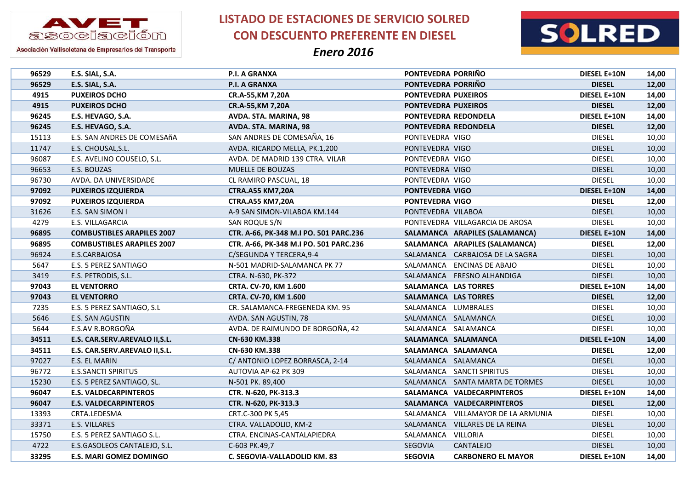



Asociación Vallisoletana de Empresarios del Transporte

| 96529 | E.S. SIAL, S.A.                   | P.I. A GRANXA                          | PONTEVEDRA PORRIÑO   |                                    | <b>DIESEL E+10N</b> | 14,00 |
|-------|-----------------------------------|----------------------------------------|----------------------|------------------------------------|---------------------|-------|
| 96529 | E.S. SIAL, S.A.                   | P.I. A GRANXA                          | PONTEVEDRA PORRIÑO   |                                    | <b>DIESEL</b>       | 12,00 |
| 4915  | <b>PUXEIROS DCHO</b>              | CR.A-55, KM 7, 20A                     | PONTEVEDRA PUXEIROS  |                                    | DIESEL E+10N        | 14,00 |
| 4915  | <b>PUXEIROS DCHO</b>              | CR.A-55, KM 7, 20A                     | PONTEVEDRA PUXEIROS  |                                    | <b>DIESEL</b>       | 12,00 |
| 96245 | E.S. HEVAGO, S.A.                 | AVDA. STA. MARINA, 98                  |                      | PONTEVEDRA REDONDELA               | <b>DIESEL E+10N</b> | 14,00 |
| 96245 | E.S. HEVAGO, S.A.                 | AVDA. STA. MARINA, 98                  |                      | PONTEVEDRA REDONDELA               | <b>DIESEL</b>       | 12,00 |
| 15113 | E.S. SAN ANDRES DE COMESAñA       | SAN ANDRES DE COMESAÑA, 16             | PONTEVEDRA VIGO      |                                    | <b>DIESEL</b>       | 10,00 |
| 11747 | E.S. CHOUSAL, S.L.                | AVDA. RICARDO MELLA, PK.1,200          | PONTEVEDRA VIGO      |                                    | <b>DIESEL</b>       | 10,00 |
| 96087 | E.S. AVELINO COUSELO, S.L.        | AVDA. DE MADRID 139 CTRA. VILAR        | PONTEVEDRA VIGO      |                                    | <b>DIESEL</b>       | 10,00 |
| 96653 | E.S. BOUZAS                       | MUELLE DE BOUZAS                       | PONTEVEDRA VIGO      |                                    | <b>DIESEL</b>       | 10,00 |
| 96730 | AVDA. DA UNIVERSIDADE             | CL RAMIRO PASCUAL, 18                  | PONTEVEDRA VIGO      |                                    | <b>DIESEL</b>       | 10,00 |
| 97092 | <b>PUXEIROS IZQUIERDA</b>         | <b>CTRA.A55 KM7,20A</b>                | PONTEVEDRA VIGO      |                                    | DIESEL E+10N        | 14,00 |
| 97092 | <b>PUXEIROS IZQUIERDA</b>         | <b>CTRA.A55 KM7,20A</b>                | PONTEVEDRA VIGO      |                                    | <b>DIESEL</b>       | 12,00 |
| 31626 | E.S. SAN SIMON I                  | A-9 SAN SIMON-VILABOA KM.144           | PONTEVEDRA VILABOA   |                                    | <b>DIESEL</b>       | 10,00 |
| 4279  | E.S. VILLAGARCIA                  | SAN ROQUE S/N                          |                      | PONTEVEDRA VILLAGARCIA DE AROSA    | <b>DIESEL</b>       | 10,00 |
| 96895 | <b>COMBUSTIBLES ARAPILES 2007</b> | CTR. A-66, PK-348 M.I PO. 501 PARC.236 |                      | SALAMANCA ARAPILES (SALAMANCA)     | <b>DIESEL E+10N</b> | 14,00 |
| 96895 | <b>COMBUSTIBLES ARAPILES 2007</b> | CTR. A-66, PK-348 M.I PO. 501 PARC.236 |                      | SALAMANCA ARAPILES (SALAMANCA)     | <b>DIESEL</b>       | 12,00 |
| 96924 | E.S.CARBAJOSA                     | C/SEGUNDA Y TERCERA, 9-4               |                      | SALAMANCA CARBAJOSA DE LA SAGRA    | <b>DIESEL</b>       | 10,00 |
| 5647  | E.S. 5 PEREZ SANTIAGO             | N-501 MADRID-SALAMANCA PK 77           |                      | SALAMANCA ENCINAS DE ABAJO         | <b>DIESEL</b>       | 10,00 |
| 3419  | E.S. PETRODIS, S.L.               | CTRA. N-630, PK-372                    |                      | SALAMANCA FRESNO ALHANDIGA         | <b>DIESEL</b>       | 10,00 |
| 97043 | <b>EL VENTORRO</b>                | CRTA. CV-70, KM 1.600                  | SALAMANCA LAS TORRES |                                    | DIESEL E+10N        | 14,00 |
| 97043 | <b>EL VENTORRO</b>                | CRTA. CV-70, KM 1.600                  | SALAMANCA LAS TORRES |                                    | <b>DIESEL</b>       | 12,00 |
| 7235  | E.S. 5 PEREZ SANTIAGO, S.L        | CR. SALAMANCA-FREGENEDA KM. 95         |                      | SALAMANCA LUMBRALES                | <b>DIESEL</b>       | 10,00 |
| 5646  | E.S. SAN AGUSTIN                  | AVDA. SAN AGUSTIN, 78                  |                      | SALAMANCA SALAMANCA                | <b>DIESEL</b>       | 10,00 |
| 5644  | E.S.AV R.BORGOÑA                  | AVDA. DE RAIMUNDO DE BORGOÑA, 42       |                      | SALAMANCA SALAMANCA                | <b>DIESEL</b>       | 10,00 |
| 34511 | E.S. CAR.SERV.AREVALO II, S.L.    | CN-630 KM.338                          |                      | SALAMANCA SALAMANCA                | <b>DIESEL E+10N</b> | 14,00 |
| 34511 | E.S. CAR.SERV.AREVALO II, S.L.    | CN-630 KM.338                          |                      | SALAMANCA SALAMANCA                | <b>DIESEL</b>       | 12,00 |
| 97027 | E.S. EL MARIN                     | C/ ANTONIO LOPEZ BORRASCA, 2-14        |                      | SALAMANCA SALAMANCA                | <b>DIESEL</b>       | 10,00 |
| 96772 | <b>E.S.SANCTI SPIRITUS</b>        | AUTOVIA AP-62 PK 309                   |                      | SALAMANCA SANCTI SPIRITUS          | <b>DIESEL</b>       | 10,00 |
| 15230 | E.S. 5 PEREZ SANTIAGO, SL.        | N-501 PK. 89,400                       |                      | SALAMANCA SANTA MARTA DE TORMES    | <b>DIESEL</b>       | 10,00 |
| 96047 | <b>E.S. VALDECARPINTEROS</b>      | CTR. N-620, PK-313.3                   |                      | SALAMANCA VALDECARPINTEROS         | DIESEL E+10N        | 14,00 |
| 96047 | <b>E.S. VALDECARPINTEROS</b>      | CTR. N-620, PK-313.3                   |                      | SALAMANCA VALDECARPINTEROS         | <b>DIESEL</b>       | 12,00 |
| 13393 | CRTA.LEDESMA                      | CRT.C-300 PK 5,45                      |                      | SALAMANCA VILLAMAYOR DE LA ARMUNIA | <b>DIESEL</b>       | 10,00 |
| 33371 | E.S. VILLARES                     | CTRA. VALLADOLID, KM-2                 |                      | SALAMANCA VILLARES DE LA REINA     | <b>DIESEL</b>       | 10,00 |
| 15750 | E.S. 5 PEREZ SANTIAGO S.L.        | CTRA. ENCINAS-CANTALAPIEDRA            | SALAMANCA VILLORIA   |                                    | <b>DIESEL</b>       | 10,00 |
| 4722  | E.S.GASOLEOS CANTALEJO, S.L.      | C-603 PK.49,7                          | SEGOVIA              | CANTALEJO                          | <b>DIESEL</b>       | 10,00 |
| 33295 | <b>E.S. MARI GOMEZ DOMINGO</b>    | C. SEGOVIA-VALLADOLID KM. 83           | <b>SEGOVIA</b>       | <b>CARBONERO EL MAYOR</b>          | DIESEL E+10N        | 14,00 |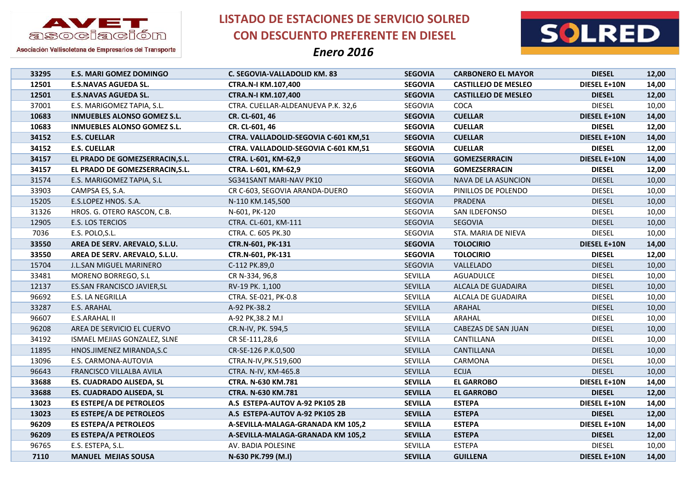

**LISTADO DE ESTACIONES DE SERVICIO SOLRED CON DESCUENTO PREFERENTE EN DIESEL**



| 33295 | <b>E.S. MARI GOMEZ DOMINGO</b>     | C. SEGOVIA-VALLADOLID KM. 83         | <b>SEGOVIA</b> | <b>CARBONERO EL MAYOR</b>   | <b>DIESEL</b>       | 12,00 |
|-------|------------------------------------|--------------------------------------|----------------|-----------------------------|---------------------|-------|
| 12501 | <b>E.S.NAVAS AGUEDA SL.</b>        | CTRA.N-I KM.107,400                  | <b>SEGOVIA</b> | <b>CASTILLEJO DE MESLEO</b> | DIESEL E+10N        | 14,00 |
| 12501 | <b>E.S.NAVAS AGUEDA SL.</b>        | <b>CTRA.N-I KM.107,400</b>           | <b>SEGOVIA</b> | <b>CASTILLEJO DE MESLEO</b> | <b>DIESEL</b>       | 12,00 |
| 37001 | E.S. MARIGOMEZ TAPIA, S.L.         | CTRA. CUELLAR-ALDEANUEVA P.K. 32,6   | SEGOVIA        | COCA                        | <b>DIESEL</b>       | 10,00 |
| 10683 | <b>INMUEBLES ALONSO GOMEZ S.L.</b> | CR. CL-601, 46                       | <b>SEGOVIA</b> | <b>CUELLAR</b>              | <b>DIESEL E+10N</b> | 14,00 |
| 10683 | <b>INMUEBLES ALONSO GOMEZ S.L.</b> | CR. CL-601, 46                       | <b>SEGOVIA</b> | <b>CUELLAR</b>              | <b>DIESEL</b>       | 12,00 |
| 34152 | <b>E.S. CUELLAR</b>                | CTRA. VALLADOLID-SEGOVIA C-601 KM,51 | <b>SEGOVIA</b> | <b>CUELLAR</b>              | <b>DIESEL E+10N</b> | 14,00 |
| 34152 | <b>E.S. CUELLAR</b>                | CTRA. VALLADOLID-SEGOVIA C-601 KM,51 | <b>SEGOVIA</b> | <b>CUELLAR</b>              | <b>DIESEL</b>       | 12,00 |
| 34157 | EL PRADO DE GOMEZSERRACIN, S.L.    | CTRA. L-601, KM-62,9                 | <b>SEGOVIA</b> | <b>GOMEZSERRACIN</b>        | <b>DIESEL E+10N</b> | 14,00 |
| 34157 | EL PRADO DE GOMEZSERRACIN, S.L.    | CTRA. L-601, KM-62,9                 | <b>SEGOVIA</b> | <b>GOMEZSERRACIN</b>        | <b>DIESEL</b>       | 12,00 |
| 31574 | E.S. MARIGOMEZ TAPIA, S.L          | SG341SANT MARI-NAV PK10              | SEGOVIA        | NAVA DE LA ASUNCION         | <b>DIESEL</b>       | 10,00 |
| 33903 | CAMPSA ES, S.A.                    | CR C-603, SEGOVIA ARANDA-DUERO       | SEGOVIA        | PINILLOS DE POLENDO         | <b>DIESEL</b>       | 10,00 |
| 15205 | E.S.LOPEZ HNOS. S.A.               | N-110 KM.145,500                     | SEGOVIA        | <b>PRADENA</b>              | <b>DIESEL</b>       | 10,00 |
| 31326 | HROS. G. OTERO RASCON, C.B.        | N-601, PK-120                        | SEGOVIA        | SAN ILDEFONSO               | <b>DIESEL</b>       | 10,00 |
| 12905 | E.S. LOS TERCIOS                   | CTRA. CL-601, KM-111                 | SEGOVIA        | <b>SEGOVIA</b>              | <b>DIESEL</b>       | 10,00 |
| 7036  | E.S. POLO, S.L.                    | CTRA. C. 605 PK.30                   | SEGOVIA        | STA. MARIA DE NIEVA         | <b>DIESEL</b>       | 10,00 |
| 33550 | AREA DE SERV. AREVALO, S.L.U.      | CTR.N-601, PK-131                    | <b>SEGOVIA</b> | <b>TOLOCIRIO</b>            | <b>DIESEL E+10N</b> | 14,00 |
| 33550 | AREA DE SERV. AREVALO, S.L.U.      | CTR.N-601, PK-131                    | <b>SEGOVIA</b> | <b>TOLOCIRIO</b>            | <b>DIESEL</b>       | 12,00 |
| 15704 | <b>J.L.SAN MIGUEL MARINERO</b>     | C-112 PK.89,0                        | SEGOVIA        | VALLELADO                   | <b>DIESEL</b>       | 10,00 |
| 33481 | MORENO BORREGO, S.L                | CR N-334, 96,8                       | SEVILLA        | <b>AGUADULCE</b>            | <b>DIESEL</b>       | 10,00 |
| 12137 | ES.SAN FRANCISCO JAVIER, SL        | RV-19 PK. 1,100                      | SEVILLA        | ALCALA DE GUADAIRA          | <b>DIESEL</b>       | 10,00 |
| 96692 | E.S. LA NEGRILLA                   | CTRA. SE-021, PK-0.8                 | SEVILLA        | ALCALA DE GUADAIRA          | <b>DIESEL</b>       | 10,00 |
| 33287 | E.S. ARAHAL                        | A-92 PK-38.2                         | <b>SEVILLA</b> | ARAHAL                      | <b>DIESEL</b>       | 10,00 |
| 96607 | E.S.ARAHAL II                      | A-92 PK, 38.2 M.I                    | SEVILLA        | ARAHAL                      | <b>DIESEL</b>       | 10,00 |
| 96208 | AREA DE SERVICIO EL CUERVO         | CR.N-IV, PK. 594,5                   | SEVILLA        | CABEZAS DE SAN JUAN         | <b>DIESEL</b>       | 10,00 |
| 34192 | ISMAEL MEJIAS GONZALEZ, SLNE       | CR SE-111,28,6                       | SEVILLA        | CANTILLANA                  | <b>DIESEL</b>       | 10,00 |
| 11895 | HNOS.JIMENEZ MIRANDA, S.C          | CR-SE-126 P.K.0,500                  | SEVILLA        | CANTILLANA                  | <b>DIESEL</b>       | 10,00 |
| 13096 | E.S. CARMONA-AUTOVIA               | CTRA.N-IV, PK.519,600                | SEVILLA        | CARMONA                     | <b>DIESEL</b>       | 10,00 |
| 96643 | FRANCISCO VILLALBA AVILA           | CTRA. N-IV, KM-465.8                 | SEVILLA        | <b>ECIJA</b>                | <b>DIESEL</b>       | 10,00 |
| 33688 | ES. CUADRADO ALISEDA, SL           | CTRA. N-630 KM.781                   | <b>SEVILLA</b> | <b>EL GARROBO</b>           | DIESEL E+10N        | 14,00 |
| 33688 | ES. CUADRADO ALISEDA, SL           | CTRA. N-630 KM.781                   | <b>SEVILLA</b> | <b>EL GARROBO</b>           | <b>DIESEL</b>       | 12,00 |
| 13023 | <b>ES ESTEPE/A DE PETROLEOS</b>    | A.S ESTEPA-AUTOV A-92 PK105 2B       | <b>SEVILLA</b> | <b>ESTEPA</b>               | DIESEL E+10N        | 14,00 |
| 13023 | <b>ES ESTEPE/A DE PETROLEOS</b>    | A.S ESTEPA-AUTOV A-92 PK105 2B       | <b>SEVILLA</b> | <b>ESTEPA</b>               | <b>DIESEL</b>       | 12,00 |
| 96209 | <b>ES ESTEPA/A PETROLEOS</b>       | A-SEVILLA-MALAGA-GRANADA KM 105,2    | <b>SEVILLA</b> | <b>ESTEPA</b>               | DIESEL E+10N        | 14,00 |
| 96209 | <b>ES ESTEPA/A PETROLEOS</b>       | A-SEVILLA-MALAGA-GRANADA KM 105,2    | <b>SEVILLA</b> | <b>ESTEPA</b>               | <b>DIESEL</b>       | 12,00 |
| 96765 | E.S. ESTEPA, S.L.                  | AV. BADIA POLESINE                   | SEVILLA        | <b>ESTEPA</b>               | <b>DIESEL</b>       | 10,00 |
| 7110  | <b>MANUEL MEJIAS SOUSA</b>         | N-630 PK.799 (M.I)                   | <b>SEVILLA</b> | <b>GUILLENA</b>             | <b>DIESEL E+10N</b> | 14,00 |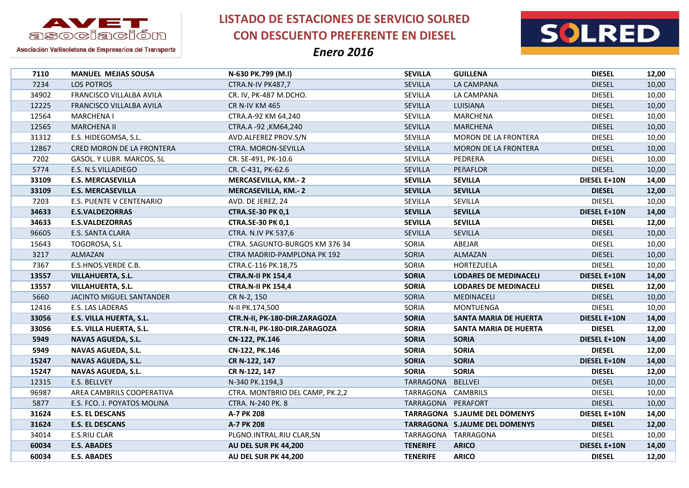

**LISTADO DE ESTACIONES DE SERVICIO SOLRED CON DESCUENTO PREFERENTE EN DIESEL**



| 7110  | <b>MANUEL MEJIAS SOUSA</b>  | N-630 PK.799 (M.I)              | <b>SEVILLA</b>      | <b>GUILLENA</b>               | <b>DIESEL</b>       | 12,00 |
|-------|-----------------------------|---------------------------------|---------------------|-------------------------------|---------------------|-------|
| 7234  | LOS POTROS                  | CTRA.N-IV PK487,7               | SEVILLA             | LA CAMPANA                    | <b>DIESEL</b>       | 10,00 |
| 34902 | FRANCISCO VILLALBA AVILA    | CR. IV, PK-487 M.DCHO.          | SEVILLA             | LA CAMPANA                    | <b>DIESEL</b>       | 10,00 |
| 12225 | FRANCISCO VILLALBA AVILA    | <b>CR N-IV KM 465</b>           | <b>SEVILLA</b>      | LUISIANA                      | <b>DIESEL</b>       | 10,00 |
| 12564 | <b>MARCHENA I</b>           | CTRA.A-92 KM 64,240             | SEVILLA             | <b>MARCHENA</b>               | <b>DIESEL</b>       | 10,00 |
| 12565 | <b>MARCHENA II</b>          | CTRA.A -92, KM64,240            | <b>SEVILLA</b>      | <b>MARCHENA</b>               | <b>DIESEL</b>       | 10,00 |
| 31312 | E.S. HIDEGOMSA, S.L.        | AVD.ALFEREZ PROV.S/N            | SEVILLA             | MORON DE LA FRONTERA          | <b>DIESEL</b>       | 10,00 |
| 12867 | CRED MORON DE LA FRONTERA   | CTRA. MORON-SEVILLA             | <b>SEVILLA</b>      | <b>MORON DE LA FRONTERA</b>   | <b>DIESEL</b>       | 10,00 |
| 7202  | GASOL. Y LUBR. MARCOS, SL   | CR. SE-491, PK-10.6             | SEVILLA             | PEDRERA                       | <b>DIESEL</b>       | 10,00 |
| 5774  | E.S. N.S.VILLADIEGO         | CR. C-431, PK-62.6              | <b>SEVILLA</b>      | PEñAFLOR                      | <b>DIESEL</b>       | 10,00 |
| 33109 | <b>E.S. MERCASEVILLA</b>    | <b>MERCASEVILLA, KM.-2</b>      | <b>SEVILLA</b>      | <b>SEVILLA</b>                | DIESEL E+10N        | 14,00 |
| 33109 | <b>E.S. MERCASEVILLA</b>    | <b>MERCASEVILLA, KM.-2</b>      | <b>SEVILLA</b>      | <b>SEVILLA</b>                | <b>DIESEL</b>       | 12,00 |
| 7203  | E.S. PUENTE V CENTENARIO    | AVD. DE JEREZ, 24               | SEVILLA             | SEVILLA                       | <b>DIESEL</b>       | 10,00 |
| 34633 | <b>E.S.VALDEZORRAS</b>      | <b>CTRA.SE-30 PK 0,1</b>        | <b>SEVILLA</b>      | <b>SEVILLA</b>                | <b>DIESEL E+10N</b> | 14,00 |
| 34633 | <b>E.S.VALDEZORRAS</b>      | <b>CTRA.SE-30 PK 0,1</b>        | <b>SEVILLA</b>      | <b>SEVILLA</b>                | <b>DIESEL</b>       | 12,00 |
| 96605 | <b>E.S. SANTA CLARA</b>     | CTRA. N.IV PK 537,6             | <b>SEVILLA</b>      | <b>SEVILLA</b>                | <b>DIESEL</b>       | 10,00 |
| 15643 | TOGOROSA, S.L               | CTRA. SAGUNTO-BURGOS KM 376 34  | SORIA               | ABEJAR                        | <b>DIESEL</b>       | 10,00 |
| 3217  | ALMAZAN                     | CTRA MADRID-PAMPLONA PK 192     | SORIA               | ALMAZAN                       | <b>DIESEL</b>       | 10,00 |
| 7367  | E.S.HNOS.VERDE C.B.         | CTRA.C-116 PK.18,75             | SORIA               | HORTEZUELA                    | <b>DIESEL</b>       | 10,00 |
| 13557 | <b>VILLAHUERTA, S.L.</b>    | <b>CTRA.N-II PK 154,4</b>       | <b>SORIA</b>        | <b>LODARES DE MEDINACELI</b>  | <b>DIESEL E+10N</b> | 14,00 |
| 13557 | VILLAHUERTA, S.L.           | <b>CTRA.N-II PK 154,4</b>       | <b>SORIA</b>        | <b>LODARES DE MEDINACELI</b>  | <b>DIESEL</b>       | 12,00 |
| 5660  | JACINTO MIGUEL SANTANDER    | CR N-2, 150                     | SORIA               | MEDINACELI                    | <b>DIESEL</b>       | 10,00 |
| 12416 | E.S. LAS LADERAS            | N-II PK.174,500                 | SORIA               | <b>MONTUENGA</b>              | <b>DIESEL</b>       | 10,00 |
| 33056 | E.S. VILLA HUERTA, S.L.     | CTR.N-II, PK-180-DIR.ZARAGOZA   | <b>SORIA</b>        | <b>SANTA MARIA DE HUERTA</b>  | <b>DIESEL E+10N</b> | 14,00 |
| 33056 | E.S. VILLA HUERTA, S.L.     | CTR.N-II, PK-180-DIR.ZARAGOZA   | <b>SORIA</b>        | SANTA MARIA DE HUERTA         | <b>DIESEL</b>       | 12,00 |
| 5949  | <b>NAVAS AGUEDA, S.L.</b>   | CN-122, PK.146                  | <b>SORIA</b>        | <b>SORIA</b>                  | <b>DIESEL E+10N</b> | 14,00 |
| 5949  | <b>NAVAS AGUEDA, S.L.</b>   | CN-122, PK.146                  | <b>SORIA</b>        | <b>SORIA</b>                  | <b>DIESEL</b>       | 12,00 |
| 15247 | NAVAS AGUEDA, S.L.          | CR N-122, 147                   | <b>SORIA</b>        | <b>SORIA</b>                  | <b>DIESEL E+10N</b> | 14,00 |
| 15247 | NAVAS AGUEDA, S.L.          | CR N-122, 147                   | <b>SORIA</b>        | <b>SORIA</b>                  | <b>DIESEL</b>       | 12,00 |
| 12315 | E.S. BELLVEY                | N-340 PK.1194,3                 | TARRAGONA           | <b>BELLVEI</b>                | <b>DIESEL</b>       | 10,00 |
| 96987 | AREA CAMBRILS COOPERATIVA   | CTRA. MONTBRIO DEL CAMP, PK.2,2 | TARRAGONA           | CAMBRILS                      | <b>DIESEL</b>       | 10,00 |
| 5877  | E.S. FCO. J. POYATOS MOLINA | CTRA. N-240 PK. 8               | TARRAGONA PERAFORT  |                               | <b>DIESEL</b>       | 10,00 |
| 31624 | <b>E.S. EL DESCANS</b>      | A-7 PK 208                      |                     | TARRAGONA S.JAUME DEL DOMENYS | <b>DIESEL E+10N</b> | 14,00 |
| 31624 | <b>E.S. EL DESCANS</b>      | A-7 PK 208                      |                     | TARRAGONA S.JAUME DEL DOMENYS | <b>DIESEL</b>       | 12,00 |
| 34014 | E.S.RIU CLAR                | PLGNO.INTRAL.RIU CLAR,SN        | TARRAGONA TARRAGONA |                               | <b>DIESEL</b>       | 10,00 |
| 60034 | <b>E.S. ABADES</b>          | AU DEL SUR PK 44,200            | <b>TENERIFE</b>     | <b>ARICO</b>                  | <b>DIESEL E+10N</b> | 14,00 |
| 60034 | <b>E.S. ABADES</b>          | AU DEL SUR PK 44,200            | <b>TENERIFE</b>     | <b>ARICO</b>                  | <b>DIESEL</b>       | 12,00 |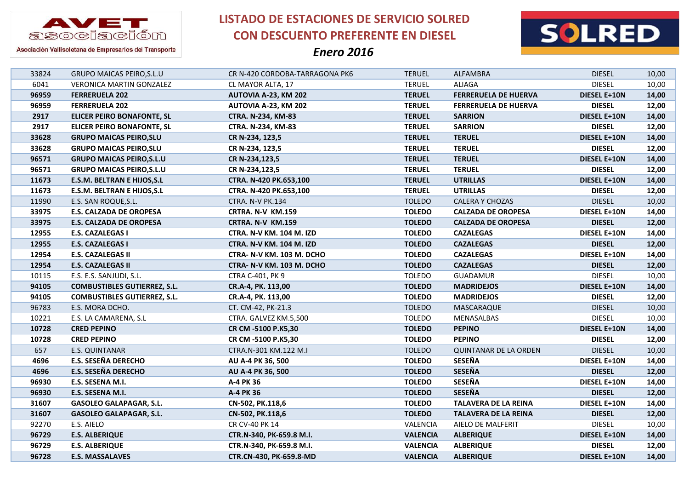



Asociación Vallisoletana de Empresarios del Transporte

| 33824 | <b>GRUPO MAICAS PEIRO, S.L.U</b>    | CR N-420 CORDOBA-TARRAGONA PK6  | <b>TERUEL</b>   | ALFAMBRA                     | <b>DIESEL</b>       | 10,00 |
|-------|-------------------------------------|---------------------------------|-----------------|------------------------------|---------------------|-------|
| 6041  | <b>VERONICA MARTIN GONZALEZ</b>     | CL MAYOR ALTA, 17               | <b>TERUEL</b>   | <b>ALIAGA</b>                | <b>DIESEL</b>       | 10,00 |
| 96959 | <b>FERRERUELA 202</b>               | AUTOVIA A-23, KM 202            | <b>TERUEL</b>   | <b>FERRERUELA DE HUERVA</b>  | DIESEL E+10N        | 14,00 |
| 96959 | <b>FERRERUELA 202</b>               | AUTOVIA A-23, KM 202            | <b>TERUEL</b>   | <b>FERRERUELA DE HUERVA</b>  | <b>DIESEL</b>       | 12,00 |
| 2917  | ELICER PEIRO BONAFONTE, SL          | CTRA. N-234, KM-83              | <b>TERUEL</b>   | <b>SARRION</b>               | <b>DIESEL E+10N</b> | 14,00 |
| 2917  | <b>ELICER PEIRO BONAFONTE, SL</b>   | <b>CTRA. N-234, KM-83</b>       | <b>TERUEL</b>   | <b>SARRION</b>               | <b>DIESEL</b>       | 12,00 |
| 33628 | <b>GRUPO MAICAS PEIRO, SLU</b>      | CR N-234, 123,5                 | <b>TERUEL</b>   | <b>TERUEL</b>                | <b>DIESEL E+10N</b> | 14,00 |
| 33628 | <b>GRUPO MAICAS PEIRO, SLU</b>      | CR N-234, 123,5                 | <b>TERUEL</b>   | <b>TERUEL</b>                | <b>DIESEL</b>       | 12,00 |
| 96571 | <b>GRUPO MAICAS PEIRO, S.L.U</b>    | CR N-234,123,5                  | <b>TERUEL</b>   | <b>TERUEL</b>                | <b>DIESEL E+10N</b> | 14,00 |
| 96571 | <b>GRUPO MAICAS PEIRO, S.L.U</b>    | CR N-234,123,5                  | <b>TERUEL</b>   | <b>TERUEL</b>                | <b>DIESEL</b>       | 12,00 |
| 11673 | <b>E.S.M. BELTRAN E HIJOS, S.L</b>  | CTRA. N-420 PK.653,100          | <b>TERUEL</b>   | <b>UTRILLAS</b>              | <b>DIESEL E+10N</b> | 14,00 |
| 11673 | E.S.M. BELTRAN E HIJOS, S.L.        | CTRA. N-420 PK.653,100          | <b>TERUEL</b>   | <b>UTRILLAS</b>              | <b>DIESEL</b>       | 12,00 |
| 11990 | E.S. SAN ROQUE, S.L.                | CTRA. N-V PK.134                | <b>TOLEDO</b>   | CALERA Y CHOZAS              | <b>DIESEL</b>       | 10,00 |
| 33975 | <b>E.S. CALZADA DE OROPESA</b>      | CRTRA. N-V KM.159               | <b>TOLEDO</b>   | <b>CALZADA DE OROPESA</b>    | <b>DIESEL E+10N</b> | 14,00 |
| 33975 | <b>E.S. CALZADA DE OROPESA</b>      | CRTRA. N-V KM.159               | <b>TOLEDO</b>   | <b>CALZADA DE OROPESA</b>    | <b>DIESEL</b>       | 12,00 |
| 12955 | <b>E.S. CAZALEGAS I</b>             | <b>CTRA. N-V KM. 104 M. IZD</b> | <b>TOLEDO</b>   | <b>CAZALEGAS</b>             | <b>DIESEL E+10N</b> | 14,00 |
| 12955 | <b>E.S. CAZALEGAS I</b>             | CTRA. N-V KM. 104 M. IZD        | <b>TOLEDO</b>   | <b>CAZALEGAS</b>             | <b>DIESEL</b>       | 12,00 |
| 12954 | <b>E.S. CAZALEGAS II</b>            | CTRA- N-V KM. 103 M. DCHO       | <b>TOLEDO</b>   | <b>CAZALEGAS</b>             | <b>DIESEL E+10N</b> | 14,00 |
| 12954 | <b>E.S. CAZALEGAS II</b>            | CTRA- N-V KM. 103 M. DCHO       | <b>TOLEDO</b>   | <b>CAZALEGAS</b>             | <b>DIESEL</b>       | 12,00 |
| 10115 | E.S. E.S. SANJUDI, S.L.             | CTRA C-401, PK 9                | <b>TOLEDO</b>   | <b>GUADAMUR</b>              | <b>DIESEL</b>       | 10,00 |
| 94105 | <b>COMBUSTIBLES GUTIERREZ, S.L.</b> | CR.A-4, PK. 113,00              | <b>TOLEDO</b>   | <b>MADRIDEJOS</b>            | <b>DIESEL E+10N</b> | 14,00 |
| 94105 | <b>COMBUSTIBLES GUTIERREZ, S.L.</b> | CR.A-4, PK. 113,00              | <b>TOLEDO</b>   | <b>MADRIDEJOS</b>            | <b>DIESEL</b>       | 12,00 |
| 96783 | E.S. MORA DCHO.                     | CT. CM-42, PK-21.3              | <b>TOLEDO</b>   | MASCARAQUE                   | <b>DIESEL</b>       | 10,00 |
| 10221 | E.S. LA CAMARENA, S.L               | CTRA. GALVEZ KM.5,500           | <b>TOLEDO</b>   | MENASALBAS                   | <b>DIESEL</b>       | 10,00 |
| 10728 | <b>CRED PEPINO</b>                  | CR CM -5100 P.K5,30             | <b>TOLEDO</b>   | <b>PEPINO</b>                | <b>DIESEL E+10N</b> | 14,00 |
| 10728 | <b>CRED PEPINO</b>                  | CR CM -5100 P.K5,30             | <b>TOLEDO</b>   | <b>PEPINO</b>                | <b>DIESEL</b>       | 12,00 |
| 657   | E.S. QUINTANAR                      | CTRA.N-301 KM.122 M.I           | <b>TOLEDO</b>   | <b>QUINTANAR DE LA ORDEN</b> | <b>DIESEL</b>       | 10,00 |
| 4696  | <b>E.S. SESEÑA DERECHO</b>          | AU A-4 PK 36, 500               | <b>TOLEDO</b>   | <b>SESEÑA</b>                | <b>DIESEL E+10N</b> | 14,00 |
| 4696  | <b>E.S. SESEÑA DERECHO</b>          | AU A-4 PK 36, 500               | <b>TOLEDO</b>   | <b>SESEÑA</b>                | <b>DIESEL</b>       | 12,00 |
| 96930 | E.S. SESENA M.I.                    | A-4 PK 36                       | <b>TOLEDO</b>   | <b>SESEÑA</b>                | <b>DIESEL E+10N</b> | 14,00 |
| 96930 | E.S. SESENA M.I.                    | A-4 PK 36                       | <b>TOLEDO</b>   | <b>SESEÑA</b>                | <b>DIESEL</b>       | 12,00 |
| 31607 | <b>GASOLEO GALAPAGAR, S.L.</b>      | CN-502, PK.118,6                | <b>TOLEDO</b>   | <b>TALAVERA DE LA REINA</b>  | <b>DIESEL E+10N</b> | 14,00 |
| 31607 | <b>GASOLEO GALAPAGAR, S.L.</b>      | CN-502, PK.118,6                | <b>TOLEDO</b>   | <b>TALAVERA DE LA REINA</b>  | <b>DIESEL</b>       | 12,00 |
| 92270 | E.S. AIELO                          | CR CV-40 PK 14                  | VALENCIA        | AIELO DE MALFERIT            | <b>DIESEL</b>       | 10,00 |
| 96729 | <b>E.S. ALBERIQUE</b>               | CTR.N-340, PK-659.8 M.I.        | <b>VALENCIA</b> | <b>ALBERIQUE</b>             | <b>DIESEL E+10N</b> | 14,00 |
| 96729 | <b>E.S. ALBERIQUE</b>               | CTR.N-340, PK-659.8 M.I.        | <b>VALENCIA</b> | <b>ALBERIQUE</b>             | <b>DIESEL</b>       | 12,00 |
| 96728 | <b>E.S. MASSALAVES</b>              | CTR.CN-430, PK-659.8-MD         | <b>VALENCIA</b> | <b>ALBERIQUE</b>             | DIESEL E+10N        | 14,00 |
|       |                                     |                                 |                 |                              |                     |       |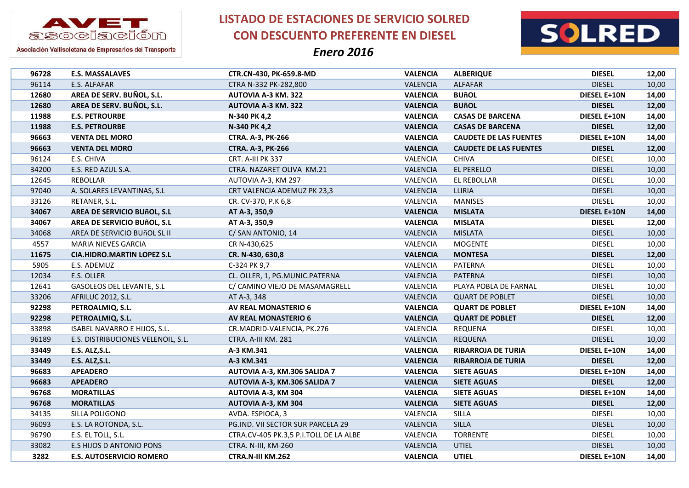

**LISTADO DE ESTACIONES DE SERVICIO SOLRED CON DESCUENTO PREFERENTE EN DIESEL**





| 96728 | <b>E.S. MASSALAVES</b>             | CTR.CN-430, PK-659.8-MD                | <b>VALENCIA</b> | <b>ALBERIQUE</b>              | <b>DIESEL</b>       | 12,00 |
|-------|------------------------------------|----------------------------------------|-----------------|-------------------------------|---------------------|-------|
| 96114 | E.S. ALFAFAR                       | CTRA N-332 PK-282,800                  | <b>VALENCIA</b> | <b>ALFAFAR</b>                | <b>DIESEL</b>       | 10,00 |
| 12680 | AREA DE SERV. BUÑOL, S.L.          | <b>AUTOVIA A-3 KM. 322</b>             | <b>VALENCIA</b> | <b>BUñOL</b>                  | DIESEL E+10N        | 14,00 |
| 12680 | AREA DE SERV. BUÑOL, S.L.          | <b>AUTOVIA A-3 KM. 322</b>             | <b>VALENCIA</b> | <b>BUñOL</b>                  | <b>DIESEL</b>       | 12,00 |
| 11988 | <b>E.S. PETROURBE</b>              | N-340 PK 4,2                           | <b>VALENCIA</b> | <b>CASAS DE BARCENA</b>       | <b>DIESEL E+10N</b> | 14,00 |
| 11988 | <b>E.S. PETROURBE</b>              | N-340 PK 4,2                           | <b>VALENCIA</b> | <b>CASAS DE BARCENA</b>       | <b>DIESEL</b>       | 12,00 |
| 96663 | <b>VENTA DEL MORO</b>              | <b>CTRA. A-3, PK-266</b>               | <b>VALENCIA</b> | <b>CAUDETE DE LAS FUENTES</b> | DIESEL E+10N        | 14,00 |
| 96663 | <b>VENTA DEL MORO</b>              | <b>CTRA. A-3, PK-266</b>               | <b>VALENCIA</b> | <b>CAUDETE DE LAS FUENTES</b> | <b>DIESEL</b>       | 12,00 |
| 96124 | E.S. CHIVA                         | CRT. A-III PK 337                      | VALENCIA        | <b>CHIVA</b>                  | <b>DIESEL</b>       | 10,00 |
| 34200 | E.S. RED AZUL S.A.                 | CTRA. NAZARET OLIVA KM.21              | VALENCIA        | EL PERELLO                    | <b>DIESEL</b>       | 10,00 |
| 12645 | REBOLLAR                           | AUTOVIA A-3, KM 297                    | VALENCIA        | EL REBOLLAR                   | <b>DIESEL</b>       | 10,00 |
| 97040 | A. SOLARES LEVANTINAS, S.L.        | CRT VALENCIA ADEMUZ PK 23,3            | VALENCIA        | LLIRIA                        | <b>DIESEL</b>       | 10,00 |
| 33126 | RETANER, S.L.                      | CR. CV-370, P.K 6,8                    | VALENCIA        | <b>MANISES</b>                | <b>DIESEL</b>       | 10,00 |
| 34067 | AREA DE SERVICIO BUñOL, S.L        | AT A-3, 350,9                          | <b>VALENCIA</b> | <b>MISLATA</b>                | <b>DIESEL E+10N</b> | 14,00 |
| 34067 | AREA DE SERVICIO BUñOL, S.L        | AT A-3, 350,9                          | <b>VALENCIA</b> | <b>MISLATA</b>                | <b>DIESEL</b>       | 12,00 |
| 34068 | AREA DE SERVICIO BUÑOL SL II       | C/ SAN ANTONIO, 14                     | <b>VALENCIA</b> | <b>MISLATA</b>                | <b>DIESEL</b>       | 10,00 |
| 4557  | MARIA NIEVES GARCIA                | CR N-430,625                           | VALENCIA        | <b>MOGENTE</b>                | <b>DIESEL</b>       | 10,00 |
| 11675 | <b>CIA.HIDRO.MARTIN LOPEZ S.L</b>  | CR. N-430, 630,8                       | <b>VALENCIA</b> | <b>MONTESA</b>                | <b>DIESEL</b>       | 12,00 |
| 5905  | E.S. ADEMUZ                        | C-324 PK 9,7                           | VALENCIA        | PATERNA                       | <b>DIESEL</b>       | 10,00 |
| 12034 | E.S. OLLER                         | CL. OLLER, 1, PG.MUNIC.PATERNA         | <b>VALENCIA</b> | <b>PATERNA</b>                | <b>DIESEL</b>       | 10,00 |
| 12641 | GASOLEOS DEL LEVANTE, S.L          | C/ CAMINO VIEJO DE MASAMAGRELL         | VALENCIA        | PLAYA POBLA DE FARNAL         | <b>DIESEL</b>       | 10,00 |
| 33206 | AFRILUC 2012, S.L.                 | AT A-3, 348                            | <b>VALENCIA</b> | <b>QUART DE POBLET</b>        | <b>DIESEL</b>       | 10,00 |
| 92298 | PETROALMIQ, S.L.                   | <b>AV REAL MONASTERIO 6</b>            | <b>VALENCIA</b> | <b>QUART DE POBLET</b>        | <b>DIESEL E+10N</b> | 14,00 |
| 92298 | PETROALMIQ, S.L.                   | <b>AV REAL MONASTERIO 6</b>            | <b>VALENCIA</b> | <b>QUART DE POBLET</b>        | <b>DIESEL</b>       | 12,00 |
| 33898 | ISABEL NAVARRO E HIJOS, S.L.       | CR.MADRID-VALENCIA, PK.276             | VALENCIA        | REQUENA                       | <b>DIESEL</b>       | 10,00 |
| 96189 | E.S. DISTRIBUCIONES VELENOIL, S.L. | CTRA. A-III KM. 281                    | VALENCIA        | <b>REQUENA</b>                | <b>DIESEL</b>       | 10,00 |
| 33449 | <b>E.S. ALZ, S.L.</b>              | A-3 KM.341                             | <b>VALENCIA</b> | <b>RIBARROJA DE TURIA</b>     | <b>DIESEL E+10N</b> | 14,00 |
| 33449 | E.S. ALZ, S.L.                     | A-3 KM.341                             | <b>VALENCIA</b> | <b>RIBARROJA DE TURIA</b>     | <b>DIESEL</b>       | 12,00 |
| 96683 | <b>APEADERO</b>                    | AUTOVIA A-3, KM.306 SALIDA 7           | <b>VALENCIA</b> | <b>SIETE AGUAS</b>            | DIESEL E+10N        | 14,00 |
| 96683 | <b>APEADERO</b>                    | AUTOVIA A-3, KM.306 SALIDA 7           | <b>VALENCIA</b> | <b>SIETE AGUAS</b>            | <b>DIESEL</b>       | 12,00 |
| 96768 | <b>MORATILLAS</b>                  | <b>AUTOVIA A-3, KM 304</b>             | <b>VALENCIA</b> | <b>SIETE AGUAS</b>            | <b>DIESEL E+10N</b> | 14,00 |
| 96768 | <b>MORATILLAS</b>                  | AUTOVIA A-3, KM 304                    | <b>VALENCIA</b> | <b>SIETE AGUAS</b>            | <b>DIESEL</b>       | 12,00 |
| 34135 | SILLA POLIGONO                     | AVDA. ESPIOCA, 3                       | VALENCIA        | SILLA                         | <b>DIESEL</b>       | 10,00 |
| 96093 | E.S. LA ROTONDA, S.L.              | PG.IND. VII SECTOR SUR PARCELA 29      | VALENCIA        | <b>SILLA</b>                  | <b>DIESEL</b>       | 10,00 |
| 96790 | E.S. EL TOLL, S.L.                 | CTRA.CV-405 PK.3,5 P.I.TOLL DE LA ALBE | VALENCIA        | <b>TORRENTE</b>               | <b>DIESEL</b>       | 10,00 |
| 33082 | E.S HIJOS D ANTONIO PONS           | CTRA. N-III, KM-260                    | VALENCIA        | <b>UTIEL</b>                  | <b>DIESEL</b>       | 10,00 |
| 3282  | <b>E.S. AUTOSERVICIO ROMERO</b>    | CTRA.N-III KM.262                      | <b>VALENCIA</b> | <b>UTIEL</b>                  | <b>DIESEL E+10N</b> | 14,00 |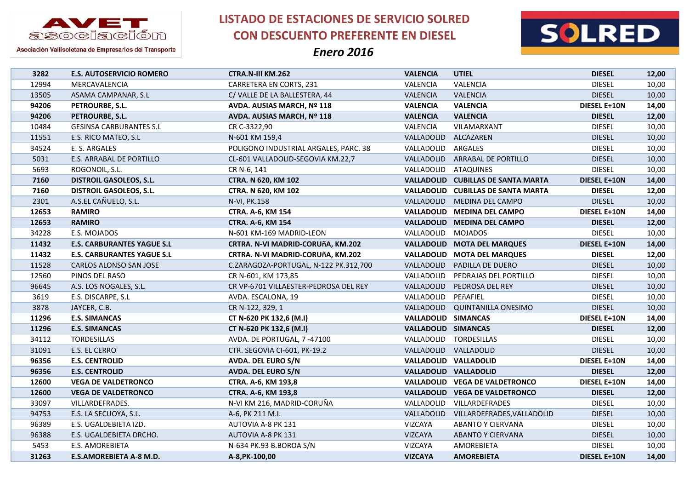

**LISTADO DE ESTACIONES DE SERVICIO SOLRED CON DESCUENTO PREFERENTE EN DIESEL**



| 3282  | <b>E.S. AUTOSERVICIO ROMERO</b>   | <b>CTRA.N-III KM.262</b>              | <b>VALENCIA</b>     | <b>UTIEL</b>                              | <b>DIESEL</b>       | 12,00 |
|-------|-----------------------------------|---------------------------------------|---------------------|-------------------------------------------|---------------------|-------|
| 12994 | MERCAVALENCIA                     | CARRETERA EN CORTS, 231               | VALENCIA            | VALENCIA                                  | <b>DIESEL</b>       | 10,00 |
| 13505 | ASAMA CAMPANAR, S.L               | C/VALLE DE LA BALLESTERA, 44          | VALENCIA            | VALENCIA                                  | <b>DIESEL</b>       | 10,00 |
| 94206 | PETROURBE, S.L.                   | AVDA. AUSIAS MARCH, Nº 118            | <b>VALENCIA</b>     | <b>VALENCIA</b>                           | <b>DIESEL E+10N</b> | 14,00 |
| 94206 | PETROURBE, S.L.                   | AVDA. AUSIAS MARCH, Nº 118            | <b>VALENCIA</b>     | <b>VALENCIA</b>                           | <b>DIESEL</b>       | 12,00 |
| 10484 | <b>GESINSA CARBURANTES S.L</b>    | CR C-3322,90                          | VALENCIA            | VILAMARXANT                               | <b>DIESEL</b>       | 10,00 |
| 11551 | E.S. RICO MATEO, S.L              | N-601 KM 159,4                        | VALLADOLID          | ALCAZAREN                                 | <b>DIESEL</b>       | 10,00 |
| 34524 | E. S. ARGALES                     | POLIGONO INDUSTRIAL ARGALES, PARC. 38 | VALLADOLID          | ARGALES                                   | <b>DIESEL</b>       | 10,00 |
| 5031  | E.S. ARRABAL DE PORTILLO          | CL-601 VALLADOLID-SEGOVIA KM.22,7     | VALLADOLID          | <b>ARRABAL DE PORTILLO</b>                | <b>DIESEL</b>       | 10,00 |
| 5693  | ROGONOIL, S.L.                    | CR N-6, 141                           | VALLADOLID          | <b>ATAQUINES</b>                          | <b>DIESEL</b>       | 10,00 |
| 7160  | <b>DISTROIL GASOLEOS, S.L.</b>    | CTRA. N 620, KM 102                   |                     | <b>VALLADOLID CUBILLAS DE SANTA MARTA</b> | <b>DIESEL E+10N</b> | 14,00 |
| 7160  | <b>DISTROIL GASOLEOS, S.L.</b>    | CTRA. N 620, KM 102                   |                     | <b>VALLADOLID CUBILLAS DE SANTA MARTA</b> | <b>DIESEL</b>       | 12,00 |
| 2301  | A.S.EL CAÑUELO, S.L.              | N-VI, PK.158                          |                     | VALLADOLID MEDINA DEL CAMPO               | <b>DIESEL</b>       | 10,00 |
| 12653 | <b>RAMIRO</b>                     | <b>CTRA. A-6, KM 154</b>              |                     | VALLADOLID MEDINA DEL CAMPO               | DIESEL E+10N        | 14,00 |
| 12653 | <b>RAMIRO</b>                     | <b>CTRA. A-6, KM 154</b>              |                     | VALLADOLID MEDINA DEL CAMPO               | <b>DIESEL</b>       | 12,00 |
| 34228 | E.S. MOJADOS                      | N-601 KM-169 MADRID-LEON              | VALLADOLID MOJADOS  |                                           | <b>DIESEL</b>       | 10,00 |
| 11432 | <b>E.S. CARBURANTES YAGUE S.L</b> | CRTRA. N-VI MADRID-CORUñA, KM.202     |                     | <b>VALLADOLID MOTA DEL MARQUES</b>        | <b>DIESEL E+10N</b> | 14,00 |
| 11432 | <b>E.S. CARBURANTES YAGUE S.L</b> | CRTRA. N-VI MADRID-CORUñA, KM.202     |                     | <b>VALLADOLID MOTA DEL MARQUES</b>        | <b>DIESEL</b>       | 12,00 |
| 11528 | CARLOS ALONSO SAN JOSE            | C.ZARAGOZA-PORTUGAL, N-122 PK.312,700 | VALLADOLID          | PADILLA DE DUERO                          | <b>DIESEL</b>       | 10,00 |
| 12560 | PINOS DEL RASO                    | CR N-601, KM 173,85                   | VALLADOLID          | PEDRAJAS DEL PORTILLO                     | <b>DIESEL</b>       | 10,00 |
| 96645 | A.S. LOS NOGALES, S.L.            | CR VP-6701 VILLAESTER-PEDROSA DEL REY | VALLADOLID          | PEDROSA DEL REY                           | <b>DIESEL</b>       | 10,00 |
| 3619  | E.S. DISCARPE, S.L                | AVDA. ESCALONA, 19                    | VALLADOLID          | PEñAFIEL                                  | <b>DIESEL</b>       | 10,00 |
| 3878  | JAYCER, C.B.                      | CR N-122, 329, 1                      | VALLADOLID          | <b>QUINTANILLA ONESIMO</b>                | <b>DIESEL</b>       | 10,00 |
| 11296 | <b>E.S. SIMANCAS</b>              | CT N-620 PK 132,6 (M.I)               | VALLADOLID SIMANCAS |                                           | <b>DIESEL E+10N</b> | 14,00 |
| 11296 | <b>E.S. SIMANCAS</b>              | CT N-620 PK 132,6 (M.I)               | VALLADOLID SIMANCAS |                                           | <b>DIESEL</b>       | 12,00 |
| 34112 | <b>TORDESILLAS</b>                | AVDA. DE PORTUGAL, 7-47100            | VALLADOLID          | <b>TORDESILLAS</b>                        | <b>DIESEL</b>       | 10,00 |
| 31091 | E.S. EL CERRO                     | CTR. SEGOVIA CI-601, PK-19.2          | VALLADOLID          | VALLADOLID                                | <b>DIESEL</b>       | 10,00 |
| 96356 | <b>E.S. CENTROLID</b>             | AVDA. DEL EURO S/N                    |                     | VALLADOLID VALLADOLID                     | <b>DIESEL E+10N</b> | 14,00 |
| 96356 | <b>E.S. CENTROLID</b>             | AVDA. DEL EURO S/N                    |                     | VALLADOLID VALLADOLID                     | <b>DIESEL</b>       | 12,00 |
| 12600 | <b>VEGA DE VALDETRONCO</b>        | CTRA. A-6, KM 193,8                   |                     | VALLADOLID VEGA DE VALDETRONCO            | <b>DIESEL E+10N</b> | 14,00 |
| 12600 | <b>VEGA DE VALDETRONCO</b>        | CTRA. A-6, KM 193,8                   | <b>VALLADOLID</b>   | <b>VEGA DE VALDETRONCO</b>                | <b>DIESEL</b>       | 12,00 |
| 33097 | VILLARDEFRADES.                   | N-VI KM 216, MADRID-CORUÑA            | VALLADOLID          | VILLARDEFRADES                            | <b>DIESEL</b>       | 10,00 |
| 94753 | E.S. LA SECUOYA, S.L.             | A-6, PK 211 M.I.                      | VALLADOLID          | VILLARDEFRADES, VALLADOLID                | <b>DIESEL</b>       | 10,00 |
| 96389 | E.S. UGALDEBIETA IZD.             | AUTOVIA A-8 PK 131                    | VIZCAYA             | <b>ABANTO Y CIERVANA</b>                  | <b>DIESEL</b>       | 10,00 |
| 96388 | E.S. UGALDEBIETA DRCHO.           | AUTOVIA A-8 PK 131                    | <b>VIZCAYA</b>      | ABANTO Y CIERVANA                         | <b>DIESEL</b>       | 10,00 |
| 5453  | E.S. AMOREBIETA                   | N-634 PK.93 B.BOROA S/N               | VIZCAYA             | AMOREBIETA                                | <b>DIESEL</b>       | 10,00 |
| 31263 | E.S.AMOREBIETA A-8 M.D.           | A-8, PK-100, 00                       | <b>VIZCAYA</b>      | <b>AMOREBIETA</b>                         | <b>DIESEL E+10N</b> | 14,00 |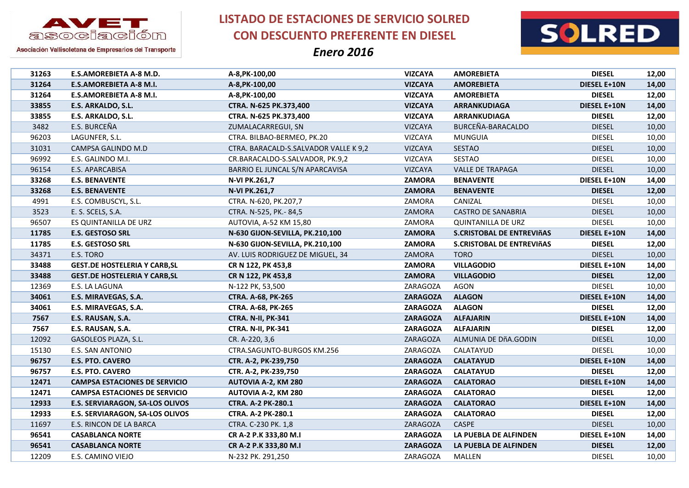



Asociación Vallisoletana de Empresarios del Transporte

| 31263 | E.S.AMOREBIETA A-8 M.D.                | A-8, PK-100, 00                       | <b>VIZCAYA</b>  | <b>AMOREBIETA</b>                | <b>DIESEL</b>       | 12,00 |
|-------|----------------------------------------|---------------------------------------|-----------------|----------------------------------|---------------------|-------|
| 31264 | <b>E.S.AMOREBIETA A-8 M.I.</b>         | A-8, PK-100, 00                       | <b>VIZCAYA</b>  | <b>AMOREBIETA</b>                | DIESEL E+10N        | 14,00 |
| 31264 | E.S.AMOREBIETA A-8 M.I.                | A-8, PK-100, 00                       | <b>VIZCAYA</b>  | <b>AMOREBIETA</b>                | <b>DIESEL</b>       | 12,00 |
| 33855 | E.S. ARKALDO, S.L.                     | CTRA. N-625 PK.373,400                | <b>VIZCAYA</b>  | ARRANKUDIAGA                     | <b>DIESEL E+10N</b> | 14,00 |
| 33855 | E.S. ARKALDO, S.L.                     | CTRA. N-625 PK.373,400                | <b>VIZCAYA</b>  | ARRANKUDIAGA                     | <b>DIESEL</b>       | 12,00 |
| 3482  | E.S. BURCEÑA                           | ZUMALACARREGUI, SN                    | VIZCAYA         | BURCEÑA-BARACALDO                | <b>DIESEL</b>       | 10,00 |
| 96203 | LAGUNFER, S.L.                         | CTRA. BILBAO-BERMEO, PK.20            | VIZCAYA         | MUNGUIA                          | <b>DIESEL</b>       | 10,00 |
| 31031 | CAMPSA GALINDO M.D                     | CTRA. BARACALD-S.SALVADOR VALLE K 9,2 | <b>VIZCAYA</b>  | <b>SESTAO</b>                    | <b>DIESEL</b>       | 10,00 |
| 96992 | E.S. GALINDO M.I.                      | CR.BARACALDO-S.SALVADOR, PK.9,2       | <b>VIZCAYA</b>  | SESTAO                           | <b>DIESEL</b>       | 10,00 |
| 96154 | E.S. APARCABISA                        | BARRIO EL JUNCAL S/N APARCAVISA       | <b>VIZCAYA</b>  | <b>VALLE DE TRAPAGA</b>          | <b>DIESEL</b>       | 10,00 |
| 33268 | <b>E.S. BENAVENTE</b>                  | N-VI PK.261,7                         | <b>ZAMORA</b>   | <b>BENAVENTE</b>                 | DIESEL E+10N        | 14,00 |
| 33268 | <b>E.S. BENAVENTE</b>                  | N-VI PK.261,7                         | <b>ZAMORA</b>   | <b>BENAVENTE</b>                 | <b>DIESEL</b>       | 12,00 |
| 4991  | E.S. COMBUSCYL, S.L.                   | CTRA. N-620, PK.207,7                 | ZAMORA          | CANIZAL                          | <b>DIESEL</b>       | 10,00 |
| 3523  | E. S. SCELS, S.A.                      | CTRA. N-525, PK.-84,5                 | ZAMORA          | <b>CASTRO DE SANABRIA</b>        | <b>DIESEL</b>       | 10,00 |
| 96507 | ES QUINTANILLA DE URZ                  | AUTOVIA, A-52 KM 15,80                | ZAMORA          | QUINTANILLA DE URZ               | <b>DIESEL</b>       | 10,00 |
| 11785 | <b>E.S. GESTOSO SRL</b>                | N-630 GIJON-SEVILLA, PK.210,100       | <b>ZAMORA</b>   | S.CRISTOBAL DE ENTREVIÑAS        | <b>DIESEL E+10N</b> | 14,00 |
| 11785 | <b>E.S. GESTOSO SRL</b>                | N-630 GIJON-SEVILLA, PK.210,100       | <b>ZAMORA</b>   | <b>S.CRISTOBAL DE ENTREVIÑAS</b> | <b>DIESEL</b>       | 12,00 |
| 34371 | E.S. TORO                              | AV. LUIS RODRIGUEZ DE MIGUEL, 34      | ZAMORA          | <b>TORO</b>                      | <b>DIESEL</b>       | 10,00 |
| 33488 | <b>GEST.DE HOSTELERIA Y CARB, SL</b>   | CR N 122, PK 453,8                    | <b>ZAMORA</b>   | <b>VILLAGODIO</b>                | <b>DIESEL E+10N</b> | 14,00 |
| 33488 | <b>GEST.DE HOSTELERIA Y CARB, SL</b>   | CR N 122, PK 453,8                    | <b>ZAMORA</b>   | <b>VILLAGODIO</b>                | <b>DIESEL</b>       | 12,00 |
| 12369 | E.S. LA LAGUNA                         | N-122 PK, 53,500                      | ZARAGOZA        | <b>AGON</b>                      | <b>DIESEL</b>       | 10,00 |
| 34061 | E.S. MIRAVEGAS, S.A.                   | <b>CTRA. A-68, PK-265</b>             | <b>ZARAGOZA</b> | <b>ALAGON</b>                    | <b>DIESEL E+10N</b> | 14,00 |
| 34061 | E.S. MIRAVEGAS, S.A.                   | CTRA. A-68, PK-265                    | <b>ZARAGOZA</b> | <b>ALAGON</b>                    | <b>DIESEL</b>       | 12,00 |
| 7567  | E.S. RAUSAN, S.A.                      | CTRA. N-II, PK-341                    | <b>ZARAGOZA</b> | <b>ALFAJARIN</b>                 | <b>DIESEL E+10N</b> | 14,00 |
| 7567  | E.S. RAUSAN, S.A.                      | CTRA. N-II, PK-341                    | <b>ZARAGOZA</b> | <b>ALFAJARIN</b>                 | <b>DIESEL</b>       | 12,00 |
| 12092 | GASOLEOS PLAZA, S.L.                   | CR. A-220, 3,6                        | ZARAGOZA        | ALMUNIA DE DÑA.GODIN             | <b>DIESEL</b>       | 10,00 |
| 15130 | E.S. SAN ANTONIO                       | CTRA.SAGUNTO-BURGOS KM.256            | ZARAGOZA        | CALATAYUD                        | <b>DIESEL</b>       | 10,00 |
| 96757 | <b>E.S. PTO. CAVERO</b>                | CTR. A-2, PK-239,750                  | <b>ZARAGOZA</b> | <b>CALATAYUD</b>                 | <b>DIESEL E+10N</b> | 14,00 |
| 96757 | <b>E.S. PTO. CAVERO</b>                | CTR. A-2, PK-239,750                  | <b>ZARAGOZA</b> | <b>CALATAYUD</b>                 | <b>DIESEL</b>       | 12,00 |
| 12471 | <b>CAMPSA ESTACIONES DE SERVICIO</b>   | <b>AUTOVIA A-2, KM 280</b>            | <b>ZARAGOZA</b> | <b>CALATORAO</b>                 | <b>DIESEL E+10N</b> | 14,00 |
| 12471 | <b>CAMPSA ESTACIONES DE SERVICIO</b>   | AUTOVIA A-2, KM 280                   | <b>ZARAGOZA</b> | <b>CALATORAO</b>                 | <b>DIESEL</b>       | 12,00 |
| 12933 | <b>E.S. SERVIARAGON, SA-LOS OLIVOS</b> | CTRA. A-2 PK-280.1                    | <b>ZARAGOZA</b> | <b>CALATORAO</b>                 | <b>DIESEL E+10N</b> | 14,00 |
| 12933 | <b>E.S. SERVIARAGON, SA-LOS OLIVOS</b> | CTRA. A-2 PK-280.1                    | <b>ZARAGOZA</b> | <b>CALATORAO</b>                 | <b>DIESEL</b>       | 12,00 |
| 11697 | E.S. RINCON DE LA BARCA                | CTRA. C-230 PK. 1,8                   | ZARAGOZA        | CASPE                            | <b>DIESEL</b>       | 10,00 |
| 96541 | <b>CASABLANCA NORTE</b>                | CR A-2 P.K 333,80 M.I                 | <b>ZARAGOZA</b> | LA PUEBLA DE ALFINDEN            | <b>DIESEL E+10N</b> | 14,00 |
| 96541 | <b>CASABLANCA NORTE</b>                | CR A-2 P.K 333,80 M.I                 | <b>ZARAGOZA</b> | LA PUEBLA DE ALFINDEN            | <b>DIESEL</b>       | 12,00 |
| 12209 | E.S. CAMINO VIEJO                      | N-232 PK. 291,250                     | <b>ZARAGOZA</b> | <b>MALLEN</b>                    | <b>DIESEL</b>       | 10,00 |
|       |                                        |                                       |                 |                                  |                     |       |